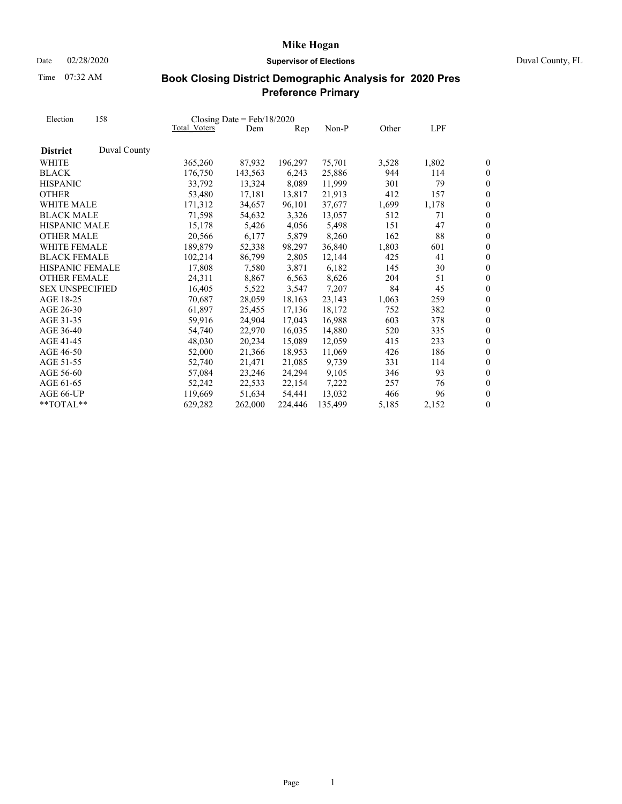Time 07:32 AM

## Date 02/28/2020 **Supervisor of Elections** Duval County, FL

| Election               | 158          | Closing Date = $Feb/18/2020$ |         |         |         |       |       |                  |
|------------------------|--------------|------------------------------|---------|---------|---------|-------|-------|------------------|
|                        |              | Total Voters                 | Dem     | Rep     | Non-P   | Other | LPF   |                  |
| <b>District</b>        | Duval County |                              |         |         |         |       |       |                  |
| WHITE                  |              | 365,260                      | 87,932  | 196,297 | 75,701  | 3,528 | 1,802 | 0                |
| <b>BLACK</b>           |              | 176,750                      | 143,563 | 6,243   | 25,886  | 944   | 114   | 0                |
| <b>HISPANIC</b>        |              | 33,792                       | 13,324  | 8,089   | 11,999  | 301   | 79    | $\boldsymbol{0}$ |
| <b>OTHER</b>           |              | 53,480                       | 17,181  | 13,817  | 21,913  | 412   | 157   | $\overline{0}$   |
| WHITE MALE             |              | 171,312                      | 34,657  | 96,101  | 37,677  | 1,699 | 1,178 | $\overline{0}$   |
| <b>BLACK MALE</b>      |              | 71,598                       | 54,632  | 3,326   | 13,057  | 512   | 71    | $\overline{0}$   |
| <b>HISPANIC MALE</b>   |              | 15,178                       | 5,426   | 4,056   | 5,498   | 151   | 47    | $\overline{0}$   |
| <b>OTHER MALE</b>      |              | 20,566                       | 6,177   | 5,879   | 8,260   | 162   | 88    | $\overline{0}$   |
| <b>WHITE FEMALE</b>    |              | 189,879                      | 52,338  | 98,297  | 36,840  | 1,803 | 601   | $\boldsymbol{0}$ |
| <b>BLACK FEMALE</b>    |              | 102,214                      | 86,799  | 2,805   | 12,144  | 425   | 41    | $\overline{0}$   |
| <b>HISPANIC FEMALE</b> |              | 17,808                       | 7,580   | 3,871   | 6,182   | 145   | 30    | $\overline{0}$   |
| <b>OTHER FEMALE</b>    |              | 24,311                       | 8,867   | 6,563   | 8,626   | 204   | 51    | $\boldsymbol{0}$ |
| <b>SEX UNSPECIFIED</b> |              | 16,405                       | 5,522   | 3,547   | 7,207   | 84    | 45    | $\boldsymbol{0}$ |
| AGE 18-25              |              | 70,687                       | 28,059  | 18,163  | 23,143  | 1,063 | 259   | $\overline{0}$   |
| AGE 26-30              |              | 61,897                       | 25,455  | 17,136  | 18,172  | 752   | 382   | $\overline{0}$   |
| AGE 31-35              |              | 59,916                       | 24,904  | 17,043  | 16,988  | 603   | 378   | $\overline{0}$   |
| AGE 36-40              |              | 54,740                       | 22,970  | 16,035  | 14,880  | 520   | 335   | $\overline{0}$   |
| AGE 41-45              |              | 48,030                       | 20,234  | 15,089  | 12,059  | 415   | 233   | $\overline{0}$   |
| AGE 46-50              |              | 52,000                       | 21,366  | 18,953  | 11,069  | 426   | 186   | $\overline{0}$   |
| AGE 51-55              |              | 52,740                       | 21,471  | 21.085  | 9,739   | 331   | 114   | $\overline{0}$   |
| AGE 56-60              |              | 57,084                       | 23,246  | 24,294  | 9,105   | 346   | 93    | $\boldsymbol{0}$ |
| AGE 61-65              |              | 52,242                       | 22,533  | 22,154  | 7,222   | 257   | 76    | $\boldsymbol{0}$ |
| AGE 66-UP              |              | 119,669                      | 51.634  | 54.441  | 13,032  | 466   | 96    | $\overline{0}$   |
| $**TOTAI.**$           |              | 629,282                      | 262,000 | 224,446 | 135,499 | 5,185 | 2,152 | 0                |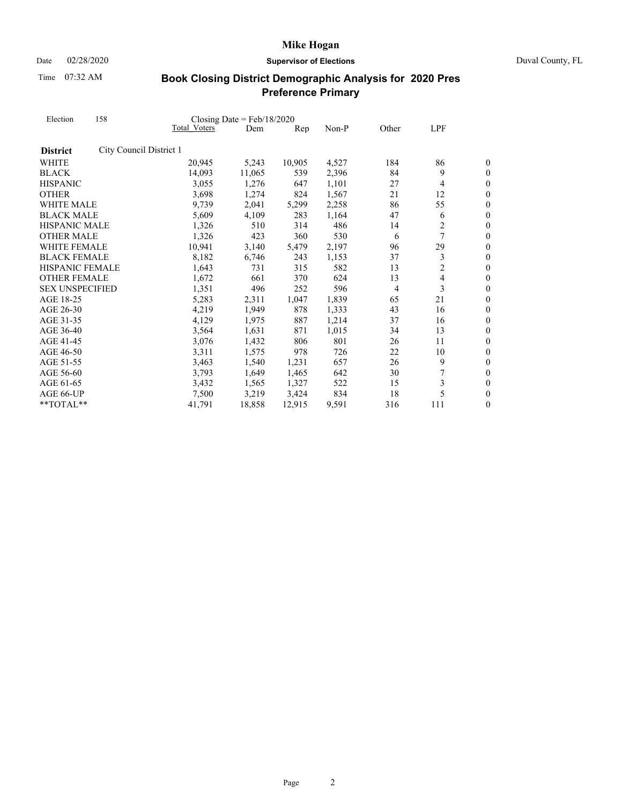Date 02/28/2020 **Supervisor of Elections** Duval County, FL

Time 07:32 AM

| Election               | 158                     |              | Closing Date = $Feb/18/2020$ |        |       |       |                |                  |
|------------------------|-------------------------|--------------|------------------------------|--------|-------|-------|----------------|------------------|
|                        |                         | Total Voters | Dem                          | Rep    | Non-P | Other | LPF            |                  |
| <b>District</b>        | City Council District 1 |              |                              |        |       |       |                |                  |
| WHITE                  |                         | 20,945       | 5,243                        | 10,905 | 4,527 | 184   | 86             | 0                |
| <b>BLACK</b>           |                         | 14,093       | 11,065                       | 539    | 2,396 | 84    | 9              | $\boldsymbol{0}$ |
| <b>HISPANIC</b>        |                         | 3,055        | 1,276                        | 647    | 1,101 | 27    | $\overline{4}$ | $\overline{0}$   |
| <b>OTHER</b>           |                         | 3,698        | 1,274                        | 824    | 1,567 | 21    | 12             | $\boldsymbol{0}$ |
| WHITE MALE             |                         | 9,739        | 2,041                        | 5,299  | 2,258 | 86    | 55             | $\overline{0}$   |
| <b>BLACK MALE</b>      |                         | 5,609        | 4,109                        | 283    | 1,164 | 47    | 6              | $\boldsymbol{0}$ |
| HISPANIC MALE          |                         | 1,326        | 510                          | 314    | 486   | 14    | 2              | $\boldsymbol{0}$ |
| <b>OTHER MALE</b>      |                         | 1,326        | 423                          | 360    | 530   | 6     | 7              | $\overline{0}$   |
| WHITE FEMALE           |                         | 10,941       | 3,140                        | 5,479  | 2,197 | 96    | 29             | $\boldsymbol{0}$ |
| <b>BLACK FEMALE</b>    |                         | 8,182        | 6,746                        | 243    | 1,153 | 37    | 3              | $\boldsymbol{0}$ |
| <b>HISPANIC FEMALE</b> |                         | 1,643        | 731                          | 315    | 582   | 13    | 2              | $\overline{0}$   |
| <b>OTHER FEMALE</b>    |                         | 1,672        | 661                          | 370    | 624   | 13    | $\overline{4}$ | $\boldsymbol{0}$ |
| <b>SEX UNSPECIFIED</b> |                         | 1,351        | 496                          | 252    | 596   | 4     | 3              | $\boldsymbol{0}$ |
| AGE 18-25              |                         | 5,283        | 2,311                        | 1,047  | 1,839 | 65    | 21             | $\overline{0}$   |
| AGE 26-30              |                         | 4,219        | 1,949                        | 878    | 1,333 | 43    | 16             | $\overline{0}$   |
| AGE 31-35              |                         | 4,129        | 1,975                        | 887    | 1,214 | 37    | 16             | $\boldsymbol{0}$ |
| AGE 36-40              |                         | 3,564        | 1,631                        | 871    | 1,015 | 34    | 13             | $\overline{0}$   |
| AGE 41-45              |                         | 3,076        | 1,432                        | 806    | 801   | 26    | 11             | $\boldsymbol{0}$ |
| AGE 46-50              |                         | 3,311        | 1,575                        | 978    | 726   | 22    | 10             | $\overline{0}$   |
| AGE 51-55              |                         | 3,463        | 1,540                        | 1,231  | 657   | 26    | 9              | $\overline{0}$   |
| AGE 56-60              |                         | 3,793        | 1,649                        | 1,465  | 642   | 30    | 7              | $\overline{0}$   |
| AGE 61-65              |                         | 3,432        | 1,565                        | 1,327  | 522   | 15    | 3              | $\boldsymbol{0}$ |
| AGE 66-UP              |                         | 7,500        | 3,219                        | 3,424  | 834   | 18    | 5              | $\overline{0}$   |
| **TOTAL**              |                         | 41,791       | 18,858                       | 12,915 | 9,591 | 316   | 111            | $\boldsymbol{0}$ |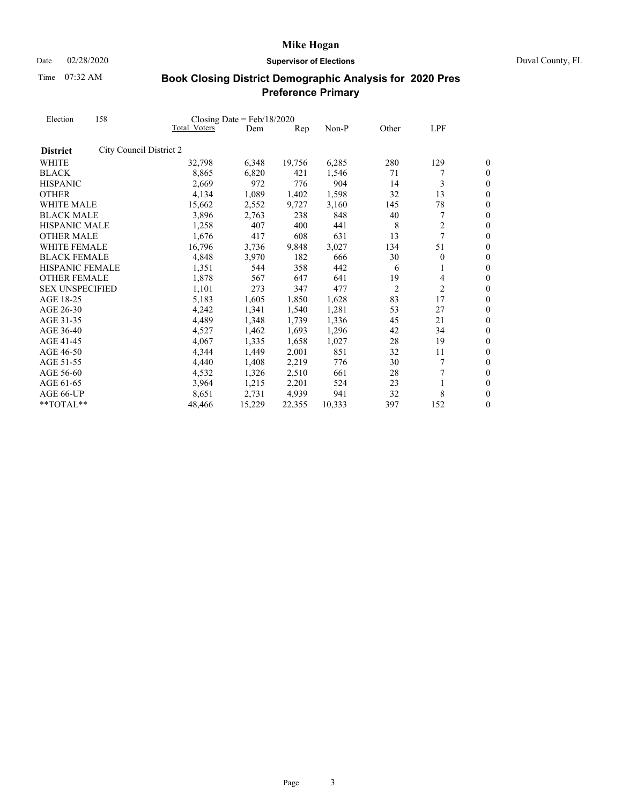Date 02/28/2020 **Supervisor of Elections** Duval County, FL

Time 07:32 AM

| Election<br>WHITE MALE<br><b>BLACK MALE</b><br>HISPANIC MALE<br><b>OTHER MALE</b><br>WHITE FEMALE<br><b>BLACK FEMALE</b><br><b>HISPANIC FEMALE</b><br><b>OTHER FEMALE</b><br><b>SEX UNSPECIFIED</b> | 158                     |              | Closing Date = $Feb/18/2020$ |        |        |                |                |                  |
|-----------------------------------------------------------------------------------------------------------------------------------------------------------------------------------------------------|-------------------------|--------------|------------------------------|--------|--------|----------------|----------------|------------------|
|                                                                                                                                                                                                     |                         | Total Voters | Dem                          | Rep    | Non-P  | Other          | LPF            |                  |
| <b>District</b>                                                                                                                                                                                     | City Council District 2 |              |                              |        |        |                |                |                  |
| WHITE                                                                                                                                                                                               |                         | 32,798       | 6,348                        | 19,756 | 6,285  | 280            | 129            | 0                |
| <b>BLACK</b>                                                                                                                                                                                        |                         | 8,865        | 6,820                        | 421    | 1,546  | 71             |                | $\boldsymbol{0}$ |
| <b>HISPANIC</b>                                                                                                                                                                                     |                         | 2,669        | 972                          | 776    | 904    | 14             | 3              | $\overline{0}$   |
| <b>OTHER</b>                                                                                                                                                                                        |                         | 4,134        | 1,089                        | 1,402  | 1,598  | 32             | 13             | $\overline{0}$   |
|                                                                                                                                                                                                     |                         | 15,662       | 2,552                        | 9,727  | 3,160  | 145            | 78             | $\overline{0}$   |
|                                                                                                                                                                                                     |                         | 3,896        | 2,763                        | 238    | 848    | 40             | 7              | $\boldsymbol{0}$ |
|                                                                                                                                                                                                     |                         | 1,258        | 407                          | 400    | 441    | 8              | $\overline{c}$ | $\overline{0}$   |
|                                                                                                                                                                                                     |                         | 1,676        | 417                          | 608    | 631    | 13             | 7              | $\theta$         |
|                                                                                                                                                                                                     |                         | 16,796       | 3,736                        | 9,848  | 3,027  | 134            | 51             | $\boldsymbol{0}$ |
|                                                                                                                                                                                                     |                         | 4,848        | 3,970                        | 182    | 666    | 30             | $\theta$       | $\boldsymbol{0}$ |
|                                                                                                                                                                                                     |                         | 1,351        | 544                          | 358    | 442    | 6              | 1              | $\overline{0}$   |
|                                                                                                                                                                                                     |                         | 1,878        | 567                          | 647    | 641    | 19             | 4              | $\boldsymbol{0}$ |
|                                                                                                                                                                                                     |                         | 1,101        | 273                          | 347    | 477    | $\overline{2}$ | 2              | $\boldsymbol{0}$ |
| AGE 18-25                                                                                                                                                                                           |                         | 5,183        | 1,605                        | 1,850  | 1,628  | 83             | 17             | $\overline{0}$   |
| AGE 26-30                                                                                                                                                                                           |                         | 4,242        | 1,341                        | 1,540  | 1,281  | 53             | 27             | $\overline{0}$   |
| AGE 31-35                                                                                                                                                                                           |                         | 4,489        | 1,348                        | 1,739  | 1,336  | 45             | 21             | $\boldsymbol{0}$ |
| AGE 36-40                                                                                                                                                                                           |                         | 4,527        | 1,462                        | 1,693  | 1,296  | 42             | 34             | $\overline{0}$   |
| AGE 41-45                                                                                                                                                                                           |                         | 4,067        | 1,335                        | 1,658  | 1,027  | 28             | 19             | $\boldsymbol{0}$ |
| AGE 46-50                                                                                                                                                                                           |                         | 4,344        | 1,449                        | 2,001  | 851    | 32             | 11             | $\overline{0}$   |
| AGE 51-55                                                                                                                                                                                           |                         | 4,440        | 1,408                        | 2,219  | 776    | 30             | 7              | $\overline{0}$   |
| AGE 56-60                                                                                                                                                                                           |                         | 4,532        | 1,326                        | 2,510  | 661    | 28             | 7              | $\overline{0}$   |
| AGE 61-65                                                                                                                                                                                           |                         | 3,964        | 1,215                        | 2,201  | 524    | 23             |                | $\boldsymbol{0}$ |
| AGE 66-UP                                                                                                                                                                                           |                         | 8,651        | 2,731                        | 4,939  | 941    | 32             | 8              | $\overline{0}$   |
| **TOTAL**                                                                                                                                                                                           |                         | 48,466       | 15,229                       | 22,355 | 10,333 | 397            | 152            | $\boldsymbol{0}$ |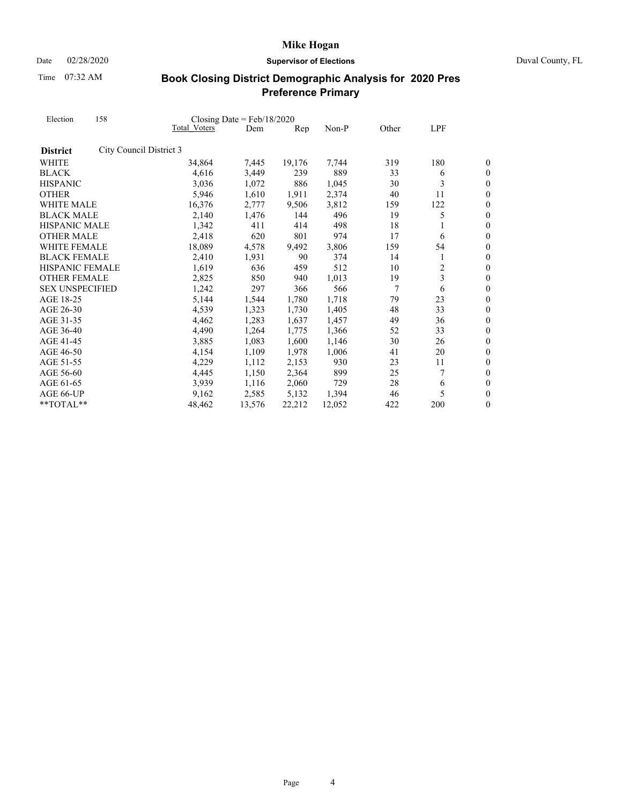Date 02/28/2020 **Supervisor of Elections** Duval County, FL

Time 07:32 AM

| Election<br><b>District</b><br><b>WHITE</b><br>WHITE MALE<br><b>BLACK MALE</b><br>HISPANIC MALE<br><b>OTHER MALE</b><br><b>WHITE FEMALE</b><br><b>BLACK FEMALE</b><br><b>HISPANIC FEMALE</b><br><b>OTHER FEMALE</b><br><b>SEX UNSPECIFIED</b> | 158                     |              | Closing Date = $Feb/18/2020$ |                                  |        |       |     |                  |  |
|-----------------------------------------------------------------------------------------------------------------------------------------------------------------------------------------------------------------------------------------------|-------------------------|--------------|------------------------------|----------------------------------|--------|-------|-----|------------------|--|
|                                                                                                                                                                                                                                               |                         | Total Voters | Dem                          | $\mathop{\mathrm{Rep}}\nolimits$ | Non-P  | Other | LPF |                  |  |
|                                                                                                                                                                                                                                               | City Council District 3 |              |                              |                                  |        |       |     |                  |  |
|                                                                                                                                                                                                                                               |                         | 34,864       | 7,445                        | 19,176                           | 7,744  | 319   | 180 | 0                |  |
| <b>BLACK</b>                                                                                                                                                                                                                                  |                         | 4,616        | 3,449                        | 239                              | 889    | 33    | 6   | 0                |  |
| <b>HISPANIC</b>                                                                                                                                                                                                                               |                         | 3,036        | 1,072                        | 886                              | 1,045  | 30    | 3   | $\overline{0}$   |  |
| <b>OTHER</b>                                                                                                                                                                                                                                  |                         | 5,946        | 1,610                        | 1,911                            | 2,374  | 40    | 11  | $\overline{0}$   |  |
|                                                                                                                                                                                                                                               |                         | 16,376       | 2,777                        | 9,506                            | 3,812  | 159   | 122 | 0                |  |
|                                                                                                                                                                                                                                               |                         | 2,140        | 1,476                        | 144                              | 496    | 19    | 5   | $\overline{0}$   |  |
|                                                                                                                                                                                                                                               |                         | 1,342        | 411                          | 414                              | 498    | 18    |     | $\overline{0}$   |  |
|                                                                                                                                                                                                                                               |                         | 2,418        | 620                          | 801                              | 974    | 17    | 6   | $\overline{0}$   |  |
|                                                                                                                                                                                                                                               |                         | 18,089       | 4,578                        | 9,492                            | 3,806  | 159   | 54  | $\overline{0}$   |  |
|                                                                                                                                                                                                                                               |                         | 2,410        | 1,931                        | 90                               | 374    | 14    | 1   | $\overline{0}$   |  |
|                                                                                                                                                                                                                                               |                         | 1,619        | 636                          | 459                              | 512    | 10    | 2   | $\overline{0}$   |  |
|                                                                                                                                                                                                                                               |                         | 2,825        | 850                          | 940                              | 1,013  | 19    | 3   | $\overline{0}$   |  |
|                                                                                                                                                                                                                                               |                         | 1,242        | 297                          | 366                              | 566    | 7     | 6   | $\overline{0}$   |  |
| AGE 18-25                                                                                                                                                                                                                                     |                         | 5,144        | 1,544                        | 1,780                            | 1,718  | 79    | 23  | $\overline{0}$   |  |
| AGE 26-30                                                                                                                                                                                                                                     |                         | 4,539        | 1,323                        | 1,730                            | 1,405  | 48    | 33  | $\overline{0}$   |  |
| AGE 31-35                                                                                                                                                                                                                                     |                         | 4,462        | 1,283                        | 1,637                            | 1,457  | 49    | 36  | $\boldsymbol{0}$ |  |
| AGE 36-40                                                                                                                                                                                                                                     |                         | 4,490        | 1,264                        | 1,775                            | 1,366  | 52    | 33  | $\overline{0}$   |  |
| AGE 41-45                                                                                                                                                                                                                                     |                         | 3,885        | 1,083                        | 1,600                            | 1,146  | 30    | 26  | $\overline{0}$   |  |
| AGE 46-50                                                                                                                                                                                                                                     |                         | 4,154        | 1,109                        | 1,978                            | 1,006  | 41    | 20  | $\boldsymbol{0}$ |  |
| AGE 51-55                                                                                                                                                                                                                                     |                         | 4,229        | 1,112                        | 2,153                            | 930    | 23    | 11  | $\boldsymbol{0}$ |  |
| AGE 56-60                                                                                                                                                                                                                                     |                         | 4,445        | 1,150                        | 2,364                            | 899    | 25    | 7   | $\boldsymbol{0}$ |  |
| AGE 61-65                                                                                                                                                                                                                                     |                         | 3,939        | 1,116                        | 2,060                            | 729    | 28    | 6   | $\boldsymbol{0}$ |  |
| AGE 66-UP                                                                                                                                                                                                                                     |                         | 9.162        | 2,585                        | 5,132                            | 1,394  | 46    | 5   | $\overline{0}$   |  |
| **TOTAL**                                                                                                                                                                                                                                     |                         | 48,462       | 13,576                       | 22,212                           | 12,052 | 422   | 200 | $\boldsymbol{0}$ |  |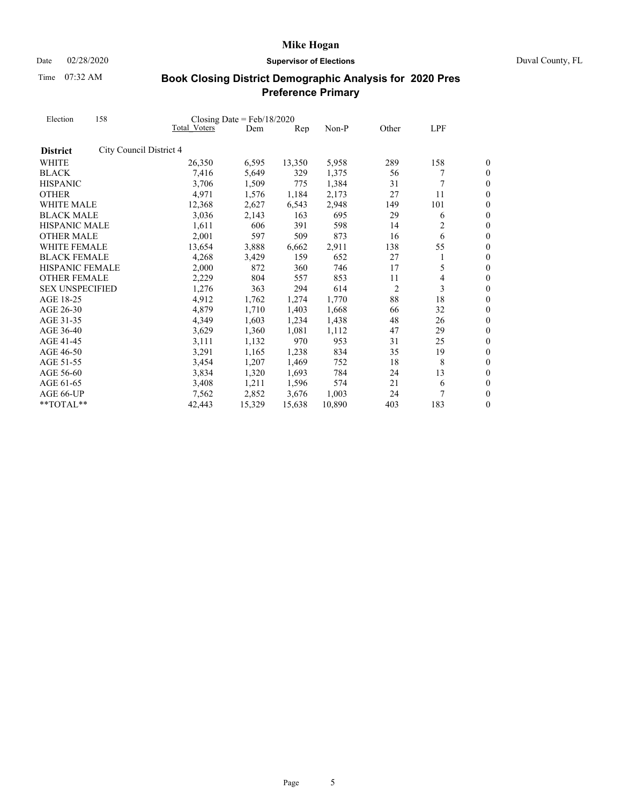Date 02/28/2020 **Supervisor of Elections** Duval County, FL

Time 07:32 AM

| Election<br><b>District</b><br><b>WHITE</b><br><b>BLACK</b><br><b>HISPANIC</b><br><b>OTHER</b><br>WHITE MALE<br><b>BLACK MALE</b><br>HISPANIC MALE<br><b>OTHER MALE</b><br><b>WHITE FEMALE</b><br><b>BLACK FEMALE</b><br><b>HISPANIC FEMALE</b><br><b>OTHER FEMALE</b><br><b>SEX UNSPECIFIED</b><br>AGE 18-25<br>AGE 26-30<br>AGE 31-35<br>AGE 36-40<br>AGE 41-45<br>AGE 46-50<br>AGE 51-55 | 158                     |                     | Closing Date = $Feb/18/2020$ |                |        |                |     |                  |
|---------------------------------------------------------------------------------------------------------------------------------------------------------------------------------------------------------------------------------------------------------------------------------------------------------------------------------------------------------------------------------------------|-------------------------|---------------------|------------------------------|----------------|--------|----------------|-----|------------------|
|                                                                                                                                                                                                                                                                                                                                                                                             |                         | <b>Total Voters</b> | Dem                          | $\mathbf{Rep}$ | Non-P  | Other          | LPF |                  |
|                                                                                                                                                                                                                                                                                                                                                                                             | City Council District 4 |                     |                              |                |        |                |     |                  |
|                                                                                                                                                                                                                                                                                                                                                                                             |                         | 26,350              | 6,595                        | 13,350         | 5,958  | 289            | 158 | 0                |
|                                                                                                                                                                                                                                                                                                                                                                                             |                         | 7,416               | 5,649                        | 329            | 1,375  | 56             |     | $\boldsymbol{0}$ |
|                                                                                                                                                                                                                                                                                                                                                                                             |                         | 3,706               | 1,509                        | 775            | 1,384  | 31             | 7   | $\overline{0}$   |
|                                                                                                                                                                                                                                                                                                                                                                                             |                         | 4,971               | 1,576                        | 1,184          | 2,173  | 27             | 11  | $\overline{0}$   |
|                                                                                                                                                                                                                                                                                                                                                                                             |                         | 12,368              | 2,627                        | 6,543          | 2,948  | 149            | 101 | $\theta$         |
|                                                                                                                                                                                                                                                                                                                                                                                             |                         | 3,036               | 2,143                        | 163            | 695    | 29             | 6   | $\boldsymbol{0}$ |
|                                                                                                                                                                                                                                                                                                                                                                                             |                         | 1,611               | 606                          | 391            | 598    | 14             | 2   | $\boldsymbol{0}$ |
|                                                                                                                                                                                                                                                                                                                                                                                             |                         | 2,001               | 597                          | 509            | 873    | 16             | 6   | $\overline{0}$   |
|                                                                                                                                                                                                                                                                                                                                                                                             |                         | 13,654              | 3,888                        | 6,662          | 2,911  | 138            | 55  | $\boldsymbol{0}$ |
|                                                                                                                                                                                                                                                                                                                                                                                             |                         | 4,268               | 3,429                        | 159            | 652    | 27             | 1   | $\boldsymbol{0}$ |
|                                                                                                                                                                                                                                                                                                                                                                                             |                         | 2,000               | 872                          | 360            | 746    | 17             | 5   | $\overline{0}$   |
|                                                                                                                                                                                                                                                                                                                                                                                             |                         | 2,229               | 804                          | 557            | 853    | 11             | 4   | $\overline{0}$   |
|                                                                                                                                                                                                                                                                                                                                                                                             |                         | 1,276               | 363                          | 294            | 614    | $\overline{2}$ | 3   | $\boldsymbol{0}$ |
|                                                                                                                                                                                                                                                                                                                                                                                             |                         | 4,912               | 1,762                        | 1,274          | 1,770  | 88             | 18  | $\overline{0}$   |
|                                                                                                                                                                                                                                                                                                                                                                                             |                         | 4,879               | 1,710                        | 1,403          | 1,668  | 66             | 32  | $\boldsymbol{0}$ |
|                                                                                                                                                                                                                                                                                                                                                                                             |                         | 4,349               | 1,603                        | 1,234          | 1,438  | 48             | 26  | $\overline{0}$   |
|                                                                                                                                                                                                                                                                                                                                                                                             |                         | 3,629               | 1,360                        | 1,081          | 1,112  | 47             | 29  | $\overline{0}$   |
|                                                                                                                                                                                                                                                                                                                                                                                             |                         | 3,111               | 1,132                        | 970            | 953    | 31             | 25  | $\boldsymbol{0}$ |
|                                                                                                                                                                                                                                                                                                                                                                                             |                         | 3,291               | 1,165                        | 1,238          | 834    | 35             | 19  | $\boldsymbol{0}$ |
|                                                                                                                                                                                                                                                                                                                                                                                             |                         | 3,454               | 1,207                        | 1,469          | 752    | 18             | 8   | $\overline{0}$   |
| AGE 56-60                                                                                                                                                                                                                                                                                                                                                                                   |                         | 3,834               | 1,320                        | 1,693          | 784    | 24             | 13  | $\boldsymbol{0}$ |
| AGE 61-65                                                                                                                                                                                                                                                                                                                                                                                   |                         | 3,408               | 1,211                        | 1,596          | 574    | 21             | 6   | $\boldsymbol{0}$ |
| AGE 66-UP                                                                                                                                                                                                                                                                                                                                                                                   |                         | 7,562               | 2,852                        | 3,676          | 1,003  | 24             |     | $\overline{0}$   |
| **TOTAL**                                                                                                                                                                                                                                                                                                                                                                                   |                         | 42,443              | 15,329                       | 15,638         | 10,890 | 403            | 183 | $\boldsymbol{0}$ |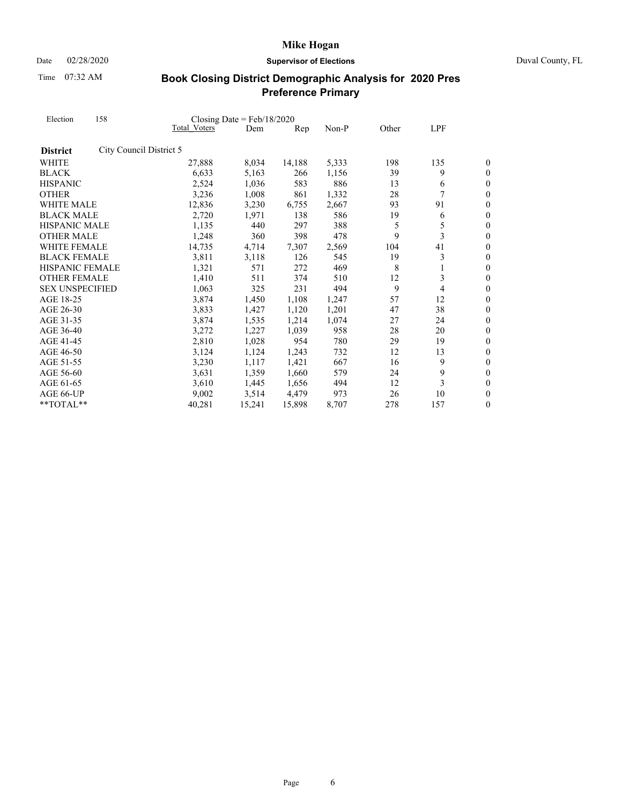Date 02/28/2020 **Supervisor of Elections** Duval County, FL

Time 07:32 AM

| Election               | 158                     |              | Closing Date = $Feb/18/2020$ |        |       |       |     |                  |  |
|------------------------|-------------------------|--------------|------------------------------|--------|-------|-------|-----|------------------|--|
|                        |                         | Total Voters | Dem                          | Rep    | Non-P | Other | LPF |                  |  |
| <b>District</b>        | City Council District 5 |              |                              |        |       |       |     |                  |  |
| <b>WHITE</b>           |                         | 27,888       | 8,034                        | 14,188 | 5,333 | 198   | 135 | 0                |  |
| <b>BLACK</b>           |                         | 6,633        | 5,163                        | 266    | 1,156 | 39    | 9   | 0                |  |
| <b>HISPANIC</b>        |                         | 2,524        | 1,036                        | 583    | 886   | 13    | 6   | $\boldsymbol{0}$ |  |
| <b>OTHER</b>           |                         | 3,236        | 1,008                        | 861    | 1,332 | 28    | 7   | $\overline{0}$   |  |
| WHITE MALE             |                         | 12,836       | 3,230                        | 6,755  | 2,667 | 93    | 91  | $\overline{0}$   |  |
| <b>BLACK MALE</b>      |                         | 2,720        | 1,971                        | 138    | 586   | 19    | 6   | $\overline{0}$   |  |
| HISPANIC MALE          |                         | 1,135        | 440                          | 297    | 388   | 5     | 5   | $\overline{0}$   |  |
| <b>OTHER MALE</b>      |                         | 1,248        | 360                          | 398    | 478   | 9     | 3   | $\overline{0}$   |  |
| <b>WHITE FEMALE</b>    |                         | 14,735       | 4,714                        | 7,307  | 2,569 | 104   | 41  | $\overline{0}$   |  |
| <b>BLACK FEMALE</b>    |                         | 3,811        | 3,118                        | 126    | 545   | 19    | 3   | $\boldsymbol{0}$ |  |
| <b>HISPANIC FEMALE</b> |                         | 1,321        | 571                          | 272    | 469   | 8     | 1   | $\overline{0}$   |  |
| <b>OTHER FEMALE</b>    |                         | 1,410        | 511                          | 374    | 510   | 12    | 3   | $\overline{0}$   |  |
| <b>SEX UNSPECIFIED</b> |                         | 1,063        | 325                          | 231    | 494   | 9     | 4   | $\overline{0}$   |  |
| AGE 18-25              |                         | 3,874        | 1,450                        | 1,108  | 1,247 | 57    | 12  | $\overline{0}$   |  |
| AGE 26-30              |                         | 3,833        | 1,427                        | 1,120  | 1,201 | 47    | 38  | $\overline{0}$   |  |
| AGE 31-35              |                         | 3,874        | 1,535                        | 1,214  | 1,074 | 27    | 24  | $\boldsymbol{0}$ |  |
| AGE 36-40              |                         | 3,272        | 1,227                        | 1,039  | 958   | 28    | 20  | $\overline{0}$   |  |
| AGE 41-45              |                         | 2,810        | 1,028                        | 954    | 780   | 29    | 19  | $\overline{0}$   |  |
| AGE 46-50              |                         | 3,124        | 1,124                        | 1,243  | 732   | 12    | 13  | $\boldsymbol{0}$ |  |
| AGE 51-55              |                         | 3,230        | 1,117                        | 1,421  | 667   | 16    | 9   | $\overline{0}$   |  |
| AGE 56-60              |                         | 3,631        | 1,359                        | 1,660  | 579   | 24    | 9   | $\boldsymbol{0}$ |  |
| AGE 61-65              |                         | 3,610        | 1,445                        | 1,656  | 494   | 12    | 3   | $\boldsymbol{0}$ |  |
| AGE 66-UP              |                         | 9,002        | 3,514                        | 4,479  | 973   | 26    | 10  | $\overline{0}$   |  |
| **TOTAL**              |                         | 40,281       | 15,241                       | 15,898 | 8,707 | 278   | 157 | $\boldsymbol{0}$ |  |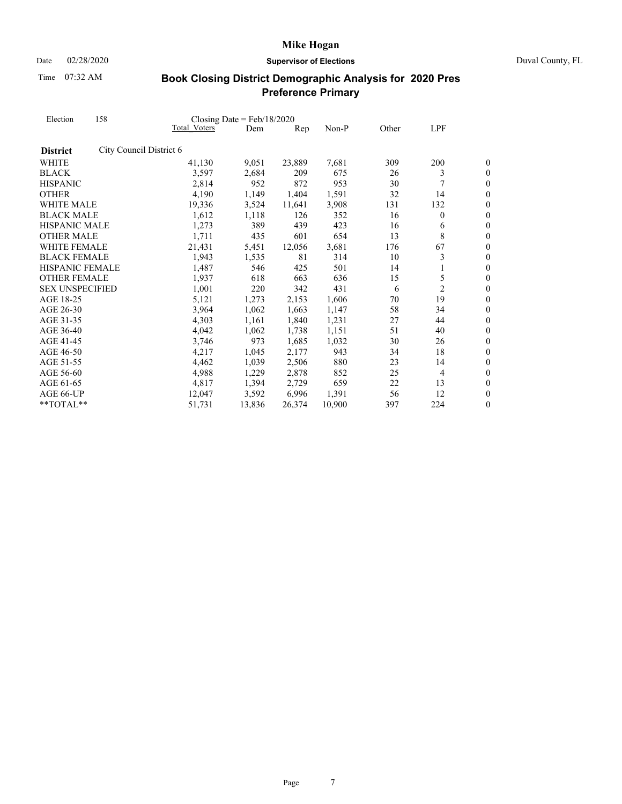Date 02/28/2020 **Supervisor of Elections** Duval County, FL

Time 07:32 AM

| Election               | 158                     |                     | Closing Date = $Feb/18/2020$ |        |        |       |                |                  |
|------------------------|-------------------------|---------------------|------------------------------|--------|--------|-------|----------------|------------------|
|                        |                         | <b>Total Voters</b> | Dem                          | Rep    | Non-P  | Other | LPF            |                  |
| <b>District</b>        | City Council District 6 |                     |                              |        |        |       |                |                  |
| <b>WHITE</b>           |                         | 41,130              | 9,051                        | 23,889 | 7,681  | 309   | 200            | 0                |
| <b>BLACK</b>           |                         | 3,597               | 2,684                        | 209    | 675    | 26    | 3              | $\theta$         |
| <b>HISPANIC</b>        |                         | 2,814               | 952                          | 872    | 953    | 30    | 7              | $\boldsymbol{0}$ |
| <b>OTHER</b>           |                         | 4,190               | 1,149                        | 1,404  | 1,591  | 32    | 14             | 0                |
| WHITE MALE             |                         | 19,336              | 3,524                        | 11,641 | 3,908  | 131   | 132            | $\overline{0}$   |
| <b>BLACK MALE</b>      |                         | 1,612               | 1,118                        | 126    | 352    | 16    | $\mathbf{0}$   | $\boldsymbol{0}$ |
| <b>HISPANIC MALE</b>   |                         | 1,273               | 389                          | 439    | 423    | 16    | 6              | 0                |
| <b>OTHER MALE</b>      |                         | 1,711               | 435                          | 601    | 654    | 13    | 8              | $\overline{0}$   |
| <b>WHITE FEMALE</b>    |                         | 21,431              | 5,451                        | 12,056 | 3,681  | 176   | 67             | $\boldsymbol{0}$ |
| <b>BLACK FEMALE</b>    |                         | 1,943               | 1,535                        | 81     | 314    | 10    | 3              | $\boldsymbol{0}$ |
| <b>HISPANIC FEMALE</b> |                         | 1,487               | 546                          | 425    | 501    | 14    | 1              | $\overline{0}$   |
| <b>OTHER FEMALE</b>    |                         | 1,937               | 618                          | 663    | 636    | 15    | 5              | $\boldsymbol{0}$ |
| <b>SEX UNSPECIFIED</b> |                         | 1,001               | 220                          | 342    | 431    | 6     | $\overline{c}$ | $\boldsymbol{0}$ |
| AGE 18-25              |                         | 5,121               | 1,273                        | 2,153  | 1,606  | 70    | 19             | $\overline{0}$   |
| AGE 26-30              |                         | 3,964               | 1,062                        | 1,663  | 1,147  | 58    | 34             | $\boldsymbol{0}$ |
| AGE 31-35              |                         | 4,303               | 1,161                        | 1,840  | 1,231  | 27    | 44             | $\overline{0}$   |
| AGE 36-40              |                         | 4,042               | 1,062                        | 1,738  | 1,151  | 51    | 40             | $\overline{0}$   |
| AGE 41-45              |                         | 3,746               | 973                          | 1,685  | 1,032  | 30    | 26             | $\boldsymbol{0}$ |
| AGE 46-50              |                         | 4,217               | 1,045                        | 2,177  | 943    | 34    | 18             | $\boldsymbol{0}$ |
| AGE 51-55              |                         | 4,462               | 1,039                        | 2,506  | 880    | 23    | 14             | $\overline{0}$   |
| AGE 56-60              |                         | 4,988               | 1,229                        | 2,878  | 852    | 25    | 4              | $\boldsymbol{0}$ |
| AGE 61-65              |                         | 4,817               | 1,394                        | 2,729  | 659    | 22    | 13             | $\boldsymbol{0}$ |
| AGE 66-UP              |                         | 12,047              | 3,592                        | 6,996  | 1,391  | 56    | 12             | $\overline{0}$   |
| **TOTAL**              |                         | 51,731              | 13,836                       | 26,374 | 10,900 | 397   | 224            | $\boldsymbol{0}$ |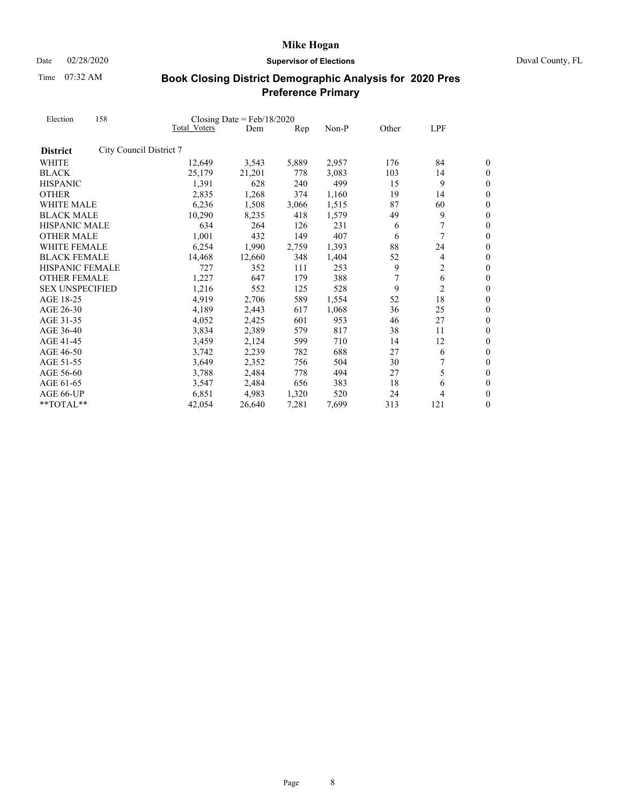Date 02/28/2020 **Supervisor of Elections** Duval County, FL

Time 07:32 AM

| Election               | 158                     |              | Closing Date = $Feb/18/2020$ |       |       |       |                |                  |
|------------------------|-------------------------|--------------|------------------------------|-------|-------|-------|----------------|------------------|
|                        |                         | Total Voters | Dem                          | Rep   | Non-P | Other | LPF            |                  |
| <b>District</b>        | City Council District 7 |              |                              |       |       |       |                |                  |
| <b>WHITE</b>           |                         | 12,649       | 3,543                        | 5,889 | 2,957 | 176   | 84             | 0                |
| <b>BLACK</b>           |                         | 25,179       | 21,201                       | 778   | 3.083 | 103   | 14             | 0                |
| <b>HISPANIC</b>        |                         | 1,391        | 628                          | 240   | 499   | 15    | 9              | $\boldsymbol{0}$ |
| <b>OTHER</b>           |                         | 2,835        | 1,268                        | 374   | 1,160 | 19    | 14             | $\boldsymbol{0}$ |
| WHITE MALE             |                         | 6,236        | 1,508                        | 3,066 | 1,515 | 87    | 60             | $\overline{0}$   |
| <b>BLACK MALE</b>      |                         | 10,290       | 8,235                        | 418   | 1,579 | 49    | 9              | $\boldsymbol{0}$ |
| <b>HISPANIC MALE</b>   |                         | 634          | 264                          | 126   | 231   | 6     | 7              | $\boldsymbol{0}$ |
| <b>OTHER MALE</b>      |                         | 1,001        | 432                          | 149   | 407   | 6     | 7              | $\theta$         |
| WHITE FEMALE           |                         | 6,254        | 1,990                        | 2,759 | 1,393 | 88    | 24             | $\boldsymbol{0}$ |
| <b>BLACK FEMALE</b>    |                         | 14,468       | 12,660                       | 348   | 1,404 | 52    | 4              | $\boldsymbol{0}$ |
| <b>HISPANIC FEMALE</b> |                         | 727          | 352                          | 111   | 253   | 9     | 2              | $\overline{0}$   |
| <b>OTHER FEMALE</b>    |                         | 1,227        | 647                          | 179   | 388   | 7     | 6              | $\boldsymbol{0}$ |
| <b>SEX UNSPECIFIED</b> |                         | 1,216        | 552                          | 125   | 528   | 9     | $\overline{c}$ | $\boldsymbol{0}$ |
| AGE 18-25              |                         | 4,919        | 2,706                        | 589   | 1,554 | 52    | 18             | $\overline{0}$   |
| AGE 26-30              |                         | 4,189        | 2,443                        | 617   | 1,068 | 36    | 25             | $\overline{0}$   |
| AGE 31-35              |                         | 4,052        | 2,425                        | 601   | 953   | 46    | 27             | $\boldsymbol{0}$ |
| AGE 36-40              |                         | 3,834        | 2,389                        | 579   | 817   | 38    | 11             | $\overline{0}$   |
| AGE 41-45              |                         | 3,459        | 2,124                        | 599   | 710   | 14    | 12             | $\boldsymbol{0}$ |
| AGE 46-50              |                         | 3,742        | 2,239                        | 782   | 688   | 27    | 6              | $\overline{0}$   |
| AGE 51-55              |                         | 3,649        | 2,352                        | 756   | 504   | 30    |                | $\theta$         |
| AGE 56-60              |                         | 3,788        | 2,484                        | 778   | 494   | 27    | 5              | $\overline{0}$   |
| AGE 61-65              |                         | 3,547        | 2,484                        | 656   | 383   | 18    | 6              | $\boldsymbol{0}$ |
| AGE 66-UP              |                         | 6,851        | 4,983                        | 1,320 | 520   | 24    | 4              | $\overline{0}$   |
| $*$ TOTAL $*$          |                         | 42,054       | 26,640                       | 7,281 | 7,699 | 313   | 121            | 0                |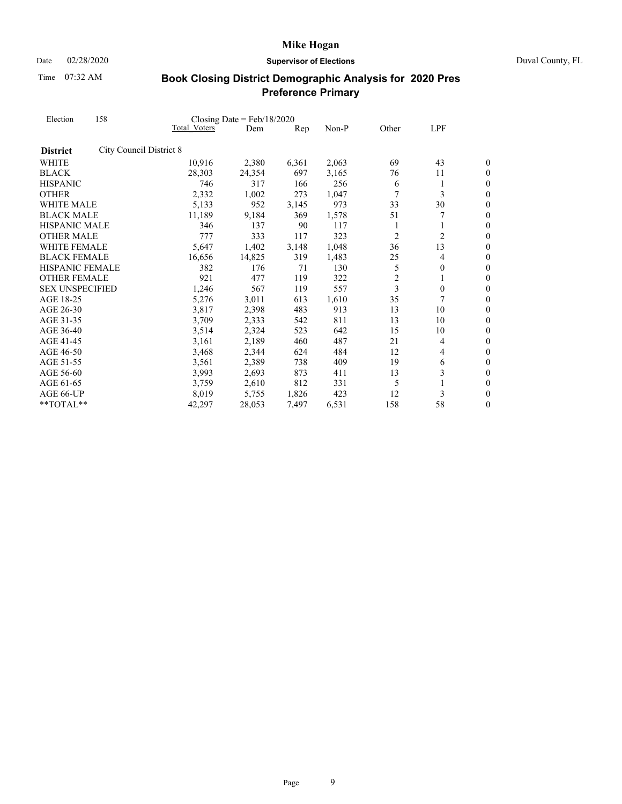Date 02/28/2020 **Supervisor of Elections** Duval County, FL

Time 07:32 AM

| Election<br><b>District</b><br><b>WHITE</b><br><b>BLACK</b><br><b>HISPANIC</b><br><b>OTHER</b><br><b>WHITE MALE</b><br><b>BLACK MALE</b><br>HISPANIC MALE<br><b>OTHER MALE</b><br><b>WHITE FEMALE</b><br><b>BLACK FEMALE</b><br><b>HISPANIC FEMALE</b><br><b>OTHER FEMALE</b><br><b>SEX UNSPECIFIED</b><br>AGE 18-25<br>AGE 26-30<br>AGE 31-35<br>AGE 36-40<br>AGE 41-45<br>AGE 46-50<br>AGE 51-55 | 158                     |                     | Closing Date = $Feb/18/2020$ |       |       |                |                |                  |
|----------------------------------------------------------------------------------------------------------------------------------------------------------------------------------------------------------------------------------------------------------------------------------------------------------------------------------------------------------------------------------------------------|-------------------------|---------------------|------------------------------|-------|-------|----------------|----------------|------------------|
|                                                                                                                                                                                                                                                                                                                                                                                                    |                         | <b>Total Voters</b> | Dem                          | Rep   | Non-P | Other          | LPF            |                  |
|                                                                                                                                                                                                                                                                                                                                                                                                    | City Council District 8 |                     |                              |       |       |                |                |                  |
|                                                                                                                                                                                                                                                                                                                                                                                                    |                         | 10,916              | 2,380                        | 6,361 | 2,063 | 69             | 43             | 0                |
|                                                                                                                                                                                                                                                                                                                                                                                                    |                         | 28,303              | 24,354                       | 697   | 3,165 | 76             | 11             | 0                |
|                                                                                                                                                                                                                                                                                                                                                                                                    |                         | 746                 | 317                          | 166   | 256   | 6              | 1              | $\boldsymbol{0}$ |
|                                                                                                                                                                                                                                                                                                                                                                                                    |                         | 2,332               | 1,002                        | 273   | 1,047 | $\overline{7}$ | 3              | $\boldsymbol{0}$ |
|                                                                                                                                                                                                                                                                                                                                                                                                    |                         | 5,133               | 952                          | 3,145 | 973   | 33             | 30             | $\overline{0}$   |
|                                                                                                                                                                                                                                                                                                                                                                                                    |                         | 11,189              | 9,184                        | 369   | 1,578 | 51             | 7              | $\boldsymbol{0}$ |
|                                                                                                                                                                                                                                                                                                                                                                                                    |                         | 346                 | 137                          | 90    | 117   | 1              | 1              | $\boldsymbol{0}$ |
|                                                                                                                                                                                                                                                                                                                                                                                                    |                         | 777                 | 333                          | 117   | 323   | $\overline{c}$ | $\overline{c}$ | $\overline{0}$   |
|                                                                                                                                                                                                                                                                                                                                                                                                    |                         | 5,647               | 1,402                        | 3,148 | 1,048 | 36             | 13             | $\boldsymbol{0}$ |
|                                                                                                                                                                                                                                                                                                                                                                                                    |                         | 16,656              | 14,825                       | 319   | 1,483 | 25             | 4              | $\boldsymbol{0}$ |
|                                                                                                                                                                                                                                                                                                                                                                                                    |                         | 382                 | 176                          | 71    | 130   | 5              | $\mathbf{0}$   | $\theta$         |
|                                                                                                                                                                                                                                                                                                                                                                                                    |                         | 921                 | 477                          | 119   | 322   | $\overline{2}$ | 1              | $\boldsymbol{0}$ |
|                                                                                                                                                                                                                                                                                                                                                                                                    |                         | 1,246               | 567                          | 119   | 557   | 3              | $\mathbf{0}$   | $\boldsymbol{0}$ |
|                                                                                                                                                                                                                                                                                                                                                                                                    |                         | 5,276               | 3,011                        | 613   | 1,610 | 35             |                | $\overline{0}$   |
|                                                                                                                                                                                                                                                                                                                                                                                                    |                         | 3,817               | 2,398                        | 483   | 913   | 13             | 10             | $\boldsymbol{0}$ |
|                                                                                                                                                                                                                                                                                                                                                                                                    |                         | 3,709               | 2,333                        | 542   | 811   | 13             | 10             | $\boldsymbol{0}$ |
|                                                                                                                                                                                                                                                                                                                                                                                                    |                         | 3,514               | 2,324                        | 523   | 642   | 15             | 10             | $\overline{0}$   |
|                                                                                                                                                                                                                                                                                                                                                                                                    |                         | 3,161               | 2,189                        | 460   | 487   | 21             | 4              | $\boldsymbol{0}$ |
|                                                                                                                                                                                                                                                                                                                                                                                                    |                         | 3,468               | 2,344                        | 624   | 484   | 12             | 4              | $\boldsymbol{0}$ |
|                                                                                                                                                                                                                                                                                                                                                                                                    |                         | 3,561               | 2,389                        | 738   | 409   | 19             | 6              | $\overline{0}$   |
| AGE 56-60                                                                                                                                                                                                                                                                                                                                                                                          |                         | 3,993               | 2,693                        | 873   | 411   | 13             | 3              | $\boldsymbol{0}$ |
| AGE 61-65                                                                                                                                                                                                                                                                                                                                                                                          |                         | 3,759               | 2,610                        | 812   | 331   | 5              |                | $\boldsymbol{0}$ |
| AGE 66-UP                                                                                                                                                                                                                                                                                                                                                                                          |                         | 8,019               | 5,755                        | 1,826 | 423   | 12             | 3              | $\overline{0}$   |
| **TOTAL**                                                                                                                                                                                                                                                                                                                                                                                          |                         | 42,297              | 28,053                       | 7,497 | 6,531 | 158            | 58             | 0                |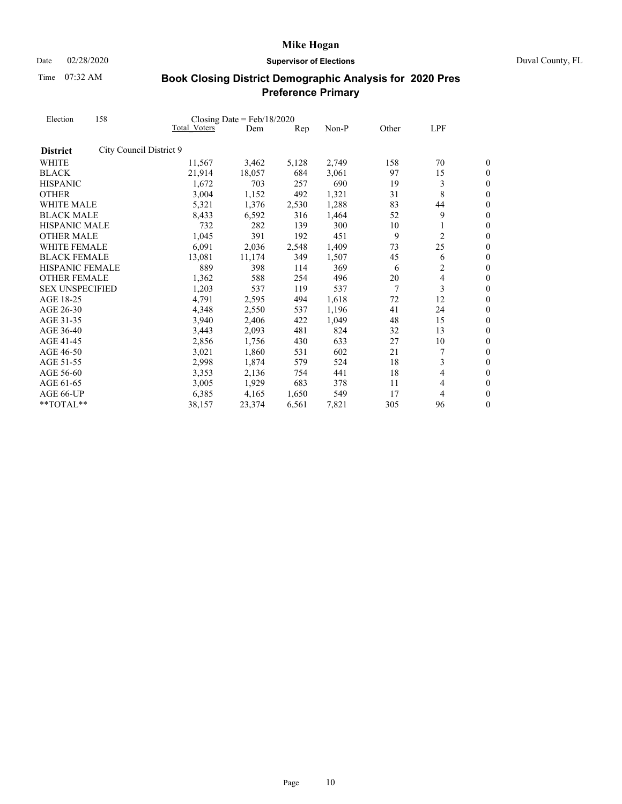Date 02/28/2020 **Supervisor of Elections** Duval County, FL

Time 07:32 AM

| Election               | 158                     |              | Closing Date = $Feb/18/2020$ |       |       |       |                |                  |
|------------------------|-------------------------|--------------|------------------------------|-------|-------|-------|----------------|------------------|
|                        |                         | Total Voters | Dem                          | Rep   | Non-P | Other | LPF            |                  |
| <b>District</b>        | City Council District 9 |              |                              |       |       |       |                |                  |
| WHITE                  |                         | 11,567       | 3,462                        | 5,128 | 2,749 | 158   | 70             | 0                |
| <b>BLACK</b>           |                         | 21,914       | 18,057                       | 684   | 3,061 | 97    | 15             | 0                |
| <b>HISPANIC</b>        |                         | 1,672        | 703                          | 257   | 690   | 19    | 3              | $\boldsymbol{0}$ |
| <b>OTHER</b>           |                         | 3,004        | 1,152                        | 492   | 1,321 | 31    | 8              | $\boldsymbol{0}$ |
| WHITE MALE             |                         | 5,321        | 1,376                        | 2,530 | 1,288 | 83    | 44             | $\overline{0}$   |
| <b>BLACK MALE</b>      |                         | 8,433        | 6,592                        | 316   | 1,464 | 52    | 9              | $\boldsymbol{0}$ |
| <b>HISPANIC MALE</b>   |                         | 732          | 282                          | 139   | 300   | 10    | 1              | $\overline{0}$   |
| <b>OTHER MALE</b>      |                         | 1,045        | 391                          | 192   | 451   | 9     | $\overline{c}$ | $\theta$         |
| WHITE FEMALE           |                         | 6,091        | 2,036                        | 2,548 | 1,409 | 73    | 25             | $\boldsymbol{0}$ |
| <b>BLACK FEMALE</b>    |                         | 13,081       | 11,174                       | 349   | 1,507 | 45    | 6              | $\boldsymbol{0}$ |
| <b>HISPANIC FEMALE</b> |                         | 889          | 398                          | 114   | 369   | 6     | 2              | $\overline{0}$   |
| <b>OTHER FEMALE</b>    |                         | 1,362        | 588                          | 254   | 496   | 20    | $\overline{4}$ | $\boldsymbol{0}$ |
| <b>SEX UNSPECIFIED</b> |                         | 1,203        | 537                          | 119   | 537   | 7     | 3              | $\boldsymbol{0}$ |
| AGE 18-25              |                         | 4,791        | 2,595                        | 494   | 1,618 | 72    | 12             | $\overline{0}$   |
| AGE 26-30              |                         | 4,348        | 2,550                        | 537   | 1,196 | 41    | 24             | $\overline{0}$   |
| AGE 31-35              |                         | 3,940        | 2,406                        | 422   | 1,049 | 48    | 15             | $\boldsymbol{0}$ |
| AGE 36-40              |                         | 3,443        | 2,093                        | 481   | 824   | 32    | 13             | $\overline{0}$   |
| AGE 41-45              |                         | 2,856        | 1,756                        | 430   | 633   | 27    | 10             | $\boldsymbol{0}$ |
| AGE 46-50              |                         | 3,021        | 1,860                        | 531   | 602   | 21    | 7              | $\overline{0}$   |
| AGE 51-55              |                         | 2,998        | 1,874                        | 579   | 524   | 18    | 3              | $\theta$         |
| AGE 56-60              |                         | 3,353        | 2,136                        | 754   | 441   | 18    | 4              | $\boldsymbol{0}$ |
| AGE 61-65              |                         | 3,005        | 1,929                        | 683   | 378   | 11    | 4              | $\boldsymbol{0}$ |
| AGE 66-UP              |                         | 6,385        | 4,165                        | 1,650 | 549   | 17    | 4              | $\overline{0}$   |
| **TOTAL**              |                         | 38,157       | 23,374                       | 6,561 | 7,821 | 305   | 96             | $\boldsymbol{0}$ |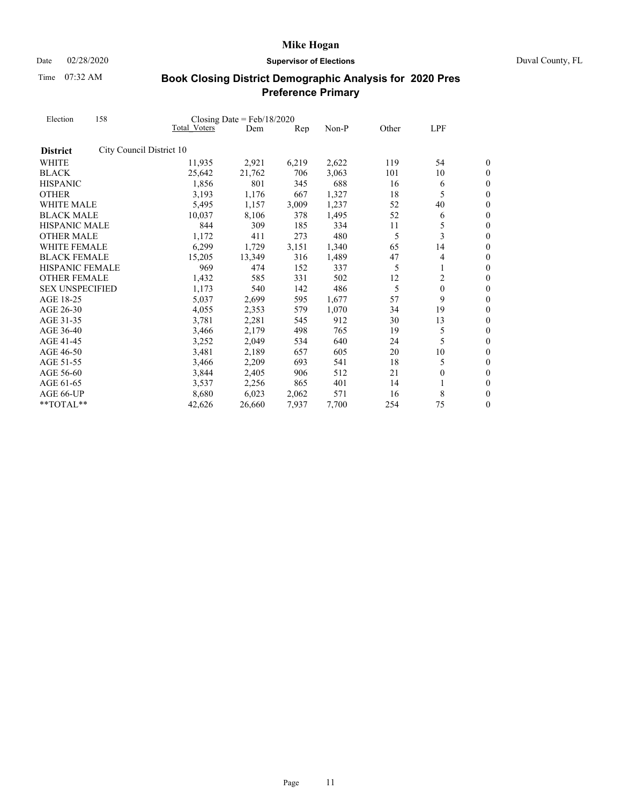Date 02/28/2020 **Supervisor of Elections** Duval County, FL

Time 07:32 AM

| Election               | 158                      |              | Closing Date = $Feb/18/2020$ |       |       |       |              |                  |
|------------------------|--------------------------|--------------|------------------------------|-------|-------|-------|--------------|------------------|
|                        |                          | Total Voters | Dem                          | Rep   | Non-P | Other | LPF          |                  |
| <b>District</b>        | City Council District 10 |              |                              |       |       |       |              |                  |
| <b>WHITE</b>           |                          | 11,935       | 2,921                        | 6,219 | 2,622 | 119   | 54           | 0                |
| <b>BLACK</b>           |                          | 25,642       | 21,762                       | 706   | 3,063 | 101   | 10           | 0                |
| <b>HISPANIC</b>        |                          | 1,856        | 801                          | 345   | 688   | 16    | 6            | $\boldsymbol{0}$ |
| <b>OTHER</b>           |                          | 3,193        | 1,176                        | 667   | 1,327 | 18    | 5            | $\boldsymbol{0}$ |
| WHITE MALE             |                          | 5,495        | 1,157                        | 3,009 | 1,237 | 52    | 40           | $\overline{0}$   |
| <b>BLACK MALE</b>      |                          | 10,037       | 8,106                        | 378   | 1,495 | 52    | 6            | $\boldsymbol{0}$ |
| <b>HISPANIC MALE</b>   |                          | 844          | 309                          | 185   | 334   | 11    | 5            | $\overline{0}$   |
| <b>OTHER MALE</b>      |                          | 1,172        | 411                          | 273   | 480   | 5     | 3            | $\theta$         |
| WHITE FEMALE           |                          | 6,299        | 1,729                        | 3,151 | 1,340 | 65    | 14           | $\boldsymbol{0}$ |
| <b>BLACK FEMALE</b>    |                          | 15,205       | 13,349                       | 316   | 1,489 | 47    | 4            | $\boldsymbol{0}$ |
| <b>HISPANIC FEMALE</b> |                          | 969          | 474                          | 152   | 337   | 5     | 1            | $\overline{0}$   |
| <b>OTHER FEMALE</b>    |                          | 1,432        | 585                          | 331   | 502   | 12    | 2            | $\boldsymbol{0}$ |
| <b>SEX UNSPECIFIED</b> |                          | 1,173        | 540                          | 142   | 486   | 5     | $\mathbf{0}$ | $\boldsymbol{0}$ |
| AGE 18-25              |                          | 5,037        | 2,699                        | 595   | 1,677 | 57    | 9            | $\overline{0}$   |
| AGE 26-30              |                          | 4,055        | 2,353                        | 579   | 1,070 | 34    | 19           | $\overline{0}$   |
| AGE 31-35              |                          | 3,781        | 2,281                        | 545   | 912   | 30    | 13           | $\boldsymbol{0}$ |
| AGE 36-40              |                          | 3,466        | 2,179                        | 498   | 765   | 19    | 5            | $\overline{0}$   |
| AGE 41-45              |                          | 3,252        | 2,049                        | 534   | 640   | 24    | 5            | $\overline{0}$   |
| AGE 46-50              |                          | 3,481        | 2,189                        | 657   | 605   | 20    | 10           | $\boldsymbol{0}$ |
| AGE 51-55              |                          | 3,466        | 2,209                        | 693   | 541   | 18    | 5            | $\theta$         |
| AGE 56-60              |                          | 3,844        | 2,405                        | 906   | 512   | 21    | $\mathbf{0}$ | $\overline{0}$   |
| AGE 61-65              |                          | 3,537        | 2,256                        | 865   | 401   | 14    |              | $\boldsymbol{0}$ |
| AGE 66-UP              |                          | 8,680        | 6,023                        | 2,062 | 571   | 16    | 8            | $\overline{0}$   |
| **TOTAL**              |                          | 42,626       | 26,660                       | 7.937 | 7,700 | 254   | 75           | 0                |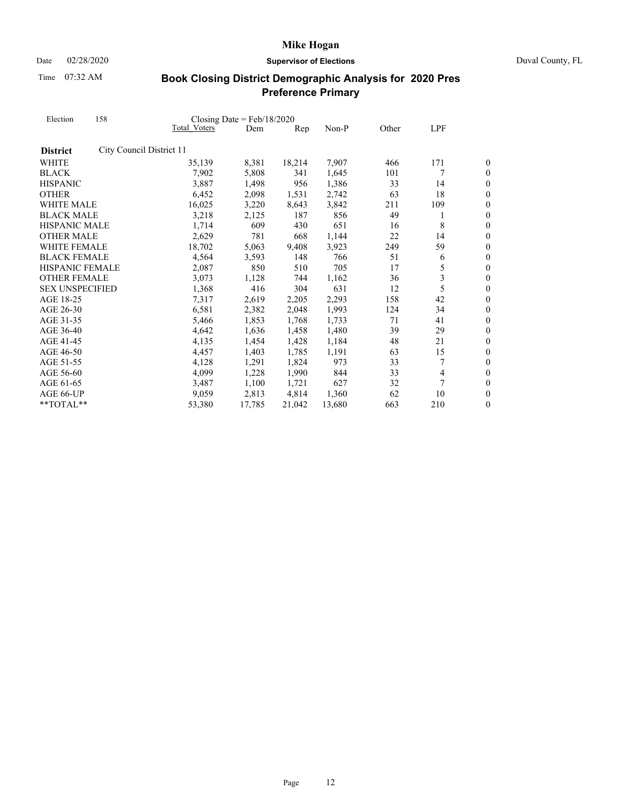Date 02/28/2020 **Supervisor of Elections** Duval County, FL

Time 07:32 AM

| Election<br><b>District</b><br><b>WHITE</b><br><b>BLACK</b><br><b>HISPANIC</b><br><b>OTHER</b><br>AGE 18-25<br>AGE 26-30<br>AGE 31-35<br>AGE 36-40<br>AGE 41-45<br>AGE 46-50<br>AGE 51-55 | 158                      | Closing Date = $Feb/18/2020$ |        |                |        |       |                |                  |
|-------------------------------------------------------------------------------------------------------------------------------------------------------------------------------------------|--------------------------|------------------------------|--------|----------------|--------|-------|----------------|------------------|
|                                                                                                                                                                                           |                          | Total Voters                 | Dem    | $\mathbf{Rep}$ | Non-P  | Other | LPF            |                  |
|                                                                                                                                                                                           | City Council District 11 |                              |        |                |        |       |                |                  |
|                                                                                                                                                                                           |                          | 35,139                       | 8,381  | 18,214         | 7,907  | 466   | 171            | 0                |
|                                                                                                                                                                                           |                          | 7,902                        | 5,808  | 341            | 1,645  | 101   | 7              | $\boldsymbol{0}$ |
|                                                                                                                                                                                           |                          | 3,887                        | 1,498  | 956            | 1,386  | 33    | 14             | $\boldsymbol{0}$ |
|                                                                                                                                                                                           |                          | 6,452                        | 2,098  | 1,531          | 2,742  | 63    | 18             | $\overline{0}$   |
| WHITE MALE                                                                                                                                                                                |                          | 16,025                       | 3,220  | 8,643          | 3,842  | 211   | 109            | $\overline{0}$   |
| <b>BLACK MALE</b>                                                                                                                                                                         |                          | 3,218                        | 2,125  | 187            | 856    | 49    | 1              | $\boldsymbol{0}$ |
| HISPANIC MALE                                                                                                                                                                             |                          | 1,714                        | 609    | 430            | 651    | 16    | 8              | $\overline{0}$   |
| <b>OTHER MALE</b>                                                                                                                                                                         |                          | 2,629                        | 781    | 668            | 1,144  | 22    | 14             | $\overline{0}$   |
| <b>WHITE FEMALE</b>                                                                                                                                                                       |                          | 18,702                       | 5,063  | 9,408          | 3,923  | 249   | 59             | $\boldsymbol{0}$ |
| <b>BLACK FEMALE</b>                                                                                                                                                                       |                          | 4,564                        | 3,593  | 148            | 766    | 51    | 6              | $\boldsymbol{0}$ |
| <b>HISPANIC FEMALE</b>                                                                                                                                                                    |                          | 2,087                        | 850    | 510            | 705    | 17    | 5              | $\overline{0}$   |
| <b>OTHER FEMALE</b>                                                                                                                                                                       |                          | 3,073                        | 1,128  | 744            | 1,162  | 36    | 3              | $\overline{0}$   |
| <b>SEX UNSPECIFIED</b>                                                                                                                                                                    |                          | 1,368                        | 416    | 304            | 631    | 12    | 5              | $\boldsymbol{0}$ |
|                                                                                                                                                                                           |                          | 7,317                        | 2,619  | 2,205          | 2,293  | 158   | 42             | $\overline{0}$   |
|                                                                                                                                                                                           |                          | 6,581                        | 2,382  | 2,048          | 1,993  | 124   | 34             | $\boldsymbol{0}$ |
|                                                                                                                                                                                           |                          | 5,466                        | 1,853  | 1,768          | 1,733  | 71    | 41             | $\overline{0}$   |
|                                                                                                                                                                                           |                          | 4,642                        | 1,636  | 1,458          | 1,480  | 39    | 29             | $\overline{0}$   |
|                                                                                                                                                                                           |                          | 4,135                        | 1,454  | 1,428          | 1,184  | 48    | 21             | $\boldsymbol{0}$ |
|                                                                                                                                                                                           |                          | 4,457                        | 1,403  | 1,785          | 1,191  | 63    | 15             | $\boldsymbol{0}$ |
|                                                                                                                                                                                           |                          | 4,128                        | 1,291  | 1,824          | 973    | 33    | 7              | $\overline{0}$   |
| AGE 56-60                                                                                                                                                                                 |                          | 4,099                        | 1,228  | 1,990          | 844    | 33    | $\overline{4}$ | $\boldsymbol{0}$ |
| AGE 61-65                                                                                                                                                                                 |                          | 3,487                        | 1,100  | 1,721          | 627    | 32    | 7              | $\boldsymbol{0}$ |
| AGE 66-UP                                                                                                                                                                                 |                          | 9,059                        | 2,813  | 4,814          | 1.360  | 62    | 10             | $\overline{0}$   |
| **TOTAL**                                                                                                                                                                                 |                          | 53,380                       | 17,785 | 21,042         | 13,680 | 663   | 210            | $\boldsymbol{0}$ |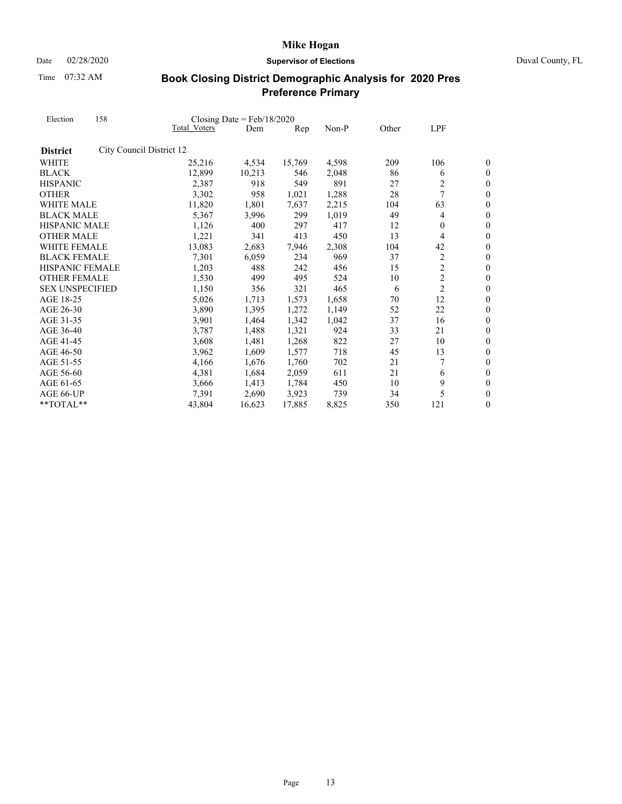Date 02/28/2020 **Supervisor of Elections** Duval County, FL

Time 07:32 AM

| Election<br><b>District</b><br><b>WHITE</b><br><b>BLACK</b><br><b>HISPANIC</b><br><b>OTHER</b><br>WHITE MALE<br><b>BLACK MALE</b><br>HISPANIC MALE<br><b>OTHER MALE</b><br>WHITE FEMALE<br><b>BLACK FEMALE</b><br><b>HISPANIC FEMALE</b><br><b>OTHER FEMALE</b><br><b>SEX UNSPECIFIED</b><br>AGE 18-25<br>AGE 26-30<br>AGE 31-35<br>AGE 36-40<br>AGE 41-45<br>AGE 46-50 | 158                      |              | Closing Date = $Feb/18/2020$ |        |       |       |                |                  |
|-------------------------------------------------------------------------------------------------------------------------------------------------------------------------------------------------------------------------------------------------------------------------------------------------------------------------------------------------------------------------|--------------------------|--------------|------------------------------|--------|-------|-------|----------------|------------------|
|                                                                                                                                                                                                                                                                                                                                                                         |                          | Total Voters | Dem                          | Rep    | Non-P | Other | LPF            |                  |
|                                                                                                                                                                                                                                                                                                                                                                         | City Council District 12 |              |                              |        |       |       |                |                  |
|                                                                                                                                                                                                                                                                                                                                                                         |                          | 25,216       | 4,534                        | 15,769 | 4,598 | 209   | 106            | 0                |
|                                                                                                                                                                                                                                                                                                                                                                         |                          | 12,899       | 10,213                       | 546    | 2,048 | 86    | 6              | $\boldsymbol{0}$ |
|                                                                                                                                                                                                                                                                                                                                                                         |                          | 2,387        | 918                          | 549    | 891   | 27    | 2              | $\boldsymbol{0}$ |
|                                                                                                                                                                                                                                                                                                                                                                         |                          | 3,302        | 958                          | 1,021  | 1,288 | 28    | 7              | $\overline{0}$   |
|                                                                                                                                                                                                                                                                                                                                                                         |                          | 11,820       | 1,801                        | 7,637  | 2,215 | 104   | 63             | $\overline{0}$   |
|                                                                                                                                                                                                                                                                                                                                                                         |                          | 5,367        | 3,996                        | 299    | 1,019 | 49    | 4              | $\boldsymbol{0}$ |
|                                                                                                                                                                                                                                                                                                                                                                         |                          | 1,126        | 400                          | 297    | 417   | 12    | $\theta$       | $\overline{0}$   |
|                                                                                                                                                                                                                                                                                                                                                                         |                          | 1,221        | 341                          | 413    | 450   | 13    | 4              | $\theta$         |
|                                                                                                                                                                                                                                                                                                                                                                         |                          | 13,083       | 2,683                        | 7,946  | 2,308 | 104   | 42             | $\boldsymbol{0}$ |
|                                                                                                                                                                                                                                                                                                                                                                         |                          | 7,301        | 6,059                        | 234    | 969   | 37    | $\overline{c}$ | $\boldsymbol{0}$ |
|                                                                                                                                                                                                                                                                                                                                                                         |                          | 1,203        | 488                          | 242    | 456   | 15    | $\overline{c}$ | $\overline{0}$   |
|                                                                                                                                                                                                                                                                                                                                                                         |                          | 1,530        | 499                          | 495    | 524   | 10    | $\overline{c}$ | $\boldsymbol{0}$ |
|                                                                                                                                                                                                                                                                                                                                                                         |                          | 1,150        | 356                          | 321    | 465   | 6     | $\overline{2}$ | $\boldsymbol{0}$ |
|                                                                                                                                                                                                                                                                                                                                                                         |                          | 5,026        | 1,713                        | 1,573  | 1,658 | 70    | 12             | $\overline{0}$   |
|                                                                                                                                                                                                                                                                                                                                                                         |                          | 3,890        | 1,395                        | 1,272  | 1,149 | 52    | 22             | $\overline{0}$   |
|                                                                                                                                                                                                                                                                                                                                                                         |                          | 3,901        | 1,464                        | 1,342  | 1,042 | 37    | 16             | $\boldsymbol{0}$ |
|                                                                                                                                                                                                                                                                                                                                                                         |                          | 3,787        | 1,488                        | 1,321  | 924   | 33    | 21             | $\overline{0}$   |
|                                                                                                                                                                                                                                                                                                                                                                         |                          | 3,608        | 1,481                        | 1,268  | 822   | 27    | 10             | $\boldsymbol{0}$ |
|                                                                                                                                                                                                                                                                                                                                                                         |                          | 3,962        | 1,609                        | 1,577  | 718   | 45    | 13             | $\overline{0}$   |
| AGE 51-55                                                                                                                                                                                                                                                                                                                                                               |                          | 4,166        | 1,676                        | 1,760  | 702   | 21    |                | $\theta$         |
| AGE 56-60                                                                                                                                                                                                                                                                                                                                                               |                          | 4,381        | 1,684                        | 2,059  | 611   | 21    | 6              | $\overline{0}$   |
| AGE 61-65                                                                                                                                                                                                                                                                                                                                                               |                          | 3,666        | 1,413                        | 1,784  | 450   | 10    | 9              | $\boldsymbol{0}$ |
| AGE 66-UP                                                                                                                                                                                                                                                                                                                                                               |                          | 7,391        | 2,690                        | 3,923  | 739   | 34    | 5              | $\overline{0}$   |
| $*$ TOTAL $*$                                                                                                                                                                                                                                                                                                                                                           |                          | 43,804       | 16,623                       | 17,885 | 8,825 | 350   | 121            | $\boldsymbol{0}$ |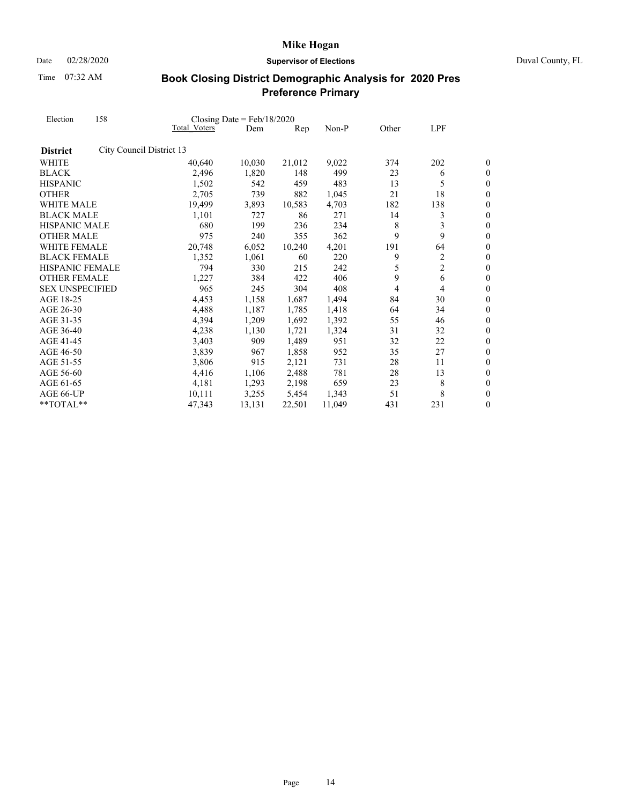Date 02/28/2020 **Supervisor of Elections** Duval County, FL

Time 07:32 AM

| Election               | 158                      | Closing Date = $Feb/18/2020$ |        |        |        |       |                |                  |
|------------------------|--------------------------|------------------------------|--------|--------|--------|-------|----------------|------------------|
|                        |                          | Total Voters                 | Dem    | Rep    | Non-P  | Other | LPF            |                  |
| <b>District</b>        | City Council District 13 |                              |        |        |        |       |                |                  |
| <b>WHITE</b>           |                          | 40,640                       | 10,030 | 21,012 | 9,022  | 374   | 202            | 0                |
| <b>BLACK</b>           |                          | 2,496                        | 1,820  | 148    | 499    | 23    | 6              | 0                |
| <b>HISPANIC</b>        |                          | 1,502                        | 542    | 459    | 483    | 13    | 5              | $\overline{0}$   |
| <b>OTHER</b>           |                          | 2,705                        | 739    | 882    | 1,045  | 21    | 18             | $\overline{0}$   |
| WHITE MALE             |                          | 19,499                       | 3,893  | 10,583 | 4,703  | 182   | 138            | 0                |
| <b>BLACK MALE</b>      |                          | 1,101                        | 727    | 86     | 271    | 14    | 3              | $\overline{0}$   |
| HISPANIC MALE          |                          | 680                          | 199    | 236    | 234    | 8     | 3              | $\overline{0}$   |
| <b>OTHER MALE</b>      |                          | 975                          | 240    | 355    | 362    | 9     | 9              | $\overline{0}$   |
| <b>WHITE FEMALE</b>    |                          | 20,748                       | 6,052  | 10,240 | 4,201  | 191   | 64             | $\overline{0}$   |
| <b>BLACK FEMALE</b>    |                          | 1,352                        | 1,061  | 60     | 220    | 9     | 2              | $\boldsymbol{0}$ |
| <b>HISPANIC FEMALE</b> |                          | 794                          | 330    | 215    | 242    | 5     | $\overline{c}$ | $\overline{0}$   |
| <b>OTHER FEMALE</b>    |                          | 1,227                        | 384    | 422    | 406    | 9     | 6              | $\overline{0}$   |
| <b>SEX UNSPECIFIED</b> |                          | 965                          | 245    | 304    | 408    | 4     | 4              | $\overline{0}$   |
| AGE 18-25              |                          | 4,453                        | 1,158  | 1,687  | 1,494  | 84    | 30             | $\overline{0}$   |
| AGE 26-30              |                          | 4,488                        | 1,187  | 1,785  | 1,418  | 64    | 34             | $\overline{0}$   |
| AGE 31-35              |                          | 4,394                        | 1,209  | 1,692  | 1,392  | 55    | 46             | $\boldsymbol{0}$ |
| AGE 36-40              |                          | 4,238                        | 1,130  | 1,721  | 1,324  | 31    | 32             | $\overline{0}$   |
| AGE 41-45              |                          | 3,403                        | 909    | 1,489  | 951    | 32    | 22             | $\overline{0}$   |
| AGE 46-50              |                          | 3,839                        | 967    | 1,858  | 952    | 35    | 27             | $\boldsymbol{0}$ |
| AGE 51-55              |                          | 3,806                        | 915    | 2,121  | 731    | 28    | 11             | $\overline{0}$   |
| AGE 56-60              |                          | 4,416                        | 1,106  | 2,488  | 781    | 28    | 13             | $\boldsymbol{0}$ |
| AGE 61-65              |                          | 4,181                        | 1,293  | 2,198  | 659    | 23    | 8              | $\boldsymbol{0}$ |
| AGE 66-UP              |                          | 10,111                       | 3,255  | 5,454  | 1.343  | 51    | 8              | $\overline{0}$   |
| **TOTAL**              |                          | 47,343                       | 13,131 | 22,501 | 11,049 | 431   | 231            | 0                |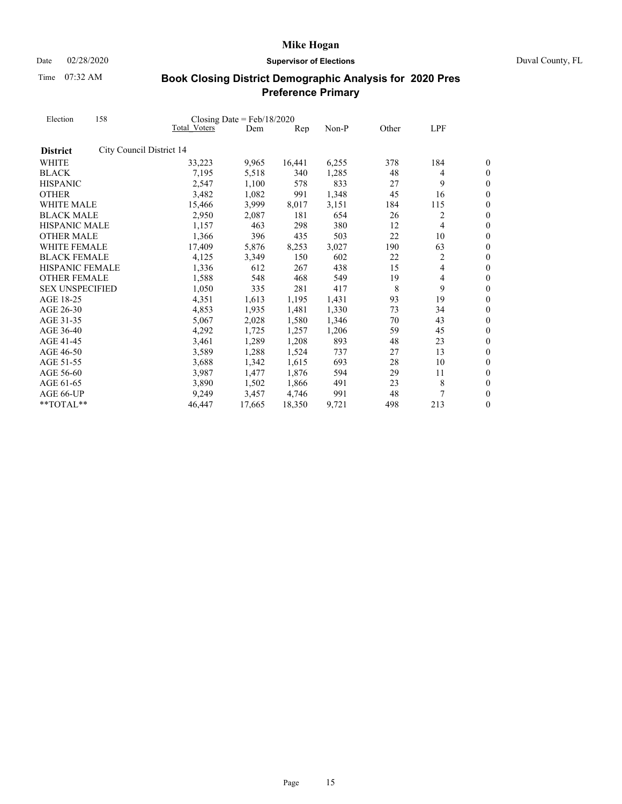Date 02/28/2020 **Supervisor of Elections** Duval County, FL

Time 07:32 AM

| Election<br><b>District</b><br><b>WHITE</b><br><b>BLACK</b><br><b>HISPANIC</b><br><b>OTHER</b><br>WHITE MALE<br><b>BLACK MALE</b><br>HISPANIC MALE<br><b>OTHER MALE</b><br><b>WHITE FEMALE</b><br><b>BLACK FEMALE</b><br><b>HISPANIC FEMALE</b><br><b>OTHER FEMALE</b><br><b>SEX UNSPECIFIED</b><br>AGE 18-25<br>AGE 26-30<br>AGE 31-35<br>AGE 36-40<br>AGE 41-45<br>AGE 46-50 | 158                      |                     | Closing Date = $Feb/18/2020$ |                |       |       |                |                  |
|--------------------------------------------------------------------------------------------------------------------------------------------------------------------------------------------------------------------------------------------------------------------------------------------------------------------------------------------------------------------------------|--------------------------|---------------------|------------------------------|----------------|-------|-------|----------------|------------------|
|                                                                                                                                                                                                                                                                                                                                                                                |                          | <b>Total Voters</b> | Dem                          | $\mathbf{Rep}$ | Non-P | Other | LPF            |                  |
|                                                                                                                                                                                                                                                                                                                                                                                | City Council District 14 |                     |                              |                |       |       |                |                  |
|                                                                                                                                                                                                                                                                                                                                                                                |                          | 33,223              | 9,965                        | 16,441         | 6,255 | 378   | 184            | 0                |
|                                                                                                                                                                                                                                                                                                                                                                                |                          | 7,195               | 5,518                        | 340            | 1,285 | 48    | $\overline{4}$ | $\boldsymbol{0}$ |
|                                                                                                                                                                                                                                                                                                                                                                                |                          | 2,547               | 1,100                        | 578            | 833   | 27    | 9              | $\overline{0}$   |
|                                                                                                                                                                                                                                                                                                                                                                                |                          | 3,482               | 1,082                        | 991            | 1,348 | 45    | 16             | $\overline{0}$   |
|                                                                                                                                                                                                                                                                                                                                                                                |                          | 15,466              | 3,999                        | 8,017          | 3,151 | 184   | 115            | $\overline{0}$   |
|                                                                                                                                                                                                                                                                                                                                                                                |                          | 2,950               | 2,087                        | 181            | 654   | 26    | 2              | $\boldsymbol{0}$ |
|                                                                                                                                                                                                                                                                                                                                                                                |                          | 1,157               | 463                          | 298            | 380   | 12    | 4              | $\overline{0}$   |
|                                                                                                                                                                                                                                                                                                                                                                                |                          | 1,366               | 396                          | 435            | 503   | 22    | 10             | $\overline{0}$   |
|                                                                                                                                                                                                                                                                                                                                                                                |                          | 17,409              | 5,876                        | 8,253          | 3,027 | 190   | 63             | $\boldsymbol{0}$ |
|                                                                                                                                                                                                                                                                                                                                                                                |                          | 4,125               | 3,349                        | 150            | 602   | 22    | 2              | $\boldsymbol{0}$ |
|                                                                                                                                                                                                                                                                                                                                                                                |                          | 1,336               | 612                          | 267            | 438   | 15    | 4              | $\overline{0}$   |
|                                                                                                                                                                                                                                                                                                                                                                                |                          | 1,588               | 548                          | 468            | 549   | 19    | 4              | $\overline{0}$   |
|                                                                                                                                                                                                                                                                                                                                                                                |                          | 1,050               | 335                          | 281            | 417   | 8     | 9              | $\boldsymbol{0}$ |
|                                                                                                                                                                                                                                                                                                                                                                                |                          | 4,351               | 1,613                        | 1,195          | 1,431 | 93    | 19             | $\overline{0}$   |
|                                                                                                                                                                                                                                                                                                                                                                                |                          | 4,853               | 1,935                        | 1,481          | 1,330 | 73    | 34             | $\boldsymbol{0}$ |
|                                                                                                                                                                                                                                                                                                                                                                                |                          | 5,067               | 2,028                        | 1,580          | 1,346 | 70    | 43             | $\overline{0}$   |
|                                                                                                                                                                                                                                                                                                                                                                                |                          | 4,292               | 1,725                        | 1,257          | 1,206 | 59    | 45             | $\overline{0}$   |
|                                                                                                                                                                                                                                                                                                                                                                                |                          | 3,461               | 1,289                        | 1,208          | 893   | 48    | 23             | $\boldsymbol{0}$ |
|                                                                                                                                                                                                                                                                                                                                                                                |                          | 3,589               | 1,288                        | 1,524          | 737   | 27    | 13             | $\overline{0}$   |
| AGE 51-55                                                                                                                                                                                                                                                                                                                                                                      |                          | 3,688               | 1,342                        | 1,615          | 693   | 28    | 10             | $\overline{0}$   |
| AGE 56-60                                                                                                                                                                                                                                                                                                                                                                      |                          | 3,987               | 1,477                        | 1,876          | 594   | 29    | 11             | $\boldsymbol{0}$ |
| AGE 61-65                                                                                                                                                                                                                                                                                                                                                                      |                          | 3,890               | 1,502                        | 1,866          | 491   | 23    | 8              | $\boldsymbol{0}$ |
| AGE 66-UP                                                                                                                                                                                                                                                                                                                                                                      |                          | 9,249               | 3,457                        | 4,746          | 991   | 48    |                | $\overline{0}$   |
| **TOTAL**                                                                                                                                                                                                                                                                                                                                                                      |                          | 46,447              | 17,665                       | 18,350         | 9,721 | 498   | 213            | $\boldsymbol{0}$ |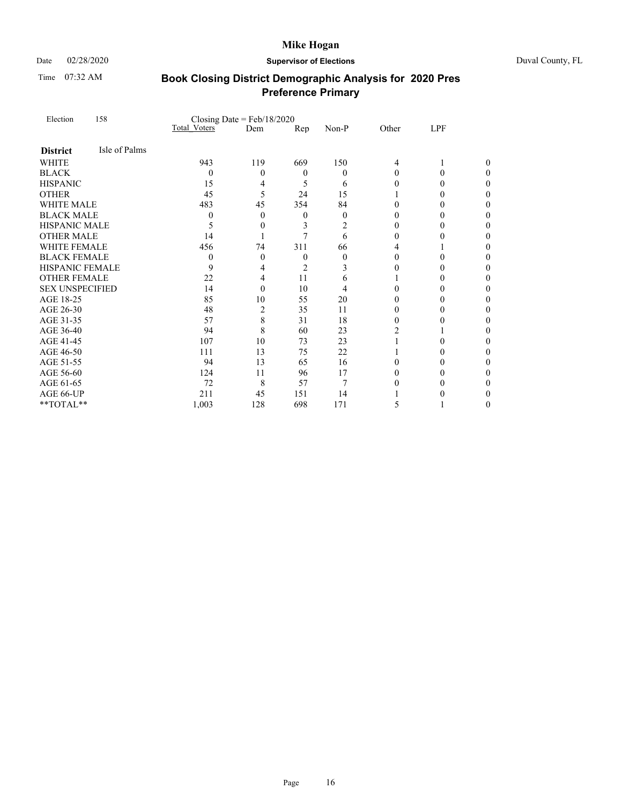Time 07:32 AM

### Date 02/28/2020 **Supervisor of Elections** Duval County, FL

| Election               | 158           | Closing Date = $Feb/18/2020$ |     |                  |                |                |        |   |
|------------------------|---------------|------------------------------|-----|------------------|----------------|----------------|--------|---|
|                        |               | <b>Total Voters</b>          | Dem | Rep              | Non-P          | Other          | LPF    |   |
| <b>District</b>        | Isle of Palms |                              |     |                  |                |                |        |   |
| <b>WHITE</b>           |               | 943                          | 119 | 669              | 150            | 4              | 1      | 0 |
| <b>BLACK</b>           |               | $\theta$                     | 0   | $\boldsymbol{0}$ | $\theta$       | $\Omega$       | 0      | 0 |
| <b>HISPANIC</b>        |               | 15                           | 4   | 5                | 6              | 0              | 0      | 0 |
| <b>OTHER</b>           |               | 45                           | 5   | 24               | 15             |                | 0      | 0 |
| <b>WHITE MALE</b>      |               | 483                          | 45  | 354              | 84             | $\Omega$       | 0      | 0 |
| <b>BLACK MALE</b>      |               | $\theta$                     | 0   | 0                | $\overline{0}$ | $\theta$       | 0      | 0 |
| HISPANIC MALE          |               | 5                            | 0   | 3                | 2              | 0              | 0      | 0 |
| <b>OTHER MALE</b>      |               | 14                           |     | 7                | 6              | $\theta$       | $_{0}$ | 0 |
| WHITE FEMALE           |               | 456                          | 74  | 311              | 66             | 4              |        | 0 |
| <b>BLACK FEMALE</b>    |               | $\theta$                     | 0   | $\mathbf{0}$     | $\theta$       | $\Omega$       | 0      | 0 |
| <b>HISPANIC FEMALE</b> |               | 9                            | 4   | $\overline{2}$   | 3              | $\theta$       | $_{0}$ | 0 |
| <b>OTHER FEMALE</b>    |               | 22                           | 4   | 11               | 6              |                | 0      | 0 |
| <b>SEX UNSPECIFIED</b> |               | 14                           | 0   | 10               | 4              | 0              | 0      | 0 |
| AGE 18-25              |               | 85                           | 10  | 55               | 20             | 0              | 0      | 0 |
| AGE 26-30              |               | 48                           | 2   | 35               | 11             | $\theta$       | 0      | 0 |
| AGE 31-35              |               | 57                           | 8   | 31               | 18             | 0              | 0      | 0 |
| AGE 36-40              |               | 94                           | 8   | 60               | 23             | $\overline{2}$ |        | 0 |
| AGE 41-45              |               | 107                          | 10  | 73               | 23             |                | 0      | 0 |
| AGE 46-50              |               | 111                          | 13  | 75               | 22             |                | 0      | 0 |
| AGE 51-55              |               | 94                           | 13  | 65               | 16             | $\Omega$       | $_{0}$ | 0 |
| AGE 56-60              |               | 124                          | 11  | 96               | 17             | $\theta$       | 0      | 0 |
| AGE 61-65              |               | 72                           | 8   | 57               | 7              | 0              | 0      | 0 |
| AGE 66-UP              |               | 211                          | 45  | 151              | 14             |                | 0      | 0 |
| **TOTAL**              |               | 1,003                        | 128 | 698              | 171            | 5              |        | 0 |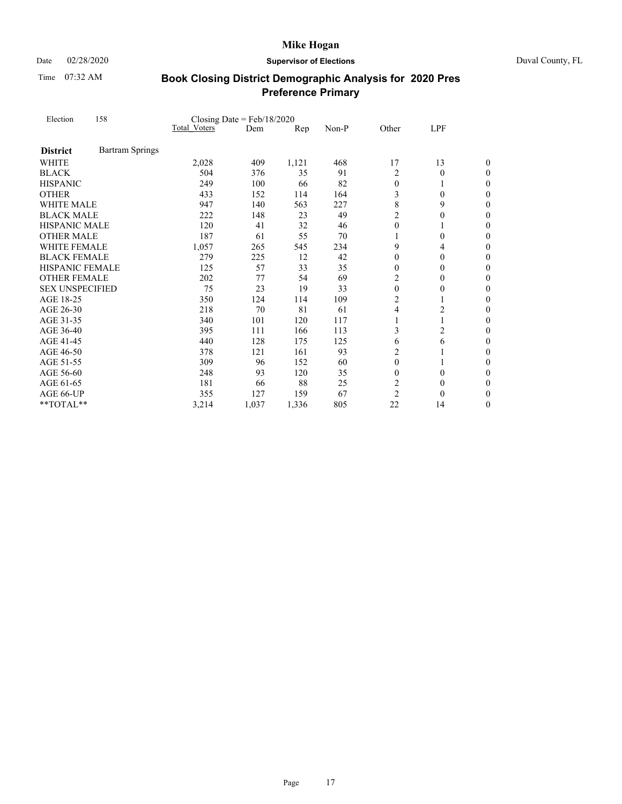Time 07:32 AM

### Date 02/28/2020 **Supervisor of Elections** Duval County, FL

| Election               | 158                    | Closing Date = $Feb/18/2020$ |       |       |       |                |                |                  |
|------------------------|------------------------|------------------------------|-------|-------|-------|----------------|----------------|------------------|
|                        |                        | Total Voters                 | Dem   | Rep   | Non-P | Other          | LPF            |                  |
| <b>District</b>        | <b>Bartram Springs</b> |                              |       |       |       |                |                |                  |
| <b>WHITE</b>           |                        | 2,028                        | 409   | 1,121 | 468   | 17             | 13             | 0                |
| <b>BLACK</b>           |                        | 504                          | 376   | 35    | 91    | $\overline{c}$ | $\overline{0}$ | 0                |
| <b>HISPANIC</b>        |                        | 249                          | 100   | 66    | 82    | $\mathbf{0}$   | 1              | $\boldsymbol{0}$ |
| <b>OTHER</b>           |                        | 433                          | 152   | 114   | 164   | 3              | $\Omega$       | $\boldsymbol{0}$ |
| <b>WHITE MALE</b>      |                        | 947                          | 140   | 563   | 227   | 8              | 9              | $\overline{0}$   |
| <b>BLACK MALE</b>      |                        | 222                          | 148   | 23    | 49    | $\overline{2}$ | $\mathbf{0}$   | $\boldsymbol{0}$ |
| <b>HISPANIC MALE</b>   |                        | 120                          | 41    | 32    | 46    | $\theta$       | 1              | $\overline{0}$   |
| <b>OTHER MALE</b>      |                        | 187                          | 61    | 55    | 70    | 1              | $\theta$       | $\theta$         |
| <b>WHITE FEMALE</b>    |                        | 1,057                        | 265   | 545   | 234   | 9              | 4              | $\boldsymbol{0}$ |
| <b>BLACK FEMALE</b>    |                        | 279                          | 225   | 12    | 42    | $\theta$       | $\theta$       | $\boldsymbol{0}$ |
| <b>HISPANIC FEMALE</b> |                        | 125                          | 57    | 33    | 35    | $\theta$       | $\theta$       | $\theta$         |
| <b>OTHER FEMALE</b>    |                        | 202                          | 77    | 54    | 69    | $\overline{2}$ | $\theta$       | $\boldsymbol{0}$ |
| <b>SEX UNSPECIFIED</b> |                        | 75                           | 23    | 19    | 33    | $\theta$       | $\theta$       | $\boldsymbol{0}$ |
| AGE 18-25              |                        | 350                          | 124   | 114   | 109   | $\overline{c}$ |                | $\overline{0}$   |
| AGE 26-30              |                        | 218                          | 70    | 81    | 61    | 4              | $\overline{c}$ | $\overline{0}$   |
| AGE 31-35              |                        | 340                          | 101   | 120   | 117   | 1              | 1              | $\boldsymbol{0}$ |
| AGE 36-40              |                        | 395                          | 111   | 166   | 113   | 3              | $\overline{c}$ | $\overline{0}$   |
| AGE 41-45              |                        | 440                          | 128   | 175   | 125   | 6              | 6              | $\boldsymbol{0}$ |
| AGE 46-50              |                        | 378                          | 121   | 161   | 93    | $\overline{c}$ |                | $\overline{0}$   |
| AGE 51-55              |                        | 309                          | 96    | 152   | 60    | $\theta$       | 1              | $\theta$         |
| AGE 56-60              |                        | 248                          | 93    | 120   | 35    | $\theta$       | $\mathbf{0}$   | $\boldsymbol{0}$ |
| AGE 61-65              |                        | 181                          | 66    | 88    | 25    | 2              | $\Omega$       | $\boldsymbol{0}$ |
| AGE 66-UP              |                        | 355                          | 127   | 159   | 67    | $\overline{2}$ | $\Omega$       | 0                |
| **TOTAL**              |                        | 3,214                        | 1,037 | 1,336 | 805   | 22             | 14             | 0                |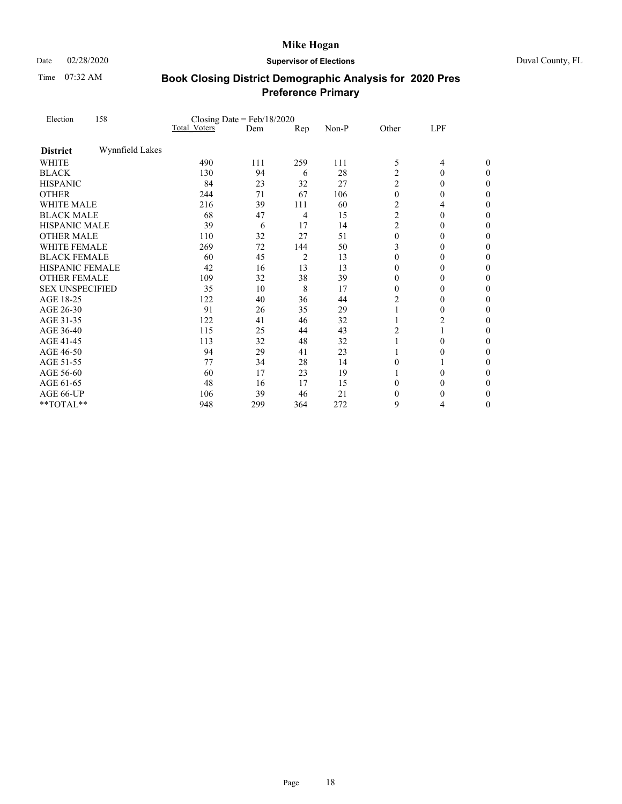Date 02/28/2020 **Supervisor of Elections** Duval County, FL

Time 07:32 AM

| Election<br><b>District</b><br><b>WHITE</b><br><b>BLACK</b><br><b>HISPANIC</b><br><b>OTHER</b><br><b>WHITE MALE</b><br><b>BLACK MALE</b><br><b>HISPANIC MALE</b><br><b>OTHER MALE</b><br><b>WHITE FEMALE</b><br><b>BLACK FEMALE</b><br><b>HISPANIC FEMALE</b><br><b>OTHER FEMALE</b><br><b>SEX UNSPECIFIED</b><br>AGE 18-25<br>AGE 26-30<br>AGE 31-35<br>AGE 36-40<br>AGE 41-45 | 158             |              | Closing Date = $Feb/18/2020$ |                |       |                |                |                  |
|---------------------------------------------------------------------------------------------------------------------------------------------------------------------------------------------------------------------------------------------------------------------------------------------------------------------------------------------------------------------------------|-----------------|--------------|------------------------------|----------------|-------|----------------|----------------|------------------|
|                                                                                                                                                                                                                                                                                                                                                                                 |                 | Total Voters | Dem                          | Rep            | Non-P | Other          | LPF            |                  |
|                                                                                                                                                                                                                                                                                                                                                                                 | Wynnfield Lakes |              |                              |                |       |                |                |                  |
|                                                                                                                                                                                                                                                                                                                                                                                 |                 | 490          | 111                          | 259            | 111   | 5              | $\overline{4}$ | 0                |
|                                                                                                                                                                                                                                                                                                                                                                                 |                 | 130          | 94                           | 6              | 28    | $\overline{2}$ | $\theta$       | 0                |
|                                                                                                                                                                                                                                                                                                                                                                                 |                 | 84           | 23                           | 32             | 27    | $\overline{2}$ | $\theta$       | $\boldsymbol{0}$ |
|                                                                                                                                                                                                                                                                                                                                                                                 |                 | 244          | 71                           | 67             | 106   | $\theta$       | $\theta$       | $\boldsymbol{0}$ |
|                                                                                                                                                                                                                                                                                                                                                                                 |                 | 216          | 39                           | 111            | 60    | $\overline{c}$ | 4              | $\overline{0}$   |
|                                                                                                                                                                                                                                                                                                                                                                                 |                 | 68           | 47                           | 4              | 15    | $\overline{2}$ | $\theta$       | $\boldsymbol{0}$ |
|                                                                                                                                                                                                                                                                                                                                                                                 |                 | 39           | 6                            | 17             | 14    | $\overline{c}$ | $\theta$       | 0                |
|                                                                                                                                                                                                                                                                                                                                                                                 |                 | 110          | 32                           | 27             | 51    | $\theta$       | $\theta$       | 0                |
|                                                                                                                                                                                                                                                                                                                                                                                 |                 | 269          | 72                           | 144            | 50    | 3              | $\theta$       | 0                |
|                                                                                                                                                                                                                                                                                                                                                                                 |                 | 60           | 45                           | $\overline{c}$ | 13    | $\theta$       | $\theta$       | $\boldsymbol{0}$ |
|                                                                                                                                                                                                                                                                                                                                                                                 |                 | 42           | 16                           | 13             | 13    | $\theta$       | $\theta$       | 0                |
|                                                                                                                                                                                                                                                                                                                                                                                 |                 | 109          | 32                           | 38             | 39    | $\overline{0}$ | $\theta$       | $\boldsymbol{0}$ |
|                                                                                                                                                                                                                                                                                                                                                                                 |                 | 35           | 10                           | 8              | 17    | $\Omega$       | $\Omega$       | $\boldsymbol{0}$ |
|                                                                                                                                                                                                                                                                                                                                                                                 |                 | 122          | 40                           | 36             | 44    | $\overline{c}$ | $\theta$       | 0                |
|                                                                                                                                                                                                                                                                                                                                                                                 |                 | 91           | 26                           | 35             | 29    | 1              | $\theta$       | $\boldsymbol{0}$ |
|                                                                                                                                                                                                                                                                                                                                                                                 |                 | 122          | 41                           | 46             | 32    |                | $\overline{c}$ | 0                |
|                                                                                                                                                                                                                                                                                                                                                                                 |                 | 115          | 25                           | 44             | 43    | $\overline{2}$ | $\mathbf{1}$   | $\overline{0}$   |
|                                                                                                                                                                                                                                                                                                                                                                                 |                 | 113          | 32                           | 48             | 32    | 1              | $\theta$       | $\boldsymbol{0}$ |
| AGE 46-50                                                                                                                                                                                                                                                                                                                                                                       |                 | 94           | 29                           | 41             | 23    |                | $\Omega$       | $\boldsymbol{0}$ |
| AGE 51-55                                                                                                                                                                                                                                                                                                                                                                       |                 | 77           | 34                           | 28             | 14    | $\theta$       |                | 0                |
| AGE 56-60                                                                                                                                                                                                                                                                                                                                                                       |                 | 60           | 17                           | 23             | 19    |                | $\mathbf{0}$   | 0                |
| AGE 61-65                                                                                                                                                                                                                                                                                                                                                                       |                 | 48           | 16                           | 17             | 15    | $\theta$       | $\Omega$       | 0                |
| AGE 66-UP                                                                                                                                                                                                                                                                                                                                                                       |                 | 106          | 39                           | 46             | 21    | $\theta$       | $\theta$       | 0                |
| **TOTAL**                                                                                                                                                                                                                                                                                                                                                                       |                 | 948          | 299                          | 364            | 272   | 9              | 4              | 0                |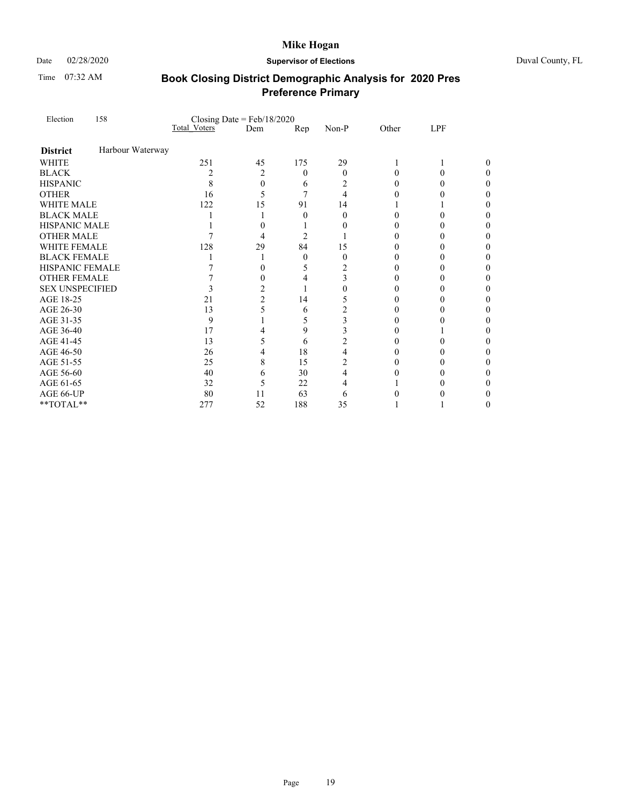Time 07:32 AM

### Date 02/28/2020 **Supervisor of Elections** Duval County, FL

| Election               | 158              |                     | Closing Date = $Feb/18/2020$ |                |                |          |          |   |
|------------------------|------------------|---------------------|------------------------------|----------------|----------------|----------|----------|---|
|                        |                  | <b>Total Voters</b> | Dem                          | Rep            | Non-P          | Other    | LPF      |   |
| <b>District</b>        | Harbour Waterway |                     |                              |                |                |          |          |   |
| <b>WHITE</b>           |                  | 251                 | 45                           | 175            | 29             | 1        |          |   |
| <b>BLACK</b>           |                  | $\overline{c}$      | 2                            | $\theta$       | $\Omega$       | 0        | 0        | 0 |
| <b>HISPANIC</b>        |                  | 8                   | $\theta$                     | 6              | 2              | 0        | $_{0}$   |   |
| <b>OTHER</b>           |                  | 16                  | 5                            | 7              | 4              | $\theta$ |          |   |
| <b>WHITE MALE</b>      |                  | 122                 | 15                           | 91             | 14             |          |          |   |
| <b>BLACK MALE</b>      |                  |                     |                              | $\mathbf{0}$   | $\Omega$       | $\Omega$ | 0        |   |
| <b>HISPANIC MALE</b>   |                  |                     | 0                            |                | $\theta$       | 0        | 0        |   |
| <b>OTHER MALE</b>      |                  |                     | 4                            | $\overline{2}$ |                | 0        | $_{0}$   |   |
| <b>WHITE FEMALE</b>    |                  | 128                 | 29                           | 84             | 15             | 0        | $_{0}$   |   |
| <b>BLACK FEMALE</b>    |                  |                     |                              | $\mathbf{0}$   | $\theta$       | $\theta$ | 0        |   |
| <b>HISPANIC FEMALE</b> |                  |                     | 0                            | 5              | 2              | 0        | $\theta$ |   |
| <b>OTHER FEMALE</b>    |                  |                     | 0                            | 4              | 3              | 0        | $_{0}$   |   |
| <b>SEX UNSPECIFIED</b> |                  | 3                   | 2                            | 1              | 0              | $\theta$ | 0        |   |
| AGE 18-25              |                  | 21                  | $\overline{2}$               | 14             | 5              | 0        | $\theta$ |   |
| AGE 26-30              |                  | 13                  | 5                            | 6              | $\overline{c}$ | 0        | $_{0}$   |   |
| AGE 31-35              |                  | 9                   |                              | 5              | 3              | $\theta$ |          |   |
| AGE 36-40              |                  | 17                  | 4                            | 9              | 3              | 0        |          |   |
| AGE 41-45              |                  | 13                  | 5                            | 6              | $\overline{c}$ | 0        | 0        |   |
| AGE 46-50              |                  | 26                  | 4                            | 18             | 4              | $\theta$ | 0        | 0 |
| AGE 51-55              |                  | 25                  | 8                            | 15             | 2              | $\theta$ | $\theta$ |   |
| AGE 56-60              |                  | 40                  | 6                            | 30             | 4              | 0        | $_{0}$   |   |
| AGE 61-65              |                  | 32                  | 5                            | 22             | 4              |          |          | 0 |
| AGE 66-UP              |                  | 80                  | 11                           | 63             | 6              | 0        |          |   |
| **TOTAL**              |                  | 277                 | 52                           | 188            | 35             |          |          | 0 |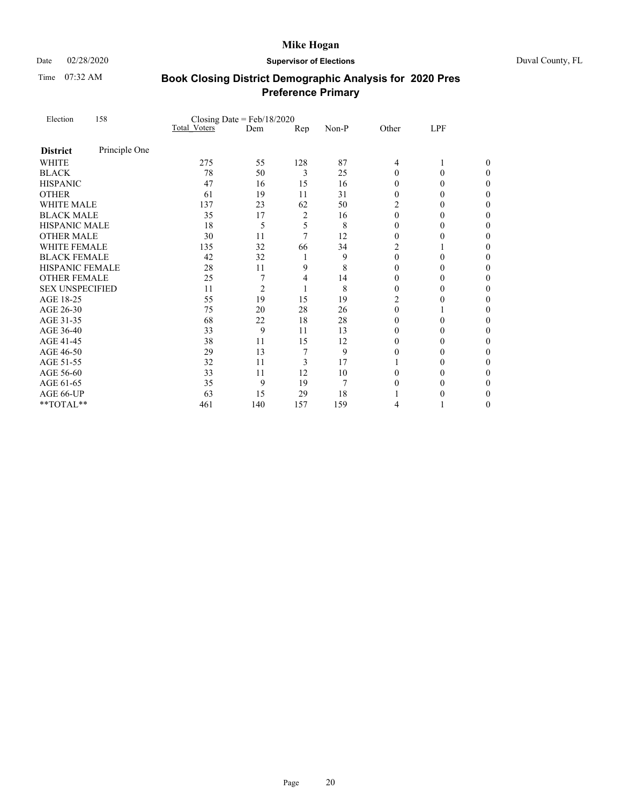Time 07:32 AM

### Date 02/28/2020 **Supervisor of Elections** Duval County, FL

| Election<br><b>District</b><br><b>WHITE</b><br><b>BLACK</b><br><b>OTHER</b> | 158           |              | Closing Date = $Feb/18/2020$ |                |       |                |          |   |
|-----------------------------------------------------------------------------|---------------|--------------|------------------------------|----------------|-------|----------------|----------|---|
|                                                                             |               | Total Voters | Dem                          | Rep            | Non-P | Other          | LPF      |   |
|                                                                             | Principle One |              |                              |                |       |                |          |   |
|                                                                             |               | 275          | 55                           | 128            | 87    | 4              | 1        | 0 |
|                                                                             |               | 78           | 50                           | 3              | 25    | $\Omega$       | $\theta$ | 0 |
| <b>HISPANIC</b>                                                             |               | 47           | 16                           | 15             | 16    | 0              | 0        | 0 |
|                                                                             |               | 61           | 19                           | 11             | 31    | $\Omega$       | 0        | 0 |
| <b>WHITE MALE</b>                                                           |               | 137          | 23                           | 62             | 50    | $\overline{c}$ | 0        | 0 |
| <b>BLACK MALE</b>                                                           |               | 35           | 17                           | $\overline{c}$ | 16    | $\theta$       | 0        | 0 |
| HISPANIC MALE                                                               |               | 18           | 5                            | 5              | 8     | $\Omega$       | 0        | 0 |
| <b>OTHER MALE</b>                                                           |               | 30           | 11                           | $\overline{7}$ | 12    | $\theta$       | $_{0}$   | 0 |
| WHITE FEMALE                                                                |               | 135          | 32                           | 66             | 34    | 2              |          | 0 |
| <b>BLACK FEMALE</b>                                                         |               | 42           | 32                           | 1              | 9     | $\theta$       | 0        | 0 |
| <b>HISPANIC FEMALE</b>                                                      |               | 28           | 11                           | 9              | 8     | $\theta$       | 0        | 0 |
| <b>OTHER FEMALE</b>                                                         |               | 25           | 7                            | 4              | 14    | $\theta$       | 0        | 0 |
| <b>SEX UNSPECIFIED</b>                                                      |               | 11           | $\overline{c}$               | 1              | 8     | $\theta$       | 0        | 0 |
| AGE 18-25                                                                   |               | 55           | 19                           | 15             | 19    | $\overline{2}$ | 0        | 0 |
| AGE 26-30                                                                   |               | 75           | 20                           | 28             | 26    | $\mathbf{0}$   |          | 0 |
| AGE 31-35                                                                   |               | 68           | 22                           | 18             | 28    | $\Omega$       | 0        | 0 |
| AGE 36-40                                                                   |               | 33           | 9                            | 11             | 13    | $\theta$       | 0        | 0 |
| AGE 41-45                                                                   |               | 38           | 11                           | 15             | 12    | $\theta$       | 0        | 0 |
| AGE 46-50                                                                   |               | 29           | 13                           | 7              | 9     | $\theta$       | 0        | 0 |
| AGE 51-55                                                                   |               | 32           | 11                           | 3              | 17    |                | 0        | 0 |
| AGE 56-60                                                                   |               | 33           | 11                           | 12             | 10    | $\theta$       | 0        | 0 |
| AGE 61-65                                                                   |               | 35           | 9                            | 19             | 7     | $\Omega$       | 0        | 0 |
| AGE 66-UP                                                                   |               | 63           | 15                           | 29             | 18    |                | $_{0}$   | 0 |
| **TOTAL**                                                                   |               | 461          | 140                          | 157            | 159   | 4              |          | 0 |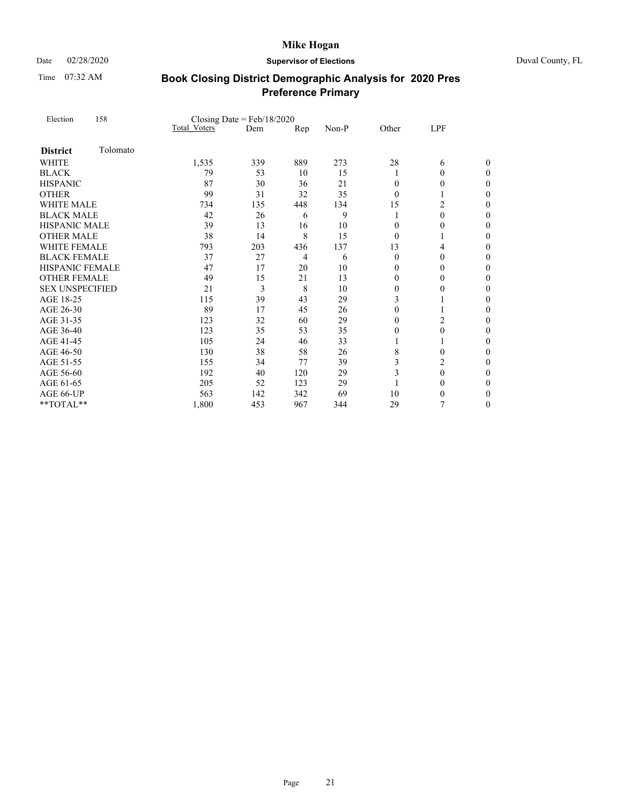Time 07:32 AM

### Date 02/28/2020 **Supervisor of Elections** Duval County, FL

| Election               | 158      | Closing Date = $Feb/18/2020$ |     |     |       |                |                |                  |  |
|------------------------|----------|------------------------------|-----|-----|-------|----------------|----------------|------------------|--|
|                        |          | <b>Total Voters</b>          | Dem | Rep | Non-P | Other          | LPF            |                  |  |
| <b>District</b>        | Tolomato |                              |     |     |       |                |                |                  |  |
| <b>WHITE</b>           |          | 1,535                        | 339 | 889 | 273   | 28             | 6              | 0                |  |
| <b>BLACK</b>           |          | 79                           | 53  | 10  | 15    | 1              | $\mathbf{0}$   | $\theta$         |  |
| <b>HISPANIC</b>        |          | 87                           | 30  | 36  | 21    | $\Omega$       | $\mathbf{0}$   | $\boldsymbol{0}$ |  |
| <b>OTHER</b>           |          | 99                           | 31  | 32  | 35    | $\theta$       | 1              | 0                |  |
| <b>WHITE MALE</b>      |          | 734                          | 135 | 448 | 134   | 15             | 2              | $\overline{0}$   |  |
| <b>BLACK MALE</b>      |          | 42                           | 26  | 6   | 9     |                | $\mathbf{0}$   | $\boldsymbol{0}$ |  |
| HISPANIC MALE          |          | 39                           | 13  | 16  | 10    | $\Omega$       | 0              | 0                |  |
| <b>OTHER MALE</b>      |          | 38                           | 14  | 8   | 15    | $\Omega$       |                | $\theta$         |  |
| WHITE FEMALE           |          | 793                          | 203 | 436 | 137   | 13             | 4              | 0                |  |
| <b>BLACK FEMALE</b>    |          | 37                           | 27  | 4   | 6     | $\theta$       | 0              | 0                |  |
| <b>HISPANIC FEMALE</b> |          | 47                           | 17  | 20  | 10    | $\theta$       | $\theta$       | 0                |  |
| <b>OTHER FEMALE</b>    |          | 49                           | 15  | 21  | 13    | $\overline{0}$ | $\mathbf{0}$   | $\boldsymbol{0}$ |  |
| <b>SEX UNSPECIFIED</b> |          | 21                           | 3   | 8   | 10    | $\Omega$       | 0              | $\boldsymbol{0}$ |  |
| AGE 18-25              |          | 115                          | 39  | 43  | 29    | 3              |                | $\overline{0}$   |  |
| AGE 26-30              |          | 89                           | 17  | 45  | 26    | $\mathbf{0}$   | 1              | $\boldsymbol{0}$ |  |
| AGE 31-35              |          | 123                          | 32  | 60  | 29    | $\theta$       | $\overline{c}$ | 0                |  |
| AGE 36-40              |          | 123                          | 35  | 53  | 35    | $\theta$       | $\theta$       | $\overline{0}$   |  |
| AGE 41-45              |          | 105                          | 24  | 46  | 33    |                | 1              | $\boldsymbol{0}$ |  |
| AGE 46-50              |          | 130                          | 38  | 58  | 26    | 8              | 0              | $\boldsymbol{0}$ |  |
| AGE 51-55              |          | 155                          | 34  | 77  | 39    | 3              | 2              | $\overline{0}$   |  |
| AGE 56-60              |          | 192                          | 40  | 120 | 29    | 3              | $\mathbf{0}$   | $\boldsymbol{0}$ |  |
| AGE 61-65              |          | 205                          | 52  | 123 | 29    |                | 0              | $\boldsymbol{0}$ |  |
| AGE 66-UP              |          | 563                          | 142 | 342 | 69    | 10             | 0              | 0                |  |
| **TOTAL**              |          | 1,800                        | 453 | 967 | 344   | 29             | 7              | 0                |  |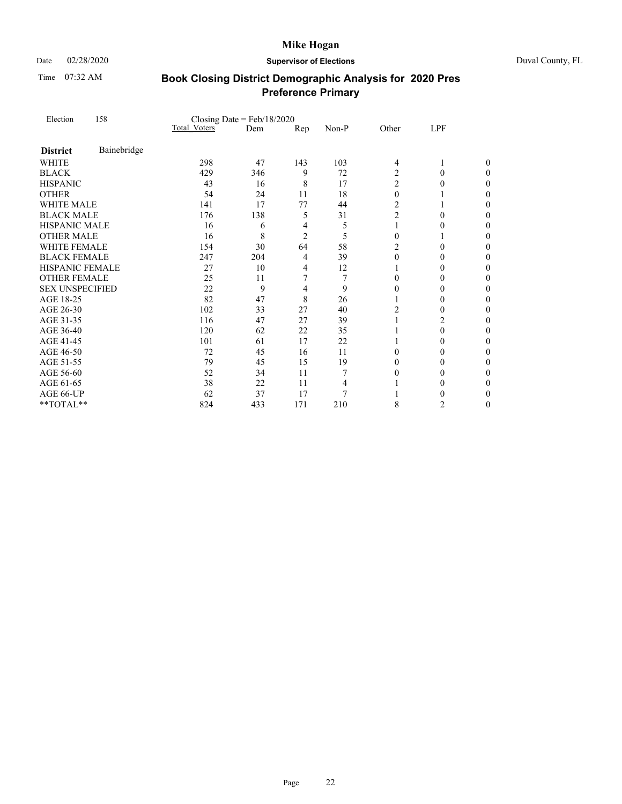Time 07:32 AM

### Date 02/28/2020 **Supervisor of Elections** Duval County, FL

| Election               | 158         |                     | Closing Date = $Feb/18/2020$ |                |                |                |          |                  |
|------------------------|-------------|---------------------|------------------------------|----------------|----------------|----------------|----------|------------------|
|                        |             | <b>Total Voters</b> | Dem                          | Rep            | Non-P          | Other          | LPF      |                  |
| <b>District</b>        | Bainebridge |                     |                              |                |                |                |          |                  |
| <b>WHITE</b>           |             | 298                 | 47                           | 143            | 103            | 4              | 1        | 0                |
| <b>BLACK</b>           |             | 429                 | 346                          | 9              | 72             | $\overline{c}$ | $\theta$ | 0                |
| <b>HISPANIC</b>        |             | 43                  | 16                           | 8              | 17             | $\overline{c}$ | $\theta$ | $\boldsymbol{0}$ |
| <b>OTHER</b>           |             | 54                  | 24                           | 11             | 18             | $\theta$       |          | 0                |
| <b>WHITE MALE</b>      |             | 141                 | 17                           | 77             | 44             | $\overline{2}$ |          | $\theta$         |
| <b>BLACK MALE</b>      |             | 176                 | 138                          | 5              | 31             | $\overline{c}$ | $\Omega$ | 0                |
| <b>HISPANIC MALE</b>   |             | 16                  | 6                            | 4              | 5              | 1              | $\theta$ | 0                |
| <b>OTHER MALE</b>      |             | 16                  | 8                            | $\overline{2}$ | 5              | $\theta$       |          | 0                |
| <b>WHITE FEMALE</b>    |             | 154                 | 30                           | 64             | 58             | $\overline{c}$ | $\Omega$ | 0                |
| <b>BLACK FEMALE</b>    |             | 247                 | 204                          | 4              | 39             | $\theta$       | $\theta$ | 0                |
| HISPANIC FEMALE        |             | 27                  | 10                           | 4              | 12             |                | $\theta$ | 0                |
| <b>OTHER FEMALE</b>    |             | 25                  | 11                           | 7              | 7              | $\Omega$       | $\theta$ | 0                |
| <b>SEX UNSPECIFIED</b> |             | 22                  | 9                            | 4              | 9              | $\theta$       | $\Omega$ | 0                |
| AGE 18-25              |             | 82                  | 47                           | 8              | 26             |                | $\theta$ | 0                |
| AGE 26-30              |             | 102                 | 33                           | 27             | 40             | $\overline{c}$ | 0        | 0                |
| AGE 31-35              |             | 116                 | 47                           | 27             | 39             | 1              | 2        | 0                |
| AGE 36-40              |             | 120                 | 62                           | 22             | 35             |                | $\theta$ | $\theta$         |
| AGE 41-45              |             | 101                 | 61                           | 17             | 22             |                | $\theta$ | 0                |
| AGE 46-50              |             | 72                  | 45                           | 16             | 11             | $\theta$       | $\Omega$ | 0                |
| AGE 51-55              |             | 79                  | 45                           | 15             | 19             | $\theta$       | $\theta$ | 0                |
| AGE 56-60              |             | 52                  | 34                           | 11             | 7              | $\theta$       | $\theta$ | 0                |
| AGE 61-65              |             | 38                  | 22                           | 11             | 4              |                | $\theta$ | 0                |
| AGE 66-UP              |             | 62                  | 37                           | 17             | $\overline{7}$ |                | $\theta$ | 0                |
| **TOTAL**              |             | 824                 | 433                          | 171            | 210            | 8              | 2        | 0                |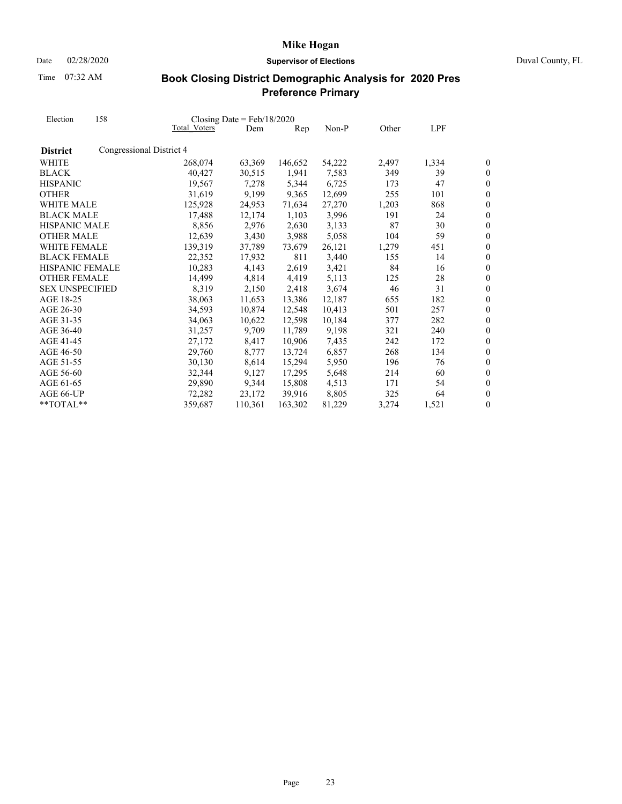Date 02/28/2020 **Supervisor of Elections** Duval County, FL

Time 07:32 AM

| Election               | 158                      |              | Closing Date = $Feb/18/2020$ |                |        |       |       |                  |
|------------------------|--------------------------|--------------|------------------------------|----------------|--------|-------|-------|------------------|
|                        |                          | Total Voters | Dem                          | $\mathbf{Rep}$ | Non-P  | Other | LPF   |                  |
| <b>District</b>        | Congressional District 4 |              |                              |                |        |       |       |                  |
| WHITE                  |                          | 268,074      | 63,369                       | 146,652        | 54,222 | 2,497 | 1,334 | 0                |
| <b>BLACK</b>           |                          | 40,427       | 30,515                       | 1,941          | 7,583  | 349   | 39    | 0                |
| <b>HISPANIC</b>        |                          | 19.567       | 7.278                        | 5,344          | 6,725  | 173   | 47    | $\overline{0}$   |
| <b>OTHER</b>           |                          | 31,619       | 9,199                        | 9,365          | 12,699 | 255   | 101   | $\overline{0}$   |
| <b>WHITE MALE</b>      |                          | 125,928      | 24,953                       | 71,634         | 27,270 | 1,203 | 868   | $\boldsymbol{0}$ |
| <b>BLACK MALE</b>      |                          | 17,488       | 12,174                       | 1,103          | 3,996  | 191   | 24    | $\overline{0}$   |
| <b>HISPANIC MALE</b>   |                          | 8,856        | 2,976                        | 2,630          | 3,133  | 87    | 30    | $\overline{0}$   |
| <b>OTHER MALE</b>      |                          | 12,639       | 3,430                        | 3,988          | 5,058  | 104   | 59    | $\overline{0}$   |
| WHITE FEMALE           |                          | 139,319      | 37,789                       | 73,679         | 26,121 | 1,279 | 451   | $\overline{0}$   |
| <b>BLACK FEMALE</b>    |                          | 22,352       | 17,932                       | 811            | 3,440  | 155   | 14    | $\boldsymbol{0}$ |
| <b>HISPANIC FEMALE</b> |                          | 10,283       | 4,143                        | 2,619          | 3,421  | 84    | 16    | $\overline{0}$   |
| <b>OTHER FEMALE</b>    |                          | 14,499       | 4,814                        | 4,419          | 5,113  | 125   | 28    | $\overline{0}$   |
| <b>SEX UNSPECIFIED</b> |                          | 8,319        | 2,150                        | 2,418          | 3,674  | 46    | 31    | $\overline{0}$   |
| AGE 18-25              |                          | 38,063       | 11,653                       | 13,386         | 12,187 | 655   | 182   | $\boldsymbol{0}$ |
| AGE 26-30              |                          | 34,593       | 10,874                       | 12,548         | 10,413 | 501   | 257   | $\boldsymbol{0}$ |
| AGE 31-35              |                          | 34,063       | 10,622                       | 12,598         | 10,184 | 377   | 282   | $\overline{0}$   |
| AGE 36-40              |                          | 31,257       | 9,709                        | 11,789         | 9,198  | 321   | 240   | $\overline{0}$   |
| AGE 41-45              |                          | 27,172       | 8,417                        | 10,906         | 7,435  | 242   | 172   | $\overline{0}$   |
| AGE 46-50              |                          | 29,760       | 8,777                        | 13,724         | 6,857  | 268   | 134   | $\boldsymbol{0}$ |
| AGE 51-55              |                          | 30,130       | 8,614                        | 15,294         | 5,950  | 196   | 76    | $\boldsymbol{0}$ |
| AGE 56-60              |                          | 32,344       | 9,127                        | 17,295         | 5,648  | 214   | 60    | $\overline{0}$   |
| AGE 61-65              |                          | 29,890       | 9,344                        | 15,808         | 4,513  | 171   | 54    | $\overline{0}$   |
| AGE 66-UP              |                          | 72,282       | 23,172                       | 39.916         | 8,805  | 325   | 64    | $\overline{0}$   |
| **TOTAL**              |                          | 359,687      | 110,361                      | 163,302        | 81,229 | 3,274 | 1,521 | 0                |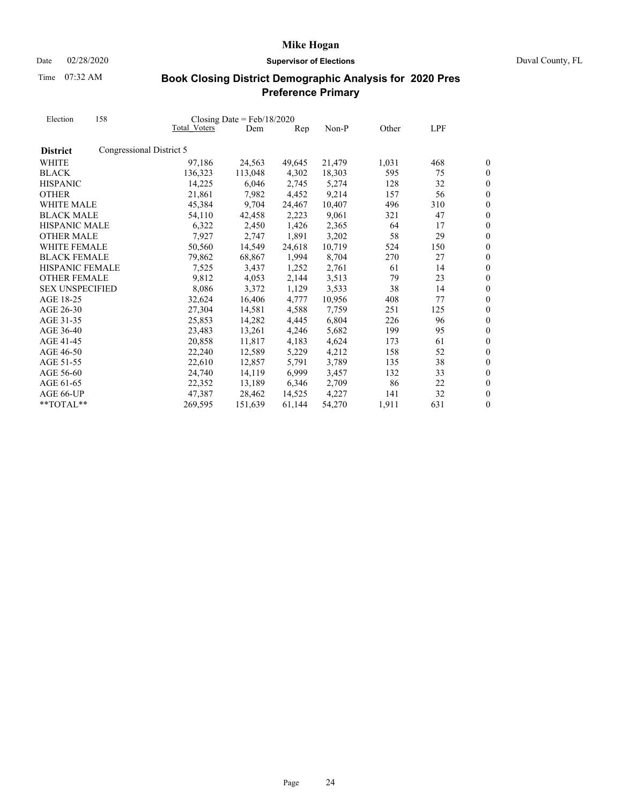Date 02/28/2020 **Supervisor of Elections** Duval County, FL

Time 07:32 AM

| Election               | 158                      |              | Closing Date = $Feb/18/2020$ |        |        |       |     |                  |
|------------------------|--------------------------|--------------|------------------------------|--------|--------|-------|-----|------------------|
|                        |                          | Total Voters | Dem                          | Rep    | Non-P  | Other | LPF |                  |
| <b>District</b>        | Congressional District 5 |              |                              |        |        |       |     |                  |
| WHITE                  |                          | 97,186       | 24,563                       | 49,645 | 21,479 | 1,031 | 468 | 0                |
| <b>BLACK</b>           |                          | 136,323      | 113,048                      | 4,302  | 18,303 | 595   | 75  | $\boldsymbol{0}$ |
| <b>HISPANIC</b>        |                          | 14,225       | 6,046                        | 2,745  | 5,274  | 128   | 32  | $\overline{0}$   |
| <b>OTHER</b>           |                          | 21,861       | 7,982                        | 4,452  | 9,214  | 157   | 56  | $\overline{0}$   |
| WHITE MALE             |                          | 45,384       | 9,704                        | 24,467 | 10,407 | 496   | 310 | 0                |
| <b>BLACK MALE</b>      |                          | 54,110       | 42,458                       | 2,223  | 9,061  | 321   | 47  | $\overline{0}$   |
| <b>HISPANIC MALE</b>   |                          | 6,322        | 2,450                        | 1,426  | 2,365  | 64    | 17  | $\overline{0}$   |
| <b>OTHER MALE</b>      |                          | 7,927        | 2,747                        | 1,891  | 3,202  | 58    | 29  | $\overline{0}$   |
| <b>WHITE FEMALE</b>    |                          | 50,560       | 14,549                       | 24,618 | 10,719 | 524   | 150 | $\boldsymbol{0}$ |
| <b>BLACK FEMALE</b>    |                          | 79,862       | 68,867                       | 1,994  | 8,704  | 270   | 27  | $\overline{0}$   |
| <b>HISPANIC FEMALE</b> |                          | 7,525        | 3,437                        | 1,252  | 2,761  | 61    | 14  | $\overline{0}$   |
| <b>OTHER FEMALE</b>    |                          | 9,812        | 4,053                        | 2,144  | 3,513  | 79    | 23  | $\overline{0}$   |
| <b>SEX UNSPECIFIED</b> |                          | 8,086        | 3.372                        | 1,129  | 3,533  | 38    | 14  | $\boldsymbol{0}$ |
| AGE 18-25              |                          | 32,624       | 16,406                       | 4,777  | 10,956 | 408   | 77  | $\overline{0}$   |
| AGE 26-30              |                          | 27,304       | 14,581                       | 4,588  | 7,759  | 251   | 125 | $\overline{0}$   |
| AGE 31-35              |                          | 25,853       | 14,282                       | 4,445  | 6,804  | 226   | 96  | $\overline{0}$   |
| AGE 36-40              |                          | 23,483       | 13,261                       | 4,246  | 5,682  | 199   | 95  | $\overline{0}$   |
| AGE 41-45              |                          | 20,858       | 11,817                       | 4,183  | 4,624  | 173   | 61  | $\overline{0}$   |
| AGE 46-50              |                          | 22,240       | 12,589                       | 5,229  | 4,212  | 158   | 52  | $\overline{0}$   |
| AGE 51-55              |                          | 22,610       | 12,857                       | 5,791  | 3,789  | 135   | 38  | $\overline{0}$   |
| AGE 56-60              |                          | 24,740       | 14,119                       | 6,999  | 3,457  | 132   | 33  | $\boldsymbol{0}$ |
| AGE 61-65              |                          | 22,352       | 13,189                       | 6,346  | 2,709  | 86    | 22  | $\boldsymbol{0}$ |
| AGE 66-UP              |                          | 47,387       | 28.462                       | 14.525 | 4,227  | 141   | 32  | $\overline{0}$   |
| $**TOTAI.**$           |                          | 269,595      | 151,639                      | 61,144 | 54,270 | 1,911 | 631 | $\boldsymbol{0}$ |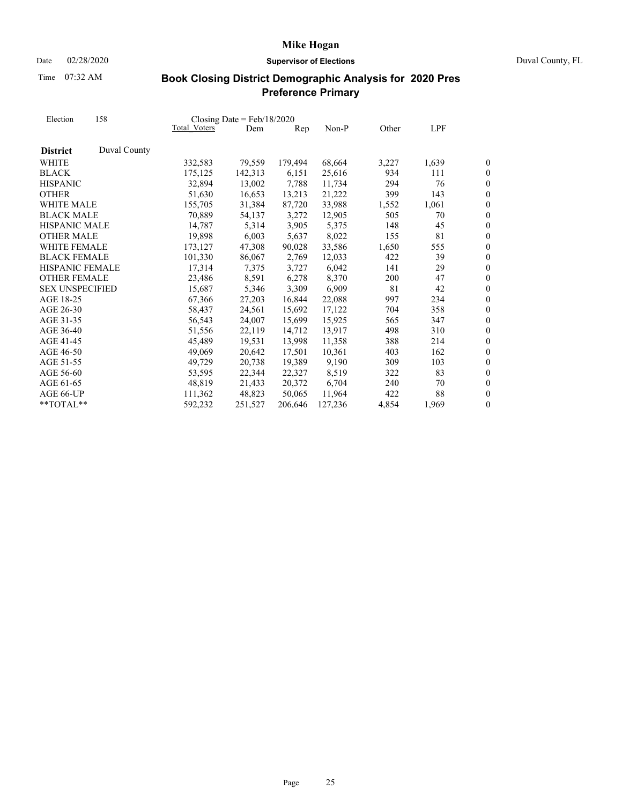Time 07:32 AM

# Date 02/28/2020 **Supervisor of Elections** Duval County, FL

| Election<br><b>District</b> | 158          |              | Closing Date = $Feb/18/2020$ |         |         |       |       |                  |
|-----------------------------|--------------|--------------|------------------------------|---------|---------|-------|-------|------------------|
|                             |              | Total Voters | Dem                          | Rep     | Non-P   | Other | LPF   |                  |
|                             | Duval County |              |                              |         |         |       |       |                  |
| WHITE                       |              | 332,583      | 79,559                       | 179,494 | 68,664  | 3,227 | 1,639 | 0                |
| <b>BLACK</b>                |              | 175,125      | 142,313                      | 6,151   | 25,616  | 934   | 111   | $\boldsymbol{0}$ |
| <b>HISPANIC</b>             |              | 32,894       | 13,002                       | 7,788   | 11,734  | 294   | 76    | $\overline{0}$   |
| <b>OTHER</b>                |              | 51,630       | 16,653                       | 13,213  | 21,222  | 399   | 143   | $\overline{0}$   |
| <b>WHITE MALE</b>           |              | 155,705      | 31,384                       | 87,720  | 33,988  | 1,552 | 1,061 | $\overline{0}$   |
| <b>BLACK MALE</b>           |              | 70,889       | 54,137                       | 3,272   | 12,905  | 505   | 70    | $\boldsymbol{0}$ |
| <b>HISPANIC MALE</b>        |              | 14,787       | 5,314                        | 3,905   | 5,375   | 148   | 45    | $\overline{0}$   |
| <b>OTHER MALE</b>           |              | 19,898       | 6,003                        | 5,637   | 8,022   | 155   | 81    | $\overline{0}$   |
| WHITE FEMALE                |              | 173,127      | 47,308                       | 90,028  | 33,586  | 1,650 | 555   | $\boldsymbol{0}$ |
| <b>BLACK FEMALE</b>         |              | 101,330      | 86,067                       | 2,769   | 12,033  | 422   | 39    | $\boldsymbol{0}$ |
| HISPANIC FEMALE             |              | 17,314       | 7,375                        | 3,727   | 6,042   | 141   | 29    | $\theta$         |
| <b>OTHER FEMALE</b>         |              | 23,486       | 8,591                        | 6,278   | 8,370   | 200   | 47    | $\boldsymbol{0}$ |
| <b>SEX UNSPECIFIED</b>      |              | 15,687       | 5,346                        | 3,309   | 6,909   | 81    | 42    | $\boldsymbol{0}$ |
| AGE 18-25                   |              | 67,366       | 27,203                       | 16,844  | 22,088  | 997   | 234   | $\overline{0}$   |
| AGE 26-30                   |              | 58,437       | 24,561                       | 15,692  | 17,122  | 704   | 358   | $\overline{0}$   |
| AGE 31-35                   |              | 56,543       | 24,007                       | 15,699  | 15,925  | 565   | 347   | $\boldsymbol{0}$ |
| AGE 36-40                   |              | 51,556       | 22,119                       | 14,712  | 13,917  | 498   | 310   | $\overline{0}$   |
| AGE 41-45                   |              | 45,489       | 19,531                       | 13,998  | 11,358  | 388   | 214   | $\boldsymbol{0}$ |
| AGE 46-50                   |              | 49,069       | 20,642                       | 17,501  | 10,361  | 403   | 162   | $\overline{0}$   |
| AGE 51-55                   |              | 49,729       | 20,738                       | 19,389  | 9,190   | 309   | 103   | $\overline{0}$   |
| AGE 56-60                   |              | 53,595       | 22,344                       | 22,327  | 8,519   | 322   | 83    | $\overline{0}$   |
| AGE 61-65                   |              | 48,819       | 21,433                       | 20,372  | 6,704   | 240   | 70    | $\boldsymbol{0}$ |
| AGE 66-UP                   |              | 111,362      | 48.823                       | 50,065  | 11,964  | 422   | 88    | $\overline{0}$   |
| $*$ TOTAL $*$               |              | 592,232      | 251,527                      | 206,646 | 127,236 | 4,854 | 1,969 | 0                |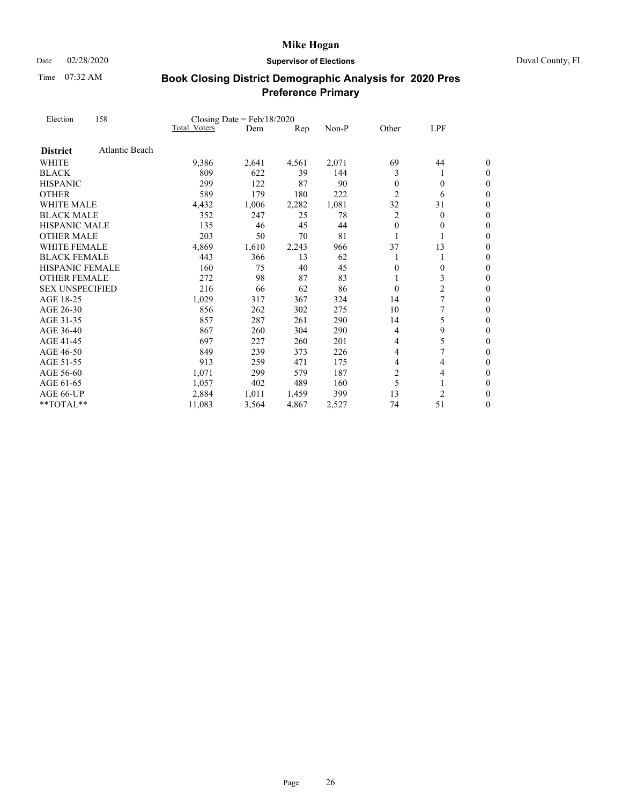Time 07:32 AM

### Date 02/28/2020 **Supervisor of Elections** Duval County, FL

| Election               | 158                   |              | Closing Date = $Feb/18/2020$ |                |       |                |                |                  |
|------------------------|-----------------------|--------------|------------------------------|----------------|-------|----------------|----------------|------------------|
|                        |                       | Total Voters | Dem                          | $\mathbf{Rep}$ | Non-P | Other          | LPF            |                  |
| <b>District</b>        | <b>Atlantic Beach</b> |              |                              |                |       |                |                |                  |
| <b>WHITE</b>           |                       | 9,386        | 2,641                        | 4,561          | 2,071 | 69             | 44             | 0                |
| <b>BLACK</b>           |                       | 809          | 622                          | 39             | 144   | 3              | 1              | $\theta$         |
| <b>HISPANIC</b>        |                       | 299          | 122                          | 87             | 90    | $\theta$       | $\overline{0}$ | $\boldsymbol{0}$ |
| <b>OTHER</b>           |                       | 589          | 179                          | 180            | 222   | $\overline{2}$ | 6              | $\overline{0}$   |
| <b>WHITE MALE</b>      |                       | 4,432        | 1,006                        | 2,282          | 1,081 | 32             | 31             | $\theta$         |
| <b>BLACK MALE</b>      |                       | 352          | 247                          | 25             | 78    | 2              | $\overline{0}$ | $\boldsymbol{0}$ |
| <b>HISPANIC MALE</b>   |                       | 135          | 46                           | 45             | 44    | $\theta$       | $\theta$       | 0                |
| <b>OTHER MALE</b>      |                       | 203          | 50                           | 70             | 81    | 1              | 1              | $\theta$         |
| <b>WHITE FEMALE</b>    |                       | 4,869        | 1,610                        | 2,243          | 966   | 37             | 13             | 0                |
| <b>BLACK FEMALE</b>    |                       | 443          | 366                          | 13             | 62    | 1              | 1              | 0                |
| <b>HISPANIC FEMALE</b> |                       | 160          | 75                           | 40             | 45    | $\overline{0}$ | $\overline{0}$ | $\overline{0}$   |
| <b>OTHER FEMALE</b>    |                       | 272          | 98                           | 87             | 83    |                | 3              | $\boldsymbol{0}$ |
| <b>SEX UNSPECIFIED</b> |                       | 216          | 66                           | 62             | 86    | $\theta$       | $\overline{c}$ | $\overline{0}$   |
| AGE 18-25              |                       | 1,029        | 317                          | 367            | 324   | 14             | 7              | $\overline{0}$   |
| AGE 26-30              |                       | 856          | 262                          | 302            | 275   | 10             | 7              | $\boldsymbol{0}$ |
| AGE 31-35              |                       | 857          | 287                          | 261            | 290   | 14             | 5              | 0                |
| AGE 36-40              |                       | 867          | 260                          | 304            | 290   | 4              | 9              | $\overline{0}$   |
| AGE 41-45              |                       | 697          | 227                          | 260            | 201   | 4              | 5              | $\boldsymbol{0}$ |
| AGE 46-50              |                       | 849          | 239                          | 373            | 226   | 4              |                | $\boldsymbol{0}$ |
| AGE 51-55              |                       | 913          | 259                          | 471            | 175   | 4              | 4              | $\overline{0}$   |
| AGE 56-60              |                       | 1,071        | 299                          | 579            | 187   | $\overline{c}$ | 4              | $\boldsymbol{0}$ |
| AGE 61-65              |                       | 1,057        | 402                          | 489            | 160   | 5              |                | $\overline{0}$   |
| AGE 66-UP              |                       | 2,884        | 1,011                        | 1,459          | 399   | 13             | 2              | $\overline{0}$   |
| $**TOTAL**$            |                       | 11,083       | 3,564                        | 4,867          | 2,527 | 74             | 51             | 0                |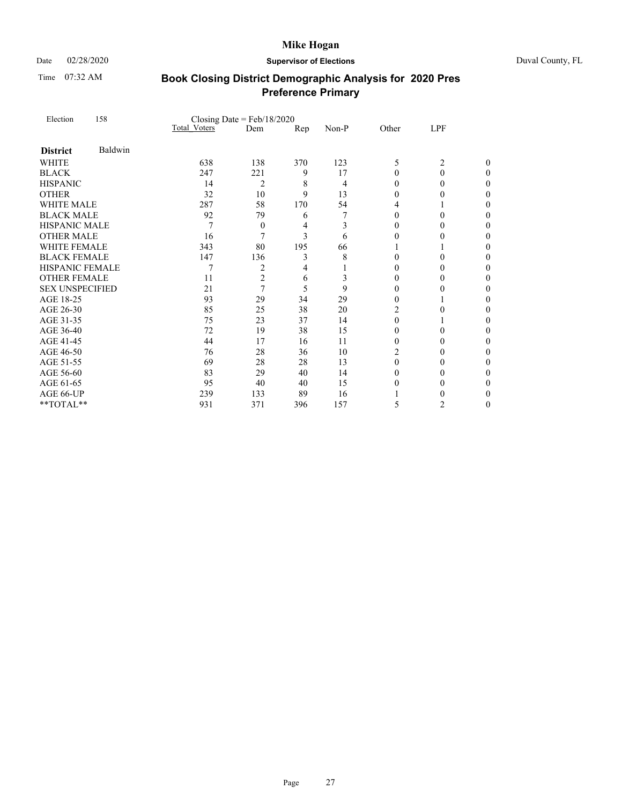Time 07:32 AM

### Date 02/28/2020 **Supervisor of Elections** Duval County, FL

| Election               | 158     | Closing Date = $Feb/18/2020$ |                |     |                |          |                |   |
|------------------------|---------|------------------------------|----------------|-----|----------------|----------|----------------|---|
|                        |         | <b>Total Voters</b>          | Dem            | Rep | Non-P          | Other    | LPF            |   |
| <b>District</b>        | Baldwin |                              |                |     |                |          |                |   |
| WHITE                  |         | 638                          | 138            | 370 | 123            | 5        | $\overline{2}$ | 0 |
| <b>BLACK</b>           |         | 247                          | 221            | 9   | 17             | $\theta$ | $\theta$       | 0 |
| <b>HISPANIC</b>        |         | 14                           | $\overline{2}$ | 8   | $\overline{4}$ | $\theta$ | $\theta$       | 0 |
| <b>OTHER</b>           |         | 32                           | 10             | 9   | 13             | $\theta$ | $\theta$       | 0 |
| <b>WHITE MALE</b>      |         | 287                          | 58             | 170 | 54             | 4        |                | 0 |
| <b>BLACK MALE</b>      |         | 92                           | 79             | 6   | 7              | $\theta$ | $\Omega$       | 0 |
| <b>HISPANIC MALE</b>   |         | 7                            | 0              | 4   | 3              | $\theta$ | 0              | 0 |
| <b>OTHER MALE</b>      |         | 16                           | 7              | 3   | 6              | $\theta$ | $\theta$       | 0 |
| <b>WHITE FEMALE</b>    |         | 343                          | 80             | 195 | 66             |          |                | 0 |
| <b>BLACK FEMALE</b>    |         | 147                          | 136            | 3   | 8              | $\theta$ | $\Omega$       | 0 |
| <b>HISPANIC FEMALE</b> |         | 7                            | $\overline{c}$ | 4   |                | $\theta$ | $\theta$       | 0 |
| <b>OTHER FEMALE</b>    |         | 11                           | $\overline{c}$ | 6   | 3              | $\theta$ | $\theta$       | 0 |
| <b>SEX UNSPECIFIED</b> |         | 21                           | 7              | 5   | 9              | $\theta$ | $\theta$       | 0 |
| AGE 18-25              |         | 93                           | 29             | 34  | 29             | $\theta$ |                | 0 |
| AGE 26-30              |         | 85                           | 25             | 38  | 20             | 2        | $\theta$       | 0 |
| AGE 31-35              |         | 75                           | 23             | 37  | 14             | $\Omega$ |                | 0 |
| AGE 36-40              |         | 72                           | 19             | 38  | 15             | $\theta$ | $\theta$       | 0 |
| AGE 41-45              |         | 44                           | 17             | 16  | 11             | $\theta$ | $\theta$       | 0 |
| AGE 46-50              |         | 76                           | 28             | 36  | 10             | 2        | $\Omega$       | 0 |
| AGE 51-55              |         | 69                           | 28             | 28  | 13             | $\theta$ | $\theta$       | 0 |
| AGE 56-60              |         | 83                           | 29             | 40  | 14             | $\theta$ | $\theta$       | 0 |
| AGE 61-65              |         | 95                           | 40             | 40  | 15             | $\theta$ | 0              | 0 |
| AGE 66-UP              |         | 239                          | 133            | 89  | 16             |          | $\theta$       | 0 |
| **TOTAL**              |         | 931                          | 371            | 396 | 157            | 5        | $\overline{c}$ | 0 |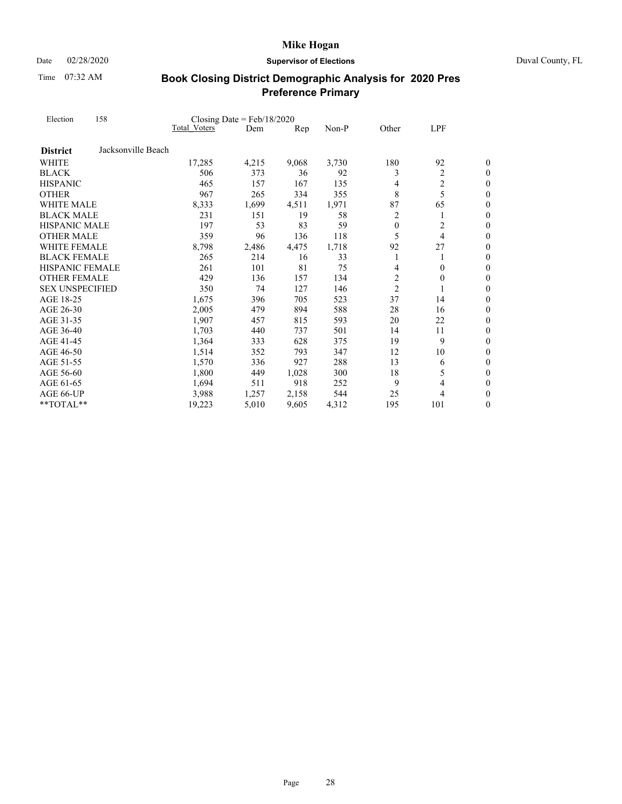Date 02/28/2020 **Supervisor of Elections** Duval County, FL

Time 07:32 AM

| Election               | 158                |                     | Closing Date = $Feb/18/2020$ |                |       |                |                |                  |
|------------------------|--------------------|---------------------|------------------------------|----------------|-------|----------------|----------------|------------------|
|                        |                    | <b>Total Voters</b> | Dem                          | $\mathbf{Rep}$ | Non-P | Other          | LPF            |                  |
| <b>District</b>        | Jacksonville Beach |                     |                              |                |       |                |                |                  |
| WHITE                  |                    | 17,285              | 4,215                        | 9,068          | 3,730 | 180            | 92             | 0                |
| <b>BLACK</b>           |                    | 506                 | 373                          | 36             | 92    | 3              | $\overline{2}$ | $\boldsymbol{0}$ |
| <b>HISPANIC</b>        |                    | 465                 | 157                          | 167            | 135   | 4              | $\overline{c}$ | $\overline{0}$   |
| <b>OTHER</b>           |                    | 967                 | 265                          | 334            | 355   | 8              | 5              | $\overline{0}$   |
| WHITE MALE             |                    | 8,333               | 1,699                        | 4,511          | 1,971 | 87             | 65             | $\overline{0}$   |
| <b>BLACK MALE</b>      |                    | 231                 | 151                          | 19             | 58    | 2              | 1              | $\boldsymbol{0}$ |
| <b>HISPANIC MALE</b>   |                    | 197                 | 53                           | 83             | 59    | $\theta$       | $\overline{c}$ | $\overline{0}$   |
| <b>OTHER MALE</b>      |                    | 359                 | 96                           | 136            | 118   | 5              | 4              | $\overline{0}$   |
| <b>WHITE FEMALE</b>    |                    | 8,798               | 2,486                        | 4,475          | 1,718 | 92             | 27             | $\boldsymbol{0}$ |
| <b>BLACK FEMALE</b>    |                    | 265                 | 214                          | 16             | 33    | 1              | 1              | $\boldsymbol{0}$ |
| HISPANIC FEMALE        |                    | 261                 | 101                          | 81             | 75    | 4              | $\theta$       | $\overline{0}$   |
| <b>OTHER FEMALE</b>    |                    | 429                 | 136                          | 157            | 134   | $\overline{2}$ | $\theta$       | $\boldsymbol{0}$ |
| <b>SEX UNSPECIFIED</b> |                    | 350                 | 74                           | 127            | 146   | $\overline{2}$ | 1              | $\boldsymbol{0}$ |
| AGE 18-25              |                    | 1,675               | 396                          | 705            | 523   | 37             | 14             | $\theta$         |
| AGE 26-30              |                    | 2,005               | 479                          | 894            | 588   | 28             | 16             | $\boldsymbol{0}$ |
| AGE 31-35              |                    | 1,907               | 457                          | 815            | 593   | 20             | 22             | $\overline{0}$   |
| AGE 36-40              |                    | 1,703               | 440                          | 737            | 501   | 14             | 11             | $\overline{0}$   |
| AGE 41-45              |                    | 1,364               | 333                          | 628            | 375   | 19             | 9              | $\boldsymbol{0}$ |
| AGE 46-50              |                    | 1,514               | 352                          | 793            | 347   | 12             | 10             | $\boldsymbol{0}$ |
| AGE 51-55              |                    | 1,570               | 336                          | 927            | 288   | 13             | 6              | $\overline{0}$   |
| AGE 56-60              |                    | 1,800               | 449                          | 1,028          | 300   | 18             | 5              | $\boldsymbol{0}$ |
| AGE 61-65              |                    | 1,694               | 511                          | 918            | 252   | 9              | 4              | $\boldsymbol{0}$ |
| AGE 66-UP              |                    | 3,988               | 1,257                        | 2.158          | 544   | 25             | 4              | $\overline{0}$   |
| **TOTAL**              |                    | 19,223              | 5,010                        | 9,605          | 4,312 | 195            | 101            | 0                |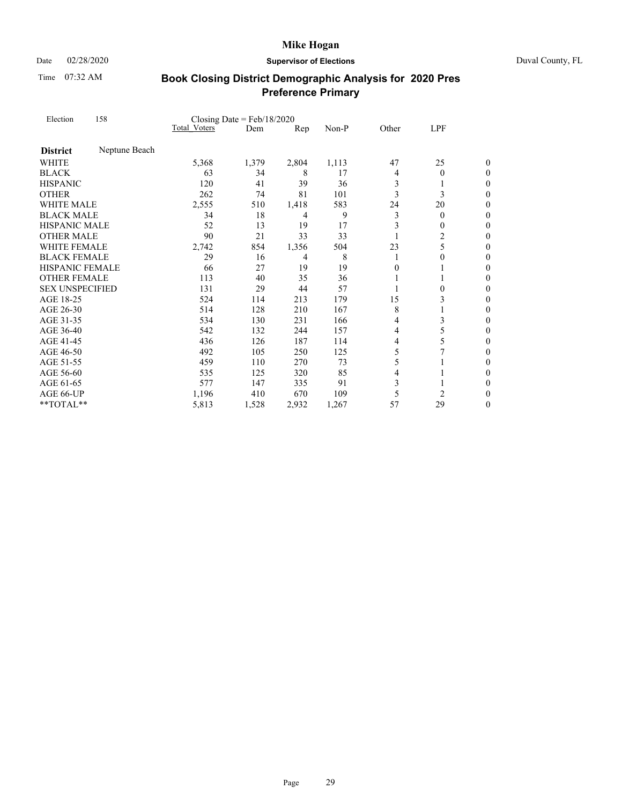Time 07:32 AM

### Date 02/28/2020 **Supervisor of Elections** Duval County, FL

| Election               | 158           | Closing Date = $Feb/18/2020$ |       |       |       |          |          |                  |
|------------------------|---------------|------------------------------|-------|-------|-------|----------|----------|------------------|
|                        |               | <b>Total Voters</b>          | Dem   | Rep   | Non-P | Other    | LPF      |                  |
| <b>District</b>        | Neptune Beach |                              |       |       |       |          |          |                  |
| WHITE                  |               | 5,368                        | 1,379 | 2,804 | 1,113 | 47       | 25       | 0                |
| <b>BLACK</b>           |               | 63                           | 34    | 8     | 17    | 4        | $\theta$ | $\theta$         |
| <b>HISPANIC</b>        |               | 120                          | 41    | 39    | 36    | 3        | 1        | $\boldsymbol{0}$ |
| <b>OTHER</b>           |               | 262                          | 74    | 81    | 101   | 3        | 3        | 0                |
| <b>WHITE MALE</b>      |               | 2,555                        | 510   | 1,418 | 583   | 24       | 20       | $\overline{0}$   |
| <b>BLACK MALE</b>      |               | 34                           | 18    | 4     | 9     | 3        | $\theta$ | $\boldsymbol{0}$ |
| HISPANIC MALE          |               | 52                           | 13    | 19    | 17    | 3        | 0        | 0                |
| <b>OTHER MALE</b>      |               | 90                           | 21    | 33    | 33    |          | 2        | 0                |
| WHITE FEMALE           |               | 2,742                        | 854   | 1,356 | 504   | 23       | 5        | $\boldsymbol{0}$ |
| <b>BLACK FEMALE</b>    |               | 29                           | 16    | 4     | 8     | 1        | 0        | 0                |
| <b>HISPANIC FEMALE</b> |               | 66                           | 27    | 19    | 19    | $\theta$ |          | 0                |
| <b>OTHER FEMALE</b>    |               | 113                          | 40    | 35    | 36    |          | 1        | $\boldsymbol{0}$ |
| <b>SEX UNSPECIFIED</b> |               | 131                          | 29    | 44    | 57    |          | 0        | $\boldsymbol{0}$ |
| AGE 18-25              |               | 524                          | 114   | 213   | 179   | 15       | 3        | $\overline{0}$   |
| AGE 26-30              |               | 514                          | 128   | 210   | 167   | 8        | 1        | $\boldsymbol{0}$ |
| AGE 31-35              |               | 534                          | 130   | 231   | 166   | 4        | 3        | $\boldsymbol{0}$ |
| AGE 36-40              |               | 542                          | 132   | 244   | 157   | 4        | 5        | $\overline{0}$   |
| AGE 41-45              |               | 436                          | 126   | 187   | 114   | 4        | 5        | $\boldsymbol{0}$ |
| AGE 46-50              |               | 492                          | 105   | 250   | 125   | 5        |          | $\boldsymbol{0}$ |
| AGE 51-55              |               | 459                          | 110   | 270   | 73    | 5        |          | $\overline{0}$   |
| AGE 56-60              |               | 535                          | 125   | 320   | 85    | 4        |          | $\boldsymbol{0}$ |
| AGE 61-65              |               | 577                          | 147   | 335   | 91    | 3        |          | $\boldsymbol{0}$ |
| AGE 66-UP              |               | 1,196                        | 410   | 670   | 109   | 5        | 2        | 0                |
| **TOTAL**              |               | 5,813                        | 1,528 | 2,932 | 1,267 | 57       | 29       | 0                |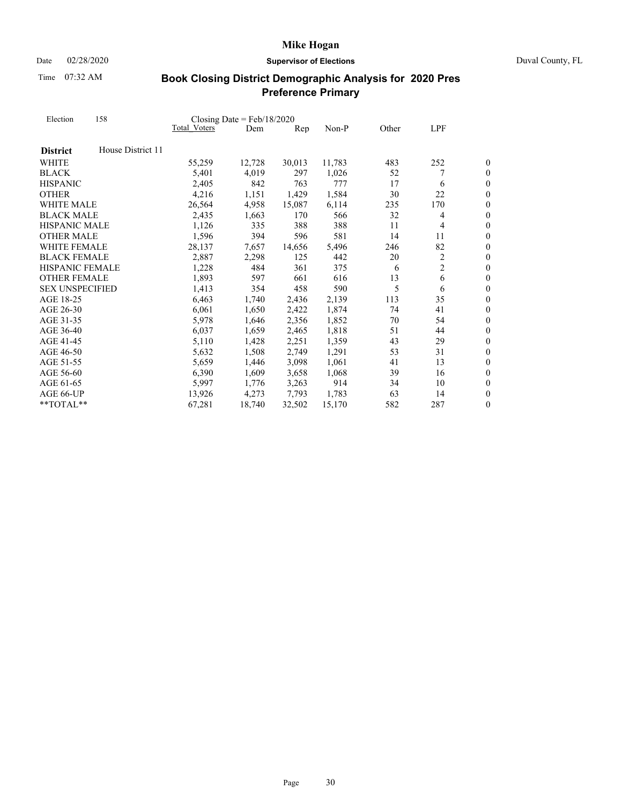Date 02/28/2020 **Supervisor of Elections** Duval County, FL

Time 07:32 AM

| Election               | 158               | Closing Date = $Feb/18/2020$ |        |        |        |       |                |                  |
|------------------------|-------------------|------------------------------|--------|--------|--------|-------|----------------|------------------|
|                        |                   | Total Voters                 | Dem    | Rep    | Non-P  | Other | LPF            |                  |
| <b>District</b>        | House District 11 |                              |        |        |        |       |                |                  |
| WHITE                  |                   | 55,259                       | 12,728 | 30,013 | 11,783 | 483   | 252            | 0                |
| <b>BLACK</b>           |                   | 5,401                        | 4,019  | 297    | 1,026  | 52    |                | $\boldsymbol{0}$ |
| <b>HISPANIC</b>        |                   | 2,405                        | 842    | 763    | 777    | 17    | 6              | $\overline{0}$   |
| <b>OTHER</b>           |                   | 4,216                        | 1,151  | 1,429  | 1,584  | 30    | 22             | $\overline{0}$   |
| WHITE MALE             |                   | 26,564                       | 4,958  | 15,087 | 6,114  | 235   | 170            | $\overline{0}$   |
| <b>BLACK MALE</b>      |                   | 2,435                        | 1,663  | 170    | 566    | 32    | 4              | $\boldsymbol{0}$ |
| <b>HISPANIC MALE</b>   |                   | 1,126                        | 335    | 388    | 388    | 11    | 4              | $\overline{0}$   |
| <b>OTHER MALE</b>      |                   | 1,596                        | 394    | 596    | 581    | 14    | 11             | $\overline{0}$   |
| WHITE FEMALE           |                   | 28,137                       | 7,657  | 14,656 | 5,496  | 246   | 82             | $\boldsymbol{0}$ |
| <b>BLACK FEMALE</b>    |                   | 2,887                        | 2,298  | 125    | 442    | 20    | $\overline{c}$ | $\boldsymbol{0}$ |
| <b>HISPANIC FEMALE</b> |                   | 1,228                        | 484    | 361    | 375    | 6     | $\overline{c}$ | $\overline{0}$   |
| <b>OTHER FEMALE</b>    |                   | 1,893                        | 597    | 661    | 616    | 13    | 6              | $\boldsymbol{0}$ |
| <b>SEX UNSPECIFIED</b> |                   | 1,413                        | 354    | 458    | 590    | 5     | 6              | $\boldsymbol{0}$ |
| AGE 18-25              |                   | 6,463                        | 1,740  | 2,436  | 2,139  | 113   | 35             | $\overline{0}$   |
| AGE 26-30              |                   | 6,061                        | 1,650  | 2,422  | 1,874  | 74    | 41             | $\overline{0}$   |
| AGE 31-35              |                   | 5,978                        | 1,646  | 2,356  | 1,852  | 70    | 54             | $\boldsymbol{0}$ |
| AGE 36-40              |                   | 6,037                        | 1,659  | 2,465  | 1,818  | 51    | 44             | $\overline{0}$   |
| AGE 41-45              |                   | 5,110                        | 1,428  | 2,251  | 1,359  | 43    | 29             | $\boldsymbol{0}$ |
| AGE 46-50              |                   | 5,632                        | 1,508  | 2,749  | 1,291  | 53    | 31             | $\overline{0}$   |
| AGE 51-55              |                   | 5,659                        | 1,446  | 3,098  | 1,061  | 41    | 13             | $\theta$         |
| AGE 56-60              |                   | 6,390                        | 1,609  | 3,658  | 1,068  | 39    | 16             | $\boldsymbol{0}$ |
| AGE 61-65              |                   | 5,997                        | 1,776  | 3,263  | 914    | 34    | 10             | $\boldsymbol{0}$ |
| AGE 66-UP              |                   | 13.926                       | 4,273  | 7,793  | 1.783  | 63    | 14             | $\overline{0}$   |
| $*$ TOTAL $*$          |                   | 67,281                       | 18,740 | 32,502 | 15,170 | 582   | 287            | $\boldsymbol{0}$ |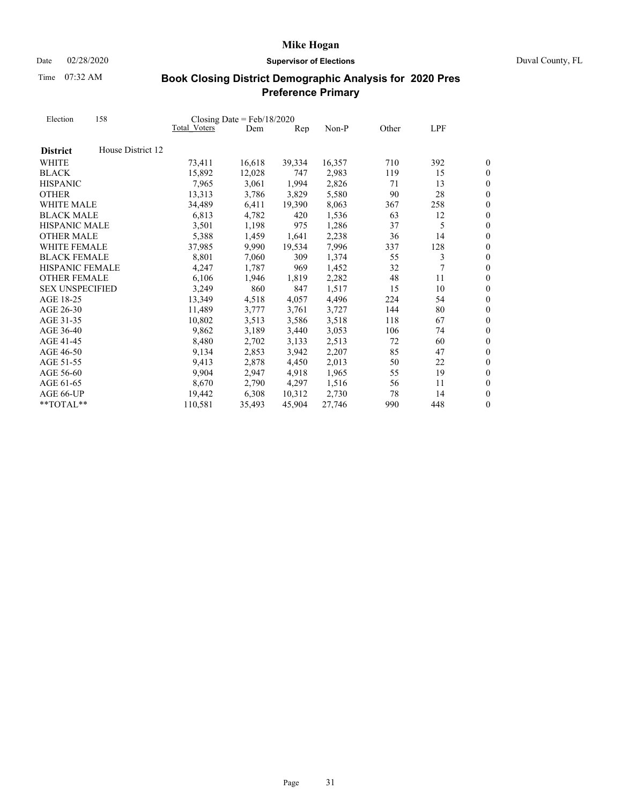Time 07:32 AM

### Date 02/28/2020 **Supervisor of Elections** Duval County, FL

| Election               | 158               |                     | Closing Date = $Feb/18/2020$ |                |        |       |     |                  |
|------------------------|-------------------|---------------------|------------------------------|----------------|--------|-------|-----|------------------|
|                        |                   | <b>Total Voters</b> | Dem                          | $\mathbf{Rep}$ | Non-P  | Other | LPF |                  |
| <b>District</b>        | House District 12 |                     |                              |                |        |       |     |                  |
| WHITE                  |                   | 73,411              | 16,618                       | 39,334         | 16,357 | 710   | 392 | 0                |
| <b>BLACK</b>           |                   | 15,892              | 12,028                       | 747            | 2,983  | 119   | 15  | $\boldsymbol{0}$ |
| <b>HISPANIC</b>        |                   | 7,965               | 3,061                        | 1,994          | 2,826  | 71    | 13  | $\boldsymbol{0}$ |
| <b>OTHER</b>           |                   | 13,313              | 3,786                        | 3,829          | 5,580  | 90    | 28  | $\overline{0}$   |
| WHITE MALE             |                   | 34,489              | 6,411                        | 19,390         | 8,063  | 367   | 258 | $\overline{0}$   |
| <b>BLACK MALE</b>      |                   | 6,813               | 4,782                        | 420            | 1,536  | 63    | 12  | $\boldsymbol{0}$ |
| <b>HISPANIC MALE</b>   |                   | 3,501               | 1,198                        | 975            | 1,286  | 37    | 5   | $\overline{0}$   |
| <b>OTHER MALE</b>      |                   | 5,388               | 1,459                        | 1,641          | 2,238  | 36    | 14  | $\overline{0}$   |
| <b>WHITE FEMALE</b>    |                   | 37,985              | 9,990                        | 19,534         | 7,996  | 337   | 128 | $\boldsymbol{0}$ |
| <b>BLACK FEMALE</b>    |                   | 8,801               | 7,060                        | 309            | 1,374  | 55    | 3   | $\boldsymbol{0}$ |
| <b>HISPANIC FEMALE</b> |                   | 4,247               | 1,787                        | 969            | 1,452  | 32    | 7   | $\overline{0}$   |
| <b>OTHER FEMALE</b>    |                   | 6,106               | 1,946                        | 1,819          | 2,282  | 48    | 11  | $\overline{0}$   |
| <b>SEX UNSPECIFIED</b> |                   | 3,249               | 860                          | 847            | 1,517  | 15    | 10  | $\boldsymbol{0}$ |
| AGE 18-25              |                   | 13,349              | 4,518                        | 4,057          | 4,496  | 224   | 54  | $\overline{0}$   |
| AGE 26-30              |                   | 11,489              | 3,777                        | 3,761          | 3,727  | 144   | 80  | $\boldsymbol{0}$ |
| AGE 31-35              |                   | 10,802              | 3,513                        | 3,586          | 3,518  | 118   | 67  | $\overline{0}$   |
| AGE 36-40              |                   | 9,862               | 3,189                        | 3,440          | 3,053  | 106   | 74  | $\overline{0}$   |
| AGE 41-45              |                   | 8,480               | 2,702                        | 3,133          | 2,513  | 72    | 60  | $\boldsymbol{0}$ |
| AGE 46-50              |                   | 9,134               | 2,853                        | 3,942          | 2,207  | 85    | 47  | $\boldsymbol{0}$ |
| AGE 51-55              |                   | 9,413               | 2,878                        | 4,450          | 2,013  | 50    | 22  | $\overline{0}$   |
| AGE 56-60              |                   | 9,904               | 2,947                        | 4,918          | 1,965  | 55    | 19  | $\boldsymbol{0}$ |
| AGE 61-65              |                   | 8,670               | 2,790                        | 4,297          | 1,516  | 56    | 11  | $\boldsymbol{0}$ |
| AGE 66-UP              |                   | 19,442              | 6,308                        | 10,312         | 2,730  | 78    | 14  | $\overline{0}$   |
| $*$ TOTAL $*$          |                   | 110,581             | 35,493                       | 45,904         | 27,746 | 990   | 448 | $\boldsymbol{0}$ |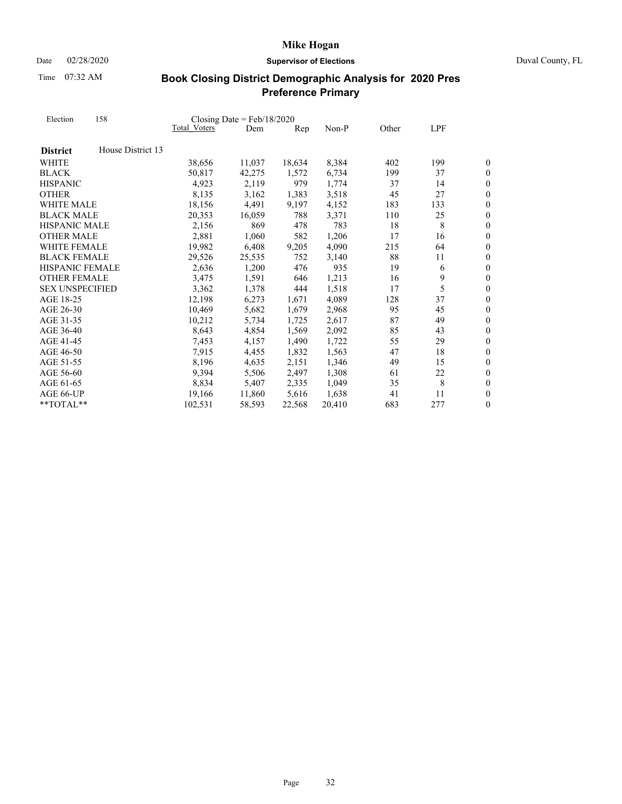Date 02/28/2020 **Supervisor of Elections** Duval County, FL

Time 07:32 AM

| Election<br><b>District</b><br>WHITE<br><b>BLACK</b><br><b>OTHER</b> | 158               |              | Closing Date = $Feb/18/2020$ |                |        |       |     |                  |
|----------------------------------------------------------------------|-------------------|--------------|------------------------------|----------------|--------|-------|-----|------------------|
|                                                                      |                   | Total Voters | Dem                          | $\mathbf{Rep}$ | Non-P  | Other | LPF |                  |
|                                                                      | House District 13 |              |                              |                |        |       |     |                  |
|                                                                      |                   | 38,656       | 11,037                       | 18,634         | 8,384  | 402   | 199 | 0                |
|                                                                      |                   | 50,817       | 42,275                       | 1,572          | 6,734  | 199   | 37  | 0                |
| <b>HISPANIC</b>                                                      |                   | 4,923        | 2,119                        | 979            | 1,774  | 37    | 14  | $\boldsymbol{0}$ |
|                                                                      |                   | 8,135        | 3,162                        | 1,383          | 3,518  | 45    | 27  | $\overline{0}$   |
| WHITE MALE                                                           |                   | 18,156       | 4,491                        | 9,197          | 4,152  | 183   | 133 | $\overline{0}$   |
| <b>BLACK MALE</b>                                                    |                   | 20,353       | 16,059                       | 788            | 3,371  | 110   | 25  | $\overline{0}$   |
| HISPANIC MALE                                                        |                   | 2,156        | 869                          | 478            | 783    | 18    | 8   | $\overline{0}$   |
| <b>OTHER MALE</b>                                                    |                   | 2,881        | 1,060                        | 582            | 1,206  | 17    | 16  | $\overline{0}$   |
| <b>WHITE FEMALE</b>                                                  |                   | 19,982       | 6,408                        | 9,205          | 4,090  | 215   | 64  | $\overline{0}$   |
| <b>BLACK FEMALE</b>                                                  |                   | 29,526       | 25,535                       | 752            | 3,140  | 88    | 11  | $\boldsymbol{0}$ |
| <b>HISPANIC FEMALE</b>                                               |                   | 2,636        | 1,200                        | 476            | 935    | 19    | 6   | $\overline{0}$   |
| <b>OTHER FEMALE</b>                                                  |                   | 3,475        | 1,591                        | 646            | 1,213  | 16    | 9   | $\overline{0}$   |
| <b>SEX UNSPECIFIED</b>                                               |                   | 3,362        | 1,378                        | 444            | 1,518  | 17    | 5   | $\overline{0}$   |
| AGE 18-25                                                            |                   | 12,198       | 6,273                        | 1,671          | 4,089  | 128   | 37  | $\overline{0}$   |
| AGE 26-30                                                            |                   | 10,469       | 5,682                        | 1,679          | 2,968  | 95    | 45  | $\overline{0}$   |
| AGE 31-35                                                            |                   | 10,212       | 5,734                        | 1,725          | 2,617  | 87    | 49  | $\boldsymbol{0}$ |
| AGE 36-40                                                            |                   | 8,643        | 4,854                        | 1,569          | 2,092  | 85    | 43  | $\overline{0}$   |
| AGE 41-45                                                            |                   | 7,453        | 4,157                        | 1,490          | 1,722  | 55    | 29  | $\overline{0}$   |
| AGE 46-50                                                            |                   | 7,915        | 4,455                        | 1,832          | 1,563  | 47    | 18  | $\boldsymbol{0}$ |
| AGE 51-55                                                            |                   | 8,196        | 4,635                        | 2,151          | 1,346  | 49    | 15  | $\overline{0}$   |
| AGE 56-60                                                            |                   | 9,394        | 5,506                        | 2,497          | 1,308  | 61    | 22  | $\boldsymbol{0}$ |
| AGE 61-65                                                            |                   | 8,834        | 5,407                        | 2,335          | 1,049  | 35    | 8   | $\boldsymbol{0}$ |
| AGE 66-UP                                                            |                   | 19,166       | 11,860                       | 5,616          | 1,638  | 41    | 11  | $\overline{0}$   |
| $*$ TOTAL $*$                                                        |                   | 102,531      | 58,593                       | 22,568         | 20,410 | 683   | 277 | $\boldsymbol{0}$ |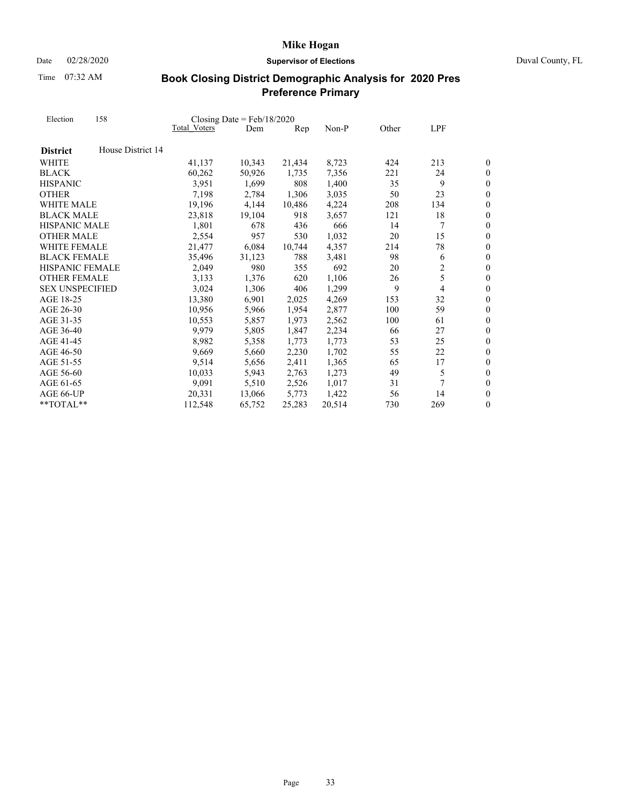Date 02/28/2020 **Supervisor of Elections** Duval County, FL

Time 07:32 AM

| Election               | 158               |                     | Closing Date = $Feb/18/2020$ |                |         |       |                |                  |
|------------------------|-------------------|---------------------|------------------------------|----------------|---------|-------|----------------|------------------|
|                        |                   | <b>Total Voters</b> | Dem                          | $\mathbf{Rep}$ | $Non-P$ | Other | LPF            |                  |
| <b>District</b>        | House District 14 |                     |                              |                |         |       |                |                  |
| WHITE                  |                   | 41,137              | 10,343                       | 21,434         | 8,723   | 424   | 213            | 0                |
| <b>BLACK</b>           |                   | 60,262              | 50,926                       | 1,735          | 7,356   | 221   | 24             | $\boldsymbol{0}$ |
| <b>HISPANIC</b>        |                   | 3,951               | 1,699                        | 808            | 1,400   | 35    | 9              | $\overline{0}$   |
| <b>OTHER</b>           |                   | 7,198               | 2,784                        | 1,306          | 3,035   | 50    | 23             | $\overline{0}$   |
| WHITE MALE             |                   | 19,196              | 4,144                        | 10,486         | 4,224   | 208   | 134            | $\overline{0}$   |
| <b>BLACK MALE</b>      |                   | 23,818              | 19,104                       | 918            | 3,657   | 121   | 18             | $\boldsymbol{0}$ |
| <b>HISPANIC MALE</b>   |                   | 1,801               | 678                          | 436            | 666     | 14    | 7              | $\overline{0}$   |
| <b>OTHER MALE</b>      |                   | 2,554               | 957                          | 530            | 1,032   | 20    | 15             | $\overline{0}$   |
| <b>WHITE FEMALE</b>    |                   | 21,477              | 6,084                        | 10,744         | 4,357   | 214   | 78             | $\boldsymbol{0}$ |
| <b>BLACK FEMALE</b>    |                   | 35,496              | 31,123                       | 788            | 3,481   | 98    | 6              | $\boldsymbol{0}$ |
| <b>HISPANIC FEMALE</b> |                   | 2,049               | 980                          | 355            | 692     | 20    | $\overline{c}$ | $\overline{0}$   |
| <b>OTHER FEMALE</b>    |                   | 3,133               | 1,376                        | 620            | 1,106   | 26    | 5              | $\boldsymbol{0}$ |
| <b>SEX UNSPECIFIED</b> |                   | 3,024               | 1,306                        | 406            | 1,299   | 9     | 4              | $\boldsymbol{0}$ |
| AGE 18-25              |                   | 13,380              | 6,901                        | 2,025          | 4,269   | 153   | 32             | $\overline{0}$   |
| AGE 26-30              |                   | 10,956              | 5,966                        | 1,954          | 2,877   | 100   | 59             | $\boldsymbol{0}$ |
| AGE 31-35              |                   | 10,553              | 5,857                        | 1,973          | 2,562   | 100   | 61             | $\overline{0}$   |
| AGE 36-40              |                   | 9,979               | 5,805                        | 1,847          | 2,234   | 66    | 27             | $\overline{0}$   |
| AGE 41-45              |                   | 8,982               | 5,358                        | 1,773          | 1,773   | 53    | 25             | $\boldsymbol{0}$ |
| AGE 46-50              |                   | 9,669               | 5,660                        | 2,230          | 1,702   | 55    | 22             | $\boldsymbol{0}$ |
| AGE 51-55              |                   | 9,514               | 5,656                        | 2,411          | 1,365   | 65    | 17             | $\overline{0}$   |
| AGE 56-60              |                   | 10,033              | 5,943                        | 2,763          | 1,273   | 49    | 5              | $\boldsymbol{0}$ |
| AGE 61-65              |                   | 9,091               | 5,510                        | 2,526          | 1,017   | 31    | 7              | $\boldsymbol{0}$ |
| AGE 66-UP              |                   | 20,331              | 13,066                       | 5,773          | 1,422   | 56    | 14             | $\overline{0}$   |
| $*$ TOTAL $*$          |                   | 112,548             | 65,752                       | 25,283         | 20,514  | 730   | 269            | $\boldsymbol{0}$ |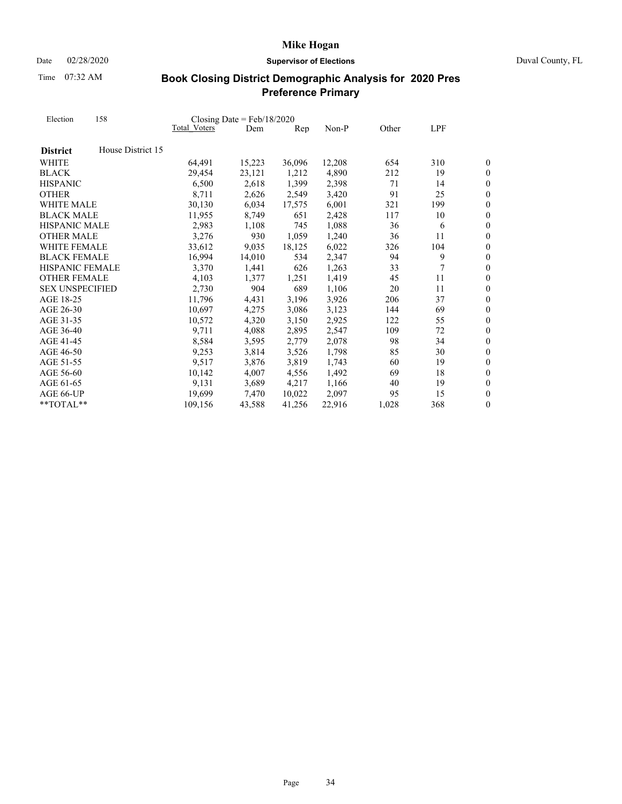Date 02/28/2020 **Supervisor of Elections** Duval County, FL

Time 07:32 AM

| Election               | 158               | Closing Date = $Feb/18/2020$ |        |                |        |       |     |                  |
|------------------------|-------------------|------------------------------|--------|----------------|--------|-------|-----|------------------|
|                        |                   | Total Voters                 | Dem    | $\mathbf{Rep}$ | Non-P  | Other | LPF |                  |
| <b>District</b>        | House District 15 |                              |        |                |        |       |     |                  |
| WHITE                  |                   | 64,491                       | 15,223 | 36,096         | 12,208 | 654   | 310 | 0                |
| <b>BLACK</b>           |                   | 29,454                       | 23,121 | 1,212          | 4,890  | 212   | 19  | $\boldsymbol{0}$ |
| <b>HISPANIC</b>        |                   | 6,500                        | 2,618  | 1,399          | 2,398  | 71    | 14  | $\overline{0}$   |
| <b>OTHER</b>           |                   | 8,711                        | 2,626  | 2,549          | 3,420  | 91    | 25  | $\overline{0}$   |
| WHITE MALE             |                   | 30,130                       | 6,034  | 17,575         | 6,001  | 321   | 199 | $\overline{0}$   |
| <b>BLACK MALE</b>      |                   | 11,955                       | 8,749  | 651            | 2,428  | 117   | 10  | $\overline{0}$   |
| <b>HISPANIC MALE</b>   |                   | 2,983                        | 1,108  | 745            | 1,088  | 36    | 6   | $\overline{0}$   |
| <b>OTHER MALE</b>      |                   | 3,276                        | 930    | 1.059          | 1,240  | 36    | 11  | $\overline{0}$   |
| <b>WHITE FEMALE</b>    |                   | 33,612                       | 9,035  | 18,125         | 6,022  | 326   | 104 | $\overline{0}$   |
| <b>BLACK FEMALE</b>    |                   | 16,994                       | 14,010 | 534            | 2,347  | 94    | 9   | $\boldsymbol{0}$ |
| <b>HISPANIC FEMALE</b> |                   | 3,370                        | 1,441  | 626            | 1,263  | 33    | 7   | $\overline{0}$   |
| <b>OTHER FEMALE</b>    |                   | 4,103                        | 1,377  | 1,251          | 1,419  | 45    | 11  | $\overline{0}$   |
| <b>SEX UNSPECIFIED</b> |                   | 2,730                        | 904    | 689            | 1,106  | 20    | 11  | $\boldsymbol{0}$ |
| AGE 18-25              |                   | 11,796                       | 4,431  | 3,196          | 3,926  | 206   | 37  | $\overline{0}$   |
| AGE 26-30              |                   | 10.697                       | 4,275  | 3,086          | 3,123  | 144   | 69  | $\overline{0}$   |
| AGE 31-35              |                   | 10,572                       | 4,320  | 3,150          | 2,925  | 122   | 55  | $\boldsymbol{0}$ |
| AGE 36-40              |                   | 9.711                        | 4,088  | 2,895          | 2,547  | 109   | 72  | $\overline{0}$   |
| AGE 41-45              |                   | 8,584                        | 3,595  | 2,779          | 2,078  | 98    | 34  | $\overline{0}$   |
| AGE 46-50              |                   | 9,253                        | 3,814  | 3,526          | 1,798  | 85    | 30  | $\boldsymbol{0}$ |
| AGE 51-55              |                   | 9,517                        | 3,876  | 3,819          | 1,743  | 60    | 19  | $\overline{0}$   |
| AGE 56-60              |                   | 10,142                       | 4,007  | 4,556          | 1,492  | 69    | 18  | $\boldsymbol{0}$ |
| AGE 61-65              |                   | 9,131                        | 3,689  | 4,217          | 1,166  | 40    | 19  | $\boldsymbol{0}$ |
| AGE 66-UP              |                   | 19,699                       | 7,470  | 10.022         | 2,097  | 95    | 15  | $\overline{0}$   |
| $*$ TOTAL $*$          |                   | 109,156                      | 43,588 | 41,256         | 22,916 | 1,028 | 368 | $\boldsymbol{0}$ |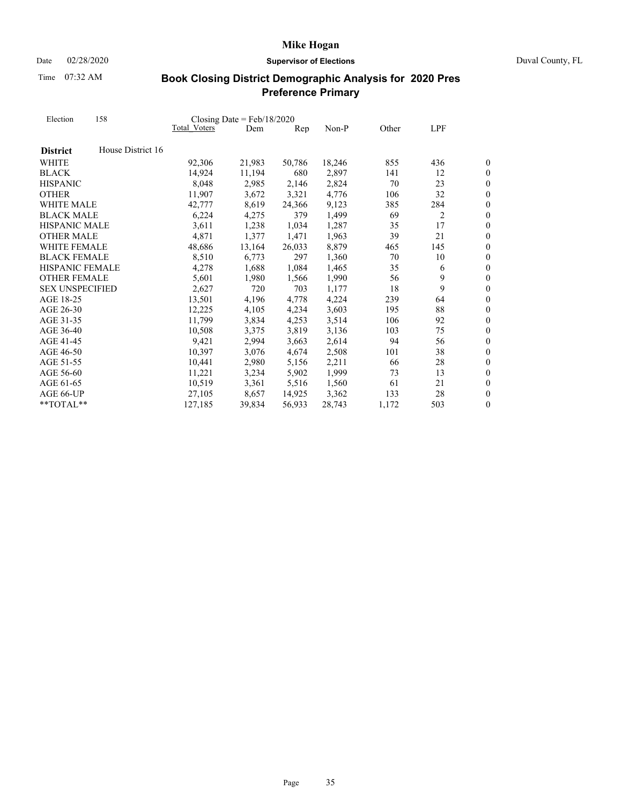Date 02/28/2020 **Supervisor of Elections** Duval County, FL

Time 07:32 AM

| Election               | 158               |                     | Closing Date = $Feb/18/2020$ |                |        |       |     |                  |
|------------------------|-------------------|---------------------|------------------------------|----------------|--------|-------|-----|------------------|
|                        |                   | <b>Total Voters</b> | Dem                          | $\mathbf{Rep}$ | Non-P  | Other | LPF |                  |
| <b>District</b>        | House District 16 |                     |                              |                |        |       |     |                  |
| WHITE                  |                   | 92,306              | 21,983                       | 50,786         | 18,246 | 855   | 436 | 0                |
| <b>BLACK</b>           |                   | 14,924              | 11,194                       | 680            | 2,897  | 141   | 12  | $\boldsymbol{0}$ |
| <b>HISPANIC</b>        |                   | 8,048               | 2,985                        | 2,146          | 2,824  | 70    | 23  | $\overline{0}$   |
| <b>OTHER</b>           |                   | 11,907              | 3,672                        | 3,321          | 4,776  | 106   | 32  | $\overline{0}$   |
| WHITE MALE             |                   | 42,777              | 8,619                        | 24,366         | 9,123  | 385   | 284 | $\overline{0}$   |
| <b>BLACK MALE</b>      |                   | 6,224               | 4,275                        | 379            | 1,499  | 69    | 2   | $\boldsymbol{0}$ |
| <b>HISPANIC MALE</b>   |                   | 3,611               | 1,238                        | 1,034          | 1,287  | 35    | 17  | $\overline{0}$   |
| <b>OTHER MALE</b>      |                   | 4,871               | 1,377                        | 1,471          | 1,963  | 39    | 21  | $\overline{0}$   |
| <b>WHITE FEMALE</b>    |                   | 48,686              | 13,164                       | 26,033         | 8,879  | 465   | 145 | $\boldsymbol{0}$ |
| <b>BLACK FEMALE</b>    |                   | 8,510               | 6,773                        | 297            | 1,360  | 70    | 10  | $\boldsymbol{0}$ |
| <b>HISPANIC FEMALE</b> |                   | 4,278               | 1,688                        | 1,084          | 1,465  | 35    | 6   | $\overline{0}$   |
| <b>OTHER FEMALE</b>    |                   | 5,601               | 1,980                        | 1,566          | 1,990  | 56    | 9   | $\overline{0}$   |
| <b>SEX UNSPECIFIED</b> |                   | 2,627               | 720                          | 703            | 1,177  | 18    | 9   | $\boldsymbol{0}$ |
| AGE 18-25              |                   | 13,501              | 4,196                        | 4,778          | 4,224  | 239   | 64  | $\overline{0}$   |
| AGE 26-30              |                   | 12,225              | 4,105                        | 4,234          | 3,603  | 195   | 88  | $\boldsymbol{0}$ |
| AGE 31-35              |                   | 11,799              | 3,834                        | 4,253          | 3,514  | 106   | 92  | $\overline{0}$   |
| AGE 36-40              |                   | 10,508              | 3,375                        | 3,819          | 3,136  | 103   | 75  | $\overline{0}$   |
| AGE 41-45              |                   | 9,421               | 2,994                        | 3,663          | 2,614  | 94    | 56  | $\boldsymbol{0}$ |
| AGE 46-50              |                   | 10,397              | 3,076                        | 4,674          | 2,508  | 101   | 38  | $\overline{0}$   |
| AGE 51-55              |                   | 10,441              | 2,980                        | 5,156          | 2,211  | 66    | 28  | $\overline{0}$   |
| AGE 56-60              |                   | 11,221              | 3,234                        | 5,902          | 1,999  | 73    | 13  | $\boldsymbol{0}$ |
| AGE 61-65              |                   | 10,519              | 3,361                        | 5,516          | 1,560  | 61    | 21  | $\boldsymbol{0}$ |
| AGE 66-UP              |                   | 27,105              | 8,657                        | 14,925         | 3,362  | 133   | 28  | $\overline{0}$   |
| $*$ TOTAL $*$          |                   | 127,185             | 39,834                       | 56,933         | 28,743 | 1,172 | 503 | $\boldsymbol{0}$ |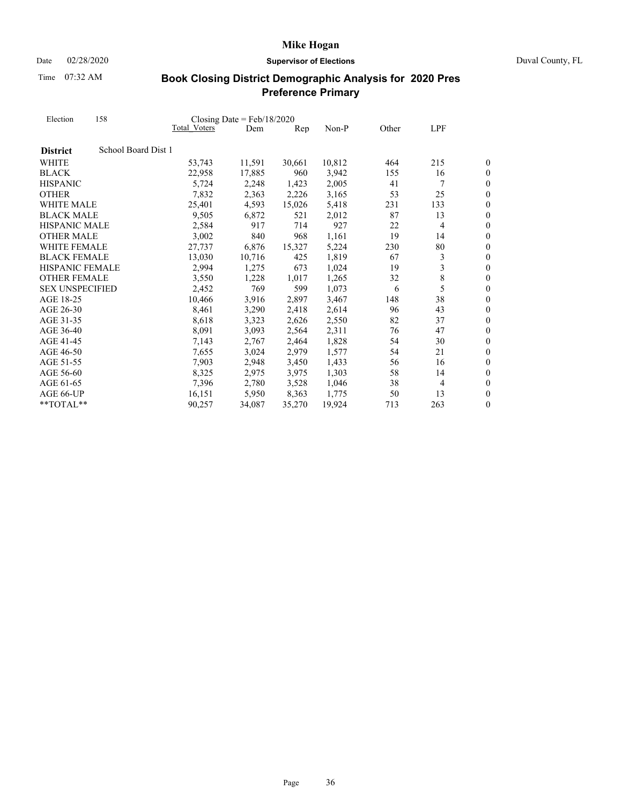Date 02/28/2020 **Supervisor of Elections** Duval County, FL

Time 07:32 AM

| Election               | 158                 |                     | Closing Date = $Feb/18/2020$ |        |        |       |                |                  |
|------------------------|---------------------|---------------------|------------------------------|--------|--------|-------|----------------|------------------|
|                        |                     | <b>Total Voters</b> | Dem                          | Rep    | Non-P  | Other | LPF            |                  |
| <b>District</b>        | School Board Dist 1 |                     |                              |        |        |       |                |                  |
| <b>WHITE</b>           |                     | 53,743              | 11,591                       | 30,661 | 10,812 | 464   | 215            | 0                |
| <b>BLACK</b>           |                     | 22,958              | 17,885                       | 960    | 3,942  | 155   | 16             | 0                |
| <b>HISPANIC</b>        |                     | 5,724               | 2,248                        | 1,423  | 2,005  | 41    | 7              | $\boldsymbol{0}$ |
| <b>OTHER</b>           |                     | 7,832               | 2,363                        | 2,226  | 3,165  | 53    | 25             | $\overline{0}$   |
| <b>WHITE MALE</b>      |                     | 25,401              | 4,593                        | 15,026 | 5,418  | 231   | 133            | 0                |
| <b>BLACK MALE</b>      |                     | 9,505               | 6,872                        | 521    | 2,012  | 87    | 13             | $\overline{0}$   |
| <b>HISPANIC MALE</b>   |                     | 2,584               | 917                          | 714    | 927    | 22    | 4              | $\overline{0}$   |
| <b>OTHER MALE</b>      |                     | 3,002               | 840                          | 968    | 1,161  | 19    | 14             | 0                |
| <b>WHITE FEMALE</b>    |                     | 27,737              | 6,876                        | 15,327 | 5,224  | 230   | 80             | $\boldsymbol{0}$ |
| <b>BLACK FEMALE</b>    |                     | 13,030              | 10,716                       | 425    | 1,819  | 67    | 3              | $\overline{0}$   |
| <b>HISPANIC FEMALE</b> |                     | 2,994               | 1,275                        | 673    | 1,024  | 19    | 3              | $\overline{0}$   |
| <b>OTHER FEMALE</b>    |                     | 3,550               | 1,228                        | 1,017  | 1,265  | 32    | 8              | $\overline{0}$   |
| <b>SEX UNSPECIFIED</b> |                     | 2,452               | 769                          | 599    | 1,073  | 6     | 5              | $\boldsymbol{0}$ |
| AGE 18-25              |                     | 10,466              | 3,916                        | 2,897  | 3,467  | 148   | 38             | $\overline{0}$   |
| AGE 26-30              |                     | 8,461               | 3,290                        | 2,418  | 2,614  | 96    | 43             | $\overline{0}$   |
| AGE 31-35              |                     | 8,618               | 3,323                        | 2,626  | 2,550  | 82    | 37             | $\boldsymbol{0}$ |
| AGE 36-40              |                     | 8,091               | 3,093                        | 2,564  | 2,311  | 76    | 47             | $\overline{0}$   |
| AGE 41-45              |                     | 7,143               | 2,767                        | 2,464  | 1,828  | 54    | 30             | $\overline{0}$   |
| AGE 46-50              |                     | 7,655               | 3,024                        | 2,979  | 1,577  | 54    | 21             | $\boldsymbol{0}$ |
| AGE 51-55              |                     | 7,903               | 2,948                        | 3,450  | 1,433  | 56    | 16             | $\overline{0}$   |
| AGE 56-60              |                     | 8,325               | 2,975                        | 3,975  | 1,303  | 58    | 14             | $\boldsymbol{0}$ |
| AGE 61-65              |                     | 7,396               | 2,780                        | 3,528  | 1,046  | 38    | $\overline{4}$ | $\boldsymbol{0}$ |
| AGE 66-UP              |                     | 16,151              | 5,950                        | 8,363  | 1.775  | 50    | 13             | $\overline{0}$   |
| **TOTAL**              |                     | 90,257              | 34,087                       | 35,270 | 19,924 | 713   | 263            | 0                |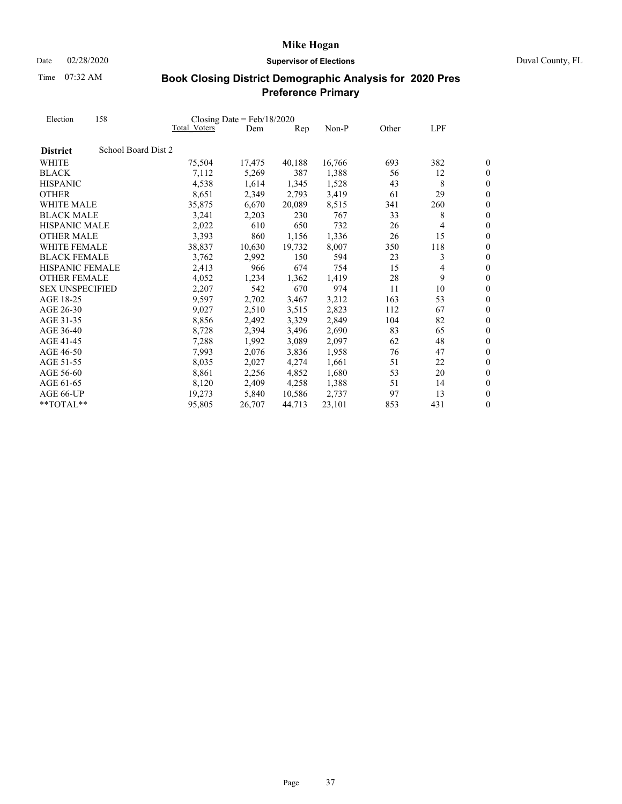Date 02/28/2020 **Supervisor of Elections** Duval County, FL

Time 07:32 AM

| Election               | 158                 |              | Closing Date = $Feb/18/2020$ |                |         |       |     |                  |
|------------------------|---------------------|--------------|------------------------------|----------------|---------|-------|-----|------------------|
|                        |                     | Total Voters | Dem                          | $\mathbf{Rep}$ | $Non-P$ | Other | LPF |                  |
| <b>District</b>        | School Board Dist 2 |              |                              |                |         |       |     |                  |
| WHITE                  |                     | 75,504       | 17,475                       | 40,188         | 16,766  | 693   | 382 | 0                |
| <b>BLACK</b>           |                     | 7,112        | 5,269                        | 387            | 1,388   | 56    | 12  | 0                |
| <b>HISPANIC</b>        |                     | 4,538        | 1,614                        | 1,345          | 1,528   | 43    | 8   | $\overline{0}$   |
| <b>OTHER</b>           |                     | 8,651        | 2,349                        | 2,793          | 3,419   | 61    | 29  | $\overline{0}$   |
| WHITE MALE             |                     | 35,875       | 6,670                        | 20,089         | 8,515   | 341   | 260 | $\overline{0}$   |
| <b>BLACK MALE</b>      |                     | 3,241        | 2,203                        | 230            | 767     | 33    | 8   | $\overline{0}$   |
| HISPANIC MALE          |                     | 2,022        | 610                          | 650            | 732     | 26    | 4   | $\overline{0}$   |
| <b>OTHER MALE</b>      |                     | 3,393        | 860                          | 1,156          | 1,336   | 26    | 15  | $\overline{0}$   |
| <b>WHITE FEMALE</b>    |                     | 38,837       | 10,630                       | 19,732         | 8,007   | 350   | 118 | $\overline{0}$   |
| <b>BLACK FEMALE</b>    |                     | 3,762        | 2,992                        | 150            | 594     | 23    | 3   | $\overline{0}$   |
| <b>HISPANIC FEMALE</b> |                     | 2,413        | 966                          | 674            | 754     | 15    | 4   | $\overline{0}$   |
| <b>OTHER FEMALE</b>    |                     | 4,052        | 1,234                        | 1,362          | 1,419   | 28    | 9   | $\overline{0}$   |
| <b>SEX UNSPECIFIED</b> |                     | 2,207        | 542                          | 670            | 974     | 11    | 10  | $\boldsymbol{0}$ |
| AGE 18-25              |                     | 9,597        | 2,702                        | 3,467          | 3,212   | 163   | 53  | $\overline{0}$   |
| AGE 26-30              |                     | 9,027        | 2,510                        | 3,515          | 2,823   | 112   | 67  | $\overline{0}$   |
| AGE 31-35              |                     | 8,856        | 2,492                        | 3,329          | 2,849   | 104   | 82  | $\boldsymbol{0}$ |
| AGE 36-40              |                     | 8,728        | 2,394                        | 3,496          | 2,690   | 83    | 65  | $\overline{0}$   |
| AGE 41-45              |                     | 7,288        | 1,992                        | 3,089          | 2,097   | 62    | 48  | $\overline{0}$   |
| AGE 46-50              |                     | 7,993        | 2,076                        | 3,836          | 1,958   | 76    | 47  | $\boldsymbol{0}$ |
| AGE 51-55              |                     | 8,035        | 2,027                        | 4,274          | 1,661   | 51    | 22  | $\overline{0}$   |
| AGE 56-60              |                     | 8,861        | 2,256                        | 4,852          | 1,680   | 53    | 20  | $\boldsymbol{0}$ |
| AGE 61-65              |                     | 8,120        | 2,409                        | 4,258          | 1,388   | 51    | 14  | $\boldsymbol{0}$ |
| AGE 66-UP              |                     | 19,273       | 5.840                        | 10,586         | 2.737   | 97    | 13  | $\overline{0}$   |
| $*$ TOTAL $*$          |                     | 95,805       | 26,707                       | 44,713         | 23,101  | 853   | 431 | 0                |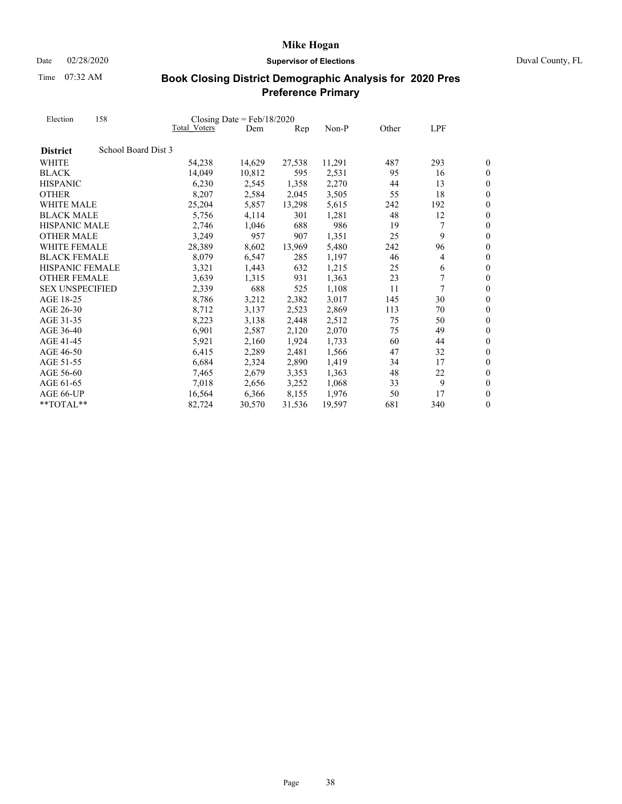Date 02/28/2020 **Supervisor of Elections** Duval County, FL

Time 07:32 AM

| Election               | 158                 |              | Closing Date = $Feb/18/2020$ |        |        |       |     |                  |
|------------------------|---------------------|--------------|------------------------------|--------|--------|-------|-----|------------------|
|                        |                     | Total Voters | Dem                          | Rep    | Non-P  | Other | LPF |                  |
| <b>District</b>        | School Board Dist 3 |              |                              |        |        |       |     |                  |
| WHITE                  |                     | 54,238       | 14,629                       | 27,538 | 11,291 | 487   | 293 | 0                |
| <b>BLACK</b>           |                     | 14,049       | 10,812                       | 595    | 2,531  | 95    | 16  | $\boldsymbol{0}$ |
| <b>HISPANIC</b>        |                     | 6,230        | 2,545                        | 1,358  | 2,270  | 44    | 13  | $\boldsymbol{0}$ |
| <b>OTHER</b>           |                     | 8,207        | 2,584                        | 2,045  | 3,505  | 55    | 18  | $\boldsymbol{0}$ |
| WHITE MALE             |                     | 25,204       | 5,857                        | 13,298 | 5,615  | 242   | 192 | $\overline{0}$   |
| <b>BLACK MALE</b>      |                     | 5,756        | 4,114                        | 301    | 1,281  | 48    | 12  | $\boldsymbol{0}$ |
| HISPANIC MALE          |                     | 2,746        | 1,046                        | 688    | 986    | 19    | 7   | $\boldsymbol{0}$ |
| <b>OTHER MALE</b>      |                     | 3,249        | 957                          | 907    | 1,351  | 25    | 9   | $\overline{0}$   |
| WHITE FEMALE           |                     | 28,389       | 8,602                        | 13,969 | 5,480  | 242   | 96  | $\boldsymbol{0}$ |
| <b>BLACK FEMALE</b>    |                     | 8,079        | 6,547                        | 285    | 1,197  | 46    | 4   | $\boldsymbol{0}$ |
| <b>HISPANIC FEMALE</b> |                     | 3,321        | 1,443                        | 632    | 1,215  | 25    | 6   | $\overline{0}$   |
| <b>OTHER FEMALE</b>    |                     | 3,639        | 1,315                        | 931    | 1,363  | 23    | 7   | $\boldsymbol{0}$ |
| <b>SEX UNSPECIFIED</b> |                     | 2,339        | 688                          | 525    | 1,108  | 11    | 7   | $\boldsymbol{0}$ |
| AGE 18-25              |                     | 8,786        | 3,212                        | 2,382  | 3,017  | 145   | 30  | $\overline{0}$   |
| AGE 26-30              |                     | 8,712        | 3,137                        | 2,523  | 2,869  | 113   | 70  | $\overline{0}$   |
| AGE 31-35              |                     | 8,223        | 3,138                        | 2,448  | 2,512  | 75    | 50  | $\boldsymbol{0}$ |
| AGE 36-40              |                     | 6,901        | 2,587                        | 2,120  | 2,070  | 75    | 49  | $\overline{0}$   |
| AGE 41-45              |                     | 5,921        | 2,160                        | 1,924  | 1,733  | 60    | 44  | $\boldsymbol{0}$ |
| AGE 46-50              |                     | 6,415        | 2,289                        | 2,481  | 1,566  | 47    | 32  | $\overline{0}$   |
| AGE 51-55              |                     | 6,684        | 2,324                        | 2,890  | 1,419  | 34    | 17  | $\overline{0}$   |
| AGE 56-60              |                     | 7,465        | 2,679                        | 3,353  | 1,363  | 48    | 22  | $\overline{0}$   |
| AGE 61-65              |                     | 7,018        | 2,656                        | 3,252  | 1,068  | 33    | 9   | $\boldsymbol{0}$ |
| AGE 66-UP              |                     | 16,564       | 6,366                        | 8,155  | 1,976  | 50    | 17  | $\overline{0}$   |
| $**TOTAI.**$           |                     | 82,724       | 30,570                       | 31,536 | 19,597 | 681   | 340 | $\boldsymbol{0}$ |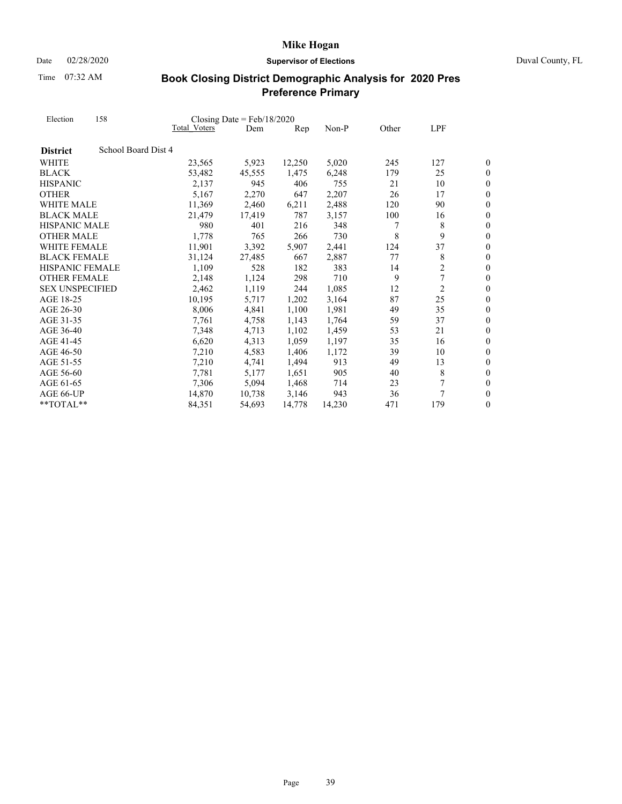Date 02/28/2020 **Supervisor of Elections** Duval County, FL

Time 07:32 AM

| Election               | 158                 | Closing Date = $Feb/18/2020$ |        |        |        |       |                |                  |  |
|------------------------|---------------------|------------------------------|--------|--------|--------|-------|----------------|------------------|--|
|                        |                     | Total Voters                 | Dem    | Rep    | Non-P  | Other | LPF            |                  |  |
| <b>District</b>        | School Board Dist 4 |                              |        |        |        |       |                |                  |  |
| WHITE                  |                     | 23,565                       | 5,923  | 12,250 | 5,020  | 245   | 127            | 0                |  |
| <b>BLACK</b>           |                     | 53,482                       | 45,555 | 1,475  | 6,248  | 179   | 25             | $\boldsymbol{0}$ |  |
| <b>HISPANIC</b>        |                     | 2,137                        | 945    | 406    | 755    | 21    | 10             | $\boldsymbol{0}$ |  |
| <b>OTHER</b>           |                     | 5,167                        | 2,270  | 647    | 2,207  | 26    | 17             | $\boldsymbol{0}$ |  |
| WHITE MALE             |                     | 11,369                       | 2,460  | 6,211  | 2,488  | 120   | 90             | $\overline{0}$   |  |
| <b>BLACK MALE</b>      |                     | 21,479                       | 17,419 | 787    | 3,157  | 100   | 16             | $\boldsymbol{0}$ |  |
| <b>HISPANIC MALE</b>   |                     | 980                          | 401    | 216    | 348    | 7     | 8              | $\overline{0}$   |  |
| <b>OTHER MALE</b>      |                     | 1,778                        | 765    | 266    | 730    | 8     | 9              | $\theta$         |  |
| <b>WHITE FEMALE</b>    |                     | 11,901                       | 3,392  | 5,907  | 2,441  | 124   | 37             | $\boldsymbol{0}$ |  |
| <b>BLACK FEMALE</b>    |                     | 31,124                       | 27,485 | 667    | 2,887  | 77    | 8              | $\boldsymbol{0}$ |  |
| <b>HISPANIC FEMALE</b> |                     | 1,109                        | 528    | 182    | 383    | 14    | 2              | $\overline{0}$   |  |
| <b>OTHER FEMALE</b>    |                     | 2,148                        | 1,124  | 298    | 710    | 9     | 7              | $\boldsymbol{0}$ |  |
| <b>SEX UNSPECIFIED</b> |                     | 2,462                        | 1,119  | 244    | 1,085  | 12    | $\overline{c}$ | $\boldsymbol{0}$ |  |
| AGE 18-25              |                     | 10,195                       | 5,717  | 1,202  | 3,164  | 87    | 25             | $\overline{0}$   |  |
| AGE 26-30              |                     | 8,006                        | 4,841  | 1,100  | 1,981  | 49    | 35             | $\overline{0}$   |  |
| AGE 31-35              |                     | 7,761                        | 4,758  | 1,143  | 1,764  | 59    | 37             | $\boldsymbol{0}$ |  |
| AGE 36-40              |                     | 7,348                        | 4,713  | 1,102  | 1,459  | 53    | 21             | $\overline{0}$   |  |
| AGE 41-45              |                     | 6,620                        | 4,313  | 1,059  | 1,197  | 35    | 16             | $\boldsymbol{0}$ |  |
| AGE 46-50              |                     | 7,210                        | 4,583  | 1,406  | 1,172  | 39    | 10             | $\overline{0}$   |  |
| AGE 51-55              |                     | 7,210                        | 4,741  | 1,494  | 913    | 49    | 13             | $\theta$         |  |
| AGE 56-60              |                     | 7,781                        | 5,177  | 1,651  | 905    | 40    | 8              | $\overline{0}$   |  |
| AGE 61-65              |                     | 7,306                        | 5,094  | 1,468  | 714    | 23    |                | $\boldsymbol{0}$ |  |
| AGE 66-UP              |                     | 14,870                       | 10,738 | 3,146  | 943    | 36    |                | $\overline{0}$   |  |
| $*$ TOTAL $*$          |                     | 84,351                       | 54,693 | 14,778 | 14,230 | 471   | 179            | $\boldsymbol{0}$ |  |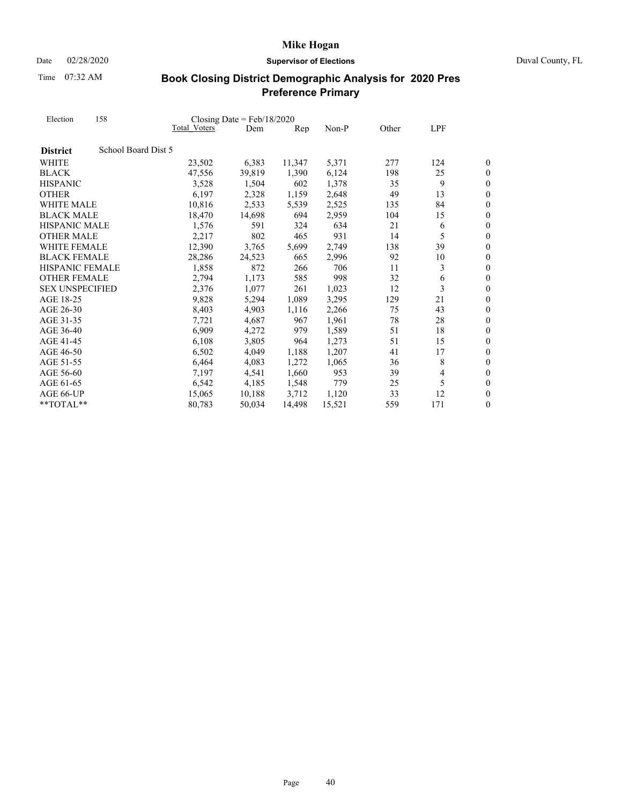Date 02/28/2020 **Supervisor of Elections** Duval County, FL

Time 07:32 AM

| Election               | 158                 |                     | Closing Date = $Feb/18/2020$ |                |        |       |                |                  |
|------------------------|---------------------|---------------------|------------------------------|----------------|--------|-------|----------------|------------------|
|                        |                     | <b>Total Voters</b> | Dem                          | $\mathbf{Rep}$ | Non-P  | Other | LPF            |                  |
| <b>District</b>        | School Board Dist 5 |                     |                              |                |        |       |                |                  |
| WHITE                  |                     | 23,502              | 6,383                        | 11,347         | 5,371  | 277   | 124            | 0                |
| <b>BLACK</b>           |                     | 47,556              | 39,819                       | 1,390          | 6,124  | 198   | 25             | 0                |
| <b>HISPANIC</b>        |                     | 3,528               | 1,504                        | 602            | 1,378  | 35    | 9              | $\overline{0}$   |
| <b>OTHER</b>           |                     | 6,197               | 2,328                        | 1,159          | 2,648  | 49    | 13             | $\overline{0}$   |
| WHITE MALE             |                     | 10,816              | 2,533                        | 5,539          | 2,525  | 135   | 84             | $\theta$         |
| <b>BLACK MALE</b>      |                     | 18,470              | 14,698                       | 694            | 2,959  | 104   | 15             | $\boldsymbol{0}$ |
| <b>HISPANIC MALE</b>   |                     | 1,576               | 591                          | 324            | 634    | 21    | 6              | $\boldsymbol{0}$ |
| <b>OTHER MALE</b>      |                     | 2,217               | 802                          | 465            | 931    | 14    | 5              | $\overline{0}$   |
| <b>WHITE FEMALE</b>    |                     | 12,390              | 3,765                        | 5,699          | 2,749  | 138   | 39             | $\overline{0}$   |
| <b>BLACK FEMALE</b>    |                     | 28,286              | 24,523                       | 665            | 2,996  | 92    | 10             | $\boldsymbol{0}$ |
| <b>HISPANIC FEMALE</b> |                     | 1,858               | 872                          | 266            | 706    | 11    | 3              | $\overline{0}$   |
| <b>OTHER FEMALE</b>    |                     | 2,794               | 1,173                        | 585            | 998    | 32    | 6              | $\overline{0}$   |
| <b>SEX UNSPECIFIED</b> |                     | 2,376               | 1,077                        | 261            | 1,023  | 12    | 3              | $\boldsymbol{0}$ |
| AGE 18-25              |                     | 9,828               | 5,294                        | 1,089          | 3,295  | 129   | 21             | $\overline{0}$   |
| AGE 26-30              |                     | 8,403               | 4,903                        | 1,116          | 2,266  | 75    | 43             | $\boldsymbol{0}$ |
| AGE 31-35              |                     | 7,721               | 4,687                        | 967            | 1,961  | 78    | 28             | $\overline{0}$   |
| AGE 36-40              |                     | 6,909               | 4,272                        | 979            | 1,589  | 51    | 18             | $\theta$         |
| AGE 41-45              |                     | 6,108               | 3,805                        | 964            | 1,273  | 51    | 15             | $\boldsymbol{0}$ |
| AGE 46-50              |                     | 6,502               | 4,049                        | 1,188          | 1,207  | 41    | 17             | $\boldsymbol{0}$ |
| AGE 51-55              |                     | 6,464               | 4,083                        | 1,272          | 1,065  | 36    | 8              | $\overline{0}$   |
| AGE 56-60              |                     | 7,197               | 4,541                        | 1,660          | 953    | 39    | $\overline{4}$ | $\boldsymbol{0}$ |
| AGE 61-65              |                     | 6,542               | 4,185                        | 1,548          | 779    | 25    | 5              | $\boldsymbol{0}$ |
| AGE 66-UP              |                     | 15,065              | 10,188                       | 3,712          | 1,120  | 33    | 12             | $\overline{0}$   |
| $*$ TOTAL $*$          |                     | 80,783              | 50,034                       | 14,498         | 15,521 | 559   | 171            | 0                |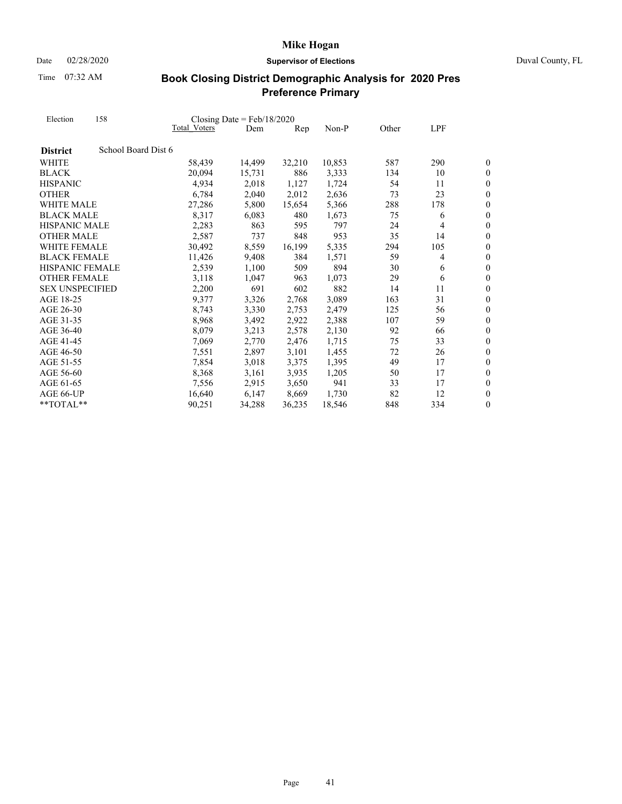Date 02/28/2020 **Supervisor of Elections** Duval County, FL

Time 07:32 AM

| Election               | 158                 |              | Closing Date = $Feb/18/2020$ |        |        |       |     |                  |
|------------------------|---------------------|--------------|------------------------------|--------|--------|-------|-----|------------------|
|                        |                     | Total Voters | Dem                          | Rep    | Non-P  | Other | LPF |                  |
| <b>District</b>        | School Board Dist 6 |              |                              |        |        |       |     |                  |
| WHITE                  |                     | 58,439       | 14,499                       | 32,210 | 10,853 | 587   | 290 | 0                |
| <b>BLACK</b>           |                     | 20,094       | 15,731                       | 886    | 3,333  | 134   | 10  | 0                |
| <b>HISPANIC</b>        |                     | 4,934        | 2,018                        | 1,127  | 1,724  | 54    | 11  | $\boldsymbol{0}$ |
| <b>OTHER</b>           |                     | 6,784        | 2,040                        | 2,012  | 2,636  | 73    | 23  | $\overline{0}$   |
| WHITE MALE             |                     | 27,286       | 5,800                        | 15,654 | 5,366  | 288   | 178 | $\overline{0}$   |
| <b>BLACK MALE</b>      |                     | 8,317        | 6,083                        | 480    | 1,673  | 75    | 6   | $\overline{0}$   |
| HISPANIC MALE          |                     | 2,283        | 863                          | 595    | 797    | 24    | 4   | $\overline{0}$   |
| <b>OTHER MALE</b>      |                     | 2,587        | 737                          | 848    | 953    | 35    | 14  | $\overline{0}$   |
| <b>WHITE FEMALE</b>    |                     | 30,492       | 8,559                        | 16,199 | 5,335  | 294   | 105 | $\overline{0}$   |
| <b>BLACK FEMALE</b>    |                     | 11,426       | 9,408                        | 384    | 1,571  | 59    | 4   | $\boldsymbol{0}$ |
| <b>HISPANIC FEMALE</b> |                     | 2,539        | 1,100                        | 509    | 894    | 30    | 6   | $\overline{0}$   |
| <b>OTHER FEMALE</b>    |                     | 3,118        | 1,047                        | 963    | 1,073  | 29    | 6   | $\overline{0}$   |
| <b>SEX UNSPECIFIED</b> |                     | 2,200        | 691                          | 602    | 882    | 14    | 11  | $\overline{0}$   |
| AGE 18-25              |                     | 9,377        | 3,326                        | 2,768  | 3,089  | 163   | 31  | $\overline{0}$   |
| AGE 26-30              |                     | 8,743        | 3,330                        | 2,753  | 2,479  | 125   | 56  | $\overline{0}$   |
| AGE 31-35              |                     | 8,968        | 3,492                        | 2,922  | 2,388  | 107   | 59  | $\boldsymbol{0}$ |
| AGE 36-40              |                     | 8,079        | 3,213                        | 2,578  | 2,130  | 92    | 66  | $\overline{0}$   |
| AGE 41-45              |                     | 7,069        | 2,770                        | 2,476  | 1,715  | 75    | 33  | $\overline{0}$   |
| AGE 46-50              |                     | 7,551        | 2,897                        | 3,101  | 1,455  | 72    | 26  | $\boldsymbol{0}$ |
| AGE 51-55              |                     | 7,854        | 3,018                        | 3,375  | 1,395  | 49    | 17  | $\overline{0}$   |
| AGE 56-60              |                     | 8,368        | 3,161                        | 3,935  | 1,205  | 50    | 17  | $\boldsymbol{0}$ |
| AGE 61-65              |                     | 7,556        | 2,915                        | 3,650  | 941    | 33    | 17  | $\boldsymbol{0}$ |
| AGE 66-UP              |                     | 16,640       | 6,147                        | 8,669  | 1.730  | 82    | 12  | $\overline{0}$   |
| $**TOTAI.**$           |                     | 90,251       | 34,288                       | 36,235 | 18,546 | 848   | 334 | $\boldsymbol{0}$ |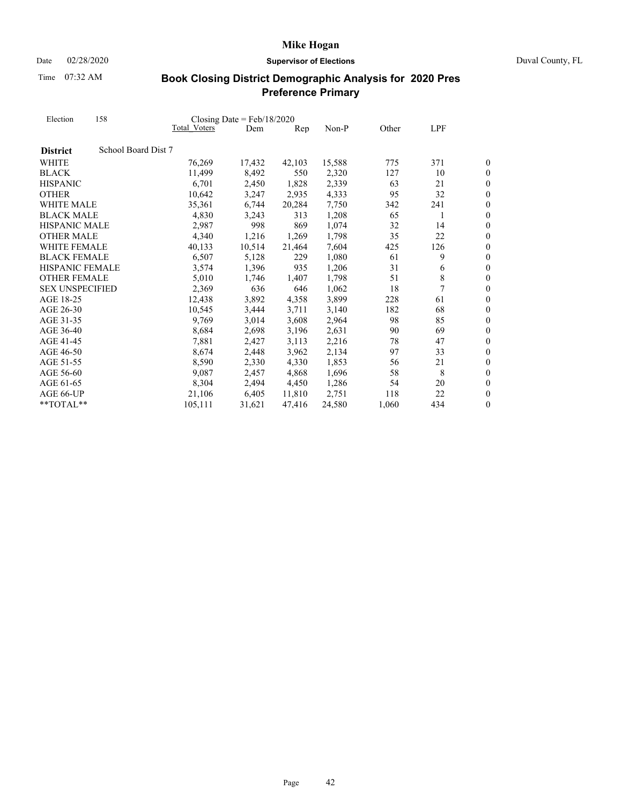Date 02/28/2020 **Supervisor of Elections** Duval County, FL

Time 07:32 AM

| Election               | 158                 |                     | Closing Date = $Feb/18/2020$ |        |        |       |     |                  |
|------------------------|---------------------|---------------------|------------------------------|--------|--------|-------|-----|------------------|
|                        |                     | <b>Total Voters</b> | Dem                          | Rep    | Non-P  | Other | LPF |                  |
| <b>District</b>        | School Board Dist 7 |                     |                              |        |        |       |     |                  |
| WHITE                  |                     | 76,269              | 17,432                       | 42,103 | 15,588 | 775   | 371 | 0                |
| <b>BLACK</b>           |                     | 11,499              | 8,492                        | 550    | 2,320  | 127   | 10  | 0                |
| <b>HISPANIC</b>        |                     | 6,701               | 2,450                        | 1,828  | 2,339  | 63    | 21  | $\boldsymbol{0}$ |
| <b>OTHER</b>           |                     | 10,642              | 3,247                        | 2,935  | 4,333  | 95    | 32  | $\boldsymbol{0}$ |
| WHITE MALE             |                     | 35,361              | 6,744                        | 20,284 | 7,750  | 342   | 241 | $\boldsymbol{0}$ |
| <b>BLACK MALE</b>      |                     | 4,830               | 3,243                        | 313    | 1,208  | 65    | 1   | $\overline{0}$   |
| <b>HISPANIC MALE</b>   |                     | 2,987               | 998                          | 869    | 1,074  | 32    | 14  | $\boldsymbol{0}$ |
| <b>OTHER MALE</b>      |                     | 4,340               | 1,216                        | 1,269  | 1,798  | 35    | 22  | $\overline{0}$   |
| <b>WHITE FEMALE</b>    |                     | 40,133              | 10,514                       | 21,464 | 7,604  | 425   | 126 | $\boldsymbol{0}$ |
| <b>BLACK FEMALE</b>    |                     | 6,507               | 5,128                        | 229    | 1,080  | 61    | 9   | $\overline{0}$   |
| <b>HISPANIC FEMALE</b> |                     | 3,574               | 1,396                        | 935    | 1,206  | 31    | 6   | $\overline{0}$   |
| <b>OTHER FEMALE</b>    |                     | 5,010               | 1,746                        | 1,407  | 1,798  | 51    | 8   | $\overline{0}$   |
| <b>SEX UNSPECIFIED</b> |                     | 2,369               | 636                          | 646    | 1,062  | 18    | 7   | $\boldsymbol{0}$ |
| AGE 18-25              |                     | 12,438              | 3,892                        | 4,358  | 3,899  | 228   | 61  | $\overline{0}$   |
| AGE 26-30              |                     | 10,545              | 3,444                        | 3,711  | 3,140  | 182   | 68  | $\overline{0}$   |
| AGE 31-35              |                     | 9,769               | 3,014                        | 3,608  | 2,964  | 98    | 85  | $\overline{0}$   |
| AGE 36-40              |                     | 8,684               | 2,698                        | 3,196  | 2,631  | 90    | 69  | $\overline{0}$   |
| AGE 41-45              |                     | 7,881               | 2,427                        | 3,113  | 2,216  | 78    | 47  | $\overline{0}$   |
| AGE 46-50              |                     | 8,674               | 2,448                        | 3,962  | 2,134  | 97    | 33  | $\overline{0}$   |
| AGE 51-55              |                     | 8,590               | 2,330                        | 4,330  | 1,853  | 56    | 21  | $\overline{0}$   |
| AGE 56-60              |                     | 9,087               | 2,457                        | 4,868  | 1,696  | 58    | 8   | $\boldsymbol{0}$ |
| AGE 61-65              |                     | 8,304               | 2,494                        | 4,450  | 1,286  | 54    | 20  | $\boldsymbol{0}$ |
| AGE 66-UP              |                     | 21,106              | 6,405                        | 11,810 | 2,751  | 118   | 22  | $\overline{0}$   |
| **TOTAL**              |                     | 105,111             | 31,621                       | 47,416 | 24,580 | 1,060 | 434 | $\boldsymbol{0}$ |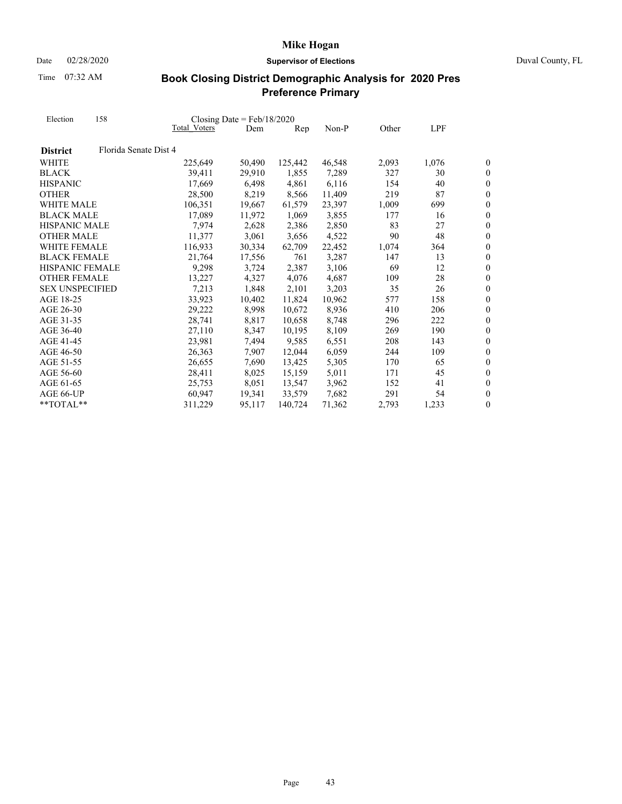Date 02/28/2020 **Supervisor of Elections** Duval County, FL

Time 07:32 AM

| Election               | 158                   |              |        | Closing Date = $Feb/18/2020$ |        |       |       |                  |
|------------------------|-----------------------|--------------|--------|------------------------------|--------|-------|-------|------------------|
|                        |                       | Total Voters | Dem    | Rep                          | Non-P  | Other | LPF   |                  |
| <b>District</b>        | Florida Senate Dist 4 |              |        |                              |        |       |       |                  |
| <b>WHITE</b>           |                       | 225,649      | 50,490 | 125,442                      | 46,548 | 2,093 | 1,076 | 0                |
| <b>BLACK</b>           |                       | 39,411       | 29,910 | 1,855                        | 7,289  | 327   | 30    | 0                |
| <b>HISPANIC</b>        |                       | 17.669       | 6,498  | 4,861                        | 6,116  | 154   | 40    | $\boldsymbol{0}$ |
| <b>OTHER</b>           |                       | 28,500       | 8,219  | 8,566                        | 11,409 | 219   | 87    | $\overline{0}$   |
| WHITE MALE             |                       | 106,351      | 19,667 | 61,579                       | 23,397 | 1,009 | 699   | $\boldsymbol{0}$ |
| <b>BLACK MALE</b>      |                       | 17,089       | 11,972 | 1,069                        | 3,855  | 177   | 16    | $\overline{0}$   |
| <b>HISPANIC MALE</b>   |                       | 7,974        | 2,628  | 2,386                        | 2,850  | 83    | 27    | $\overline{0}$   |
| <b>OTHER MALE</b>      |                       | 11,377       | 3,061  | 3,656                        | 4,522  | 90    | 48    | $\overline{0}$   |
| <b>WHITE FEMALE</b>    |                       | 116,933      | 30,334 | 62,709                       | 22,452 | 1,074 | 364   | $\boldsymbol{0}$ |
| <b>BLACK FEMALE</b>    |                       | 21,764       | 17,556 | 761                          | 3,287  | 147   | 13    | $\boldsymbol{0}$ |
| <b>HISPANIC FEMALE</b> |                       | 9,298        | 3,724  | 2,387                        | 3,106  | 69    | 12    | $\overline{0}$   |
| <b>OTHER FEMALE</b>    |                       | 13,227       | 4,327  | 4,076                        | 4,687  | 109   | 28    | $\overline{0}$   |
| <b>SEX UNSPECIFIED</b> |                       | 7,213        | 1,848  | 2,101                        | 3,203  | 35    | 26    | $\boldsymbol{0}$ |
| AGE 18-25              |                       | 33,923       | 10,402 | 11,824                       | 10,962 | 577   | 158   | $\overline{0}$   |
| AGE 26-30              |                       | 29,222       | 8,998  | 10,672                       | 8,936  | 410   | 206   | $\overline{0}$   |
| AGE 31-35              |                       | 28,741       | 8,817  | 10,658                       | 8,748  | 296   | 222   | $\boldsymbol{0}$ |
| AGE 36-40              |                       | 27,110       | 8,347  | 10,195                       | 8,109  | 269   | 190   | $\boldsymbol{0}$ |
| AGE 41-45              |                       | 23,981       | 7,494  | 9,585                        | 6,551  | 208   | 143   | $\boldsymbol{0}$ |
| AGE 46-50              |                       | 26,363       | 7,907  | 12,044                       | 6,059  | 244   | 109   | $\boldsymbol{0}$ |
| AGE 51-55              |                       | 26,655       | 7,690  | 13,425                       | 5,305  | 170   | 65    | $\overline{0}$   |
| AGE 56-60              |                       | 28,411       | 8,025  | 15,159                       | 5,011  | 171   | 45    | $\boldsymbol{0}$ |
| AGE 61-65              |                       | 25,753       | 8,051  | 13,547                       | 3,962  | 152   | 41    | $\boldsymbol{0}$ |
| AGE 66-UP              |                       | 60,947       | 19,341 | 33,579                       | 7,682  | 291   | 54    | $\overline{0}$   |
| **TOTAL**              |                       | 311,229      | 95,117 | 140,724                      | 71,362 | 2,793 | 1,233 | 0                |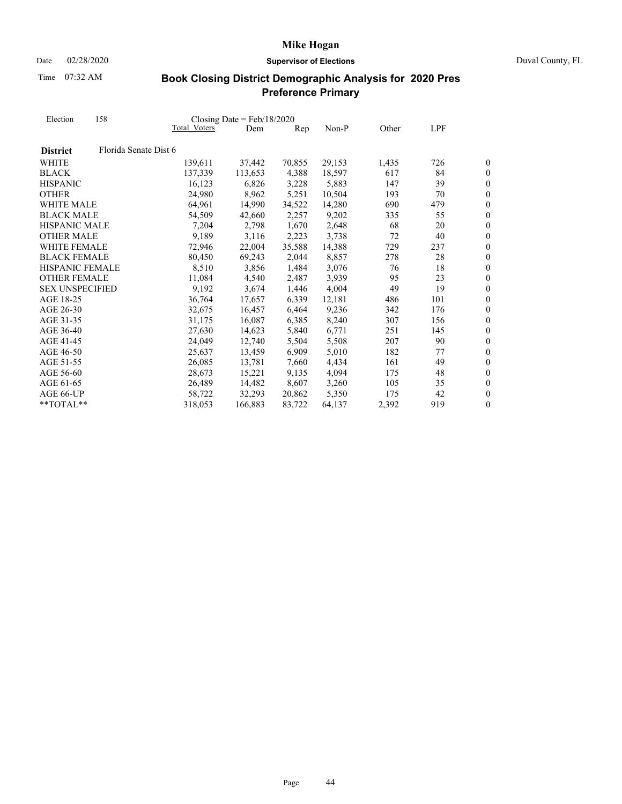Date 02/28/2020 **Supervisor of Elections** Duval County, FL

Time 07:32 AM

| Election               | 158                   |              | Closing Date = $Feb/18/2020$ |        |        |       |          |                                    |
|------------------------|-----------------------|--------------|------------------------------|--------|--------|-------|----------|------------------------------------|
|                        |                       | Total Voters | Dem                          | Rep    | Non-P  | Other | LPF      |                                    |
| <b>District</b>        | Florida Senate Dist 6 |              |                              |        |        |       |          |                                    |
| <b>WHITE</b>           |                       | 139,611      | 37,442                       | 70,855 | 29,153 | 1,435 | 726      | 0                                  |
| <b>BLACK</b>           |                       | 137,339      | 113,653                      | 4,388  | 18,597 | 617   | 84       | 0                                  |
| <b>HISPANIC</b>        |                       | 16.123       | 6.826                        | 3,228  | 5,883  | 147   | 39       | $\boldsymbol{0}$                   |
| <b>OTHER</b>           |                       | 24,980       | 8,962                        | 5,251  | 10,504 | 193   | 70       | $\overline{0}$                     |
| WHITE MALE             |                       | 64,961       | 14,990                       | 34,522 | 14,280 | 690   | 479      | $\boldsymbol{0}$                   |
| <b>BLACK MALE</b>      |                       | 54,509       | 42,660                       | 2,257  | 9,202  | 335   | 55       | $\overline{0}$                     |
| <b>HISPANIC MALE</b>   |                       | 7,204        | 2,798                        | 1,670  | 2,648  | 68    | 20       | $\overline{0}$                     |
| <b>OTHER MALE</b>      |                       | 9,189        | 3,116                        | 2,223  | 3,738  | 72    | 40       | $\overline{0}$                     |
| <b>WHITE FEMALE</b>    |                       | 72,946       | 22,004                       | 35,588 | 14,388 | 729   | 237      | $\overline{0}$                     |
| <b>BLACK FEMALE</b>    |                       |              |                              |        |        |       |          |                                    |
| <b>HISPANIC FEMALE</b> |                       | 80,450       | 69,243                       | 2,044  | 8,857  | 278   | 28<br>18 | $\boldsymbol{0}$<br>$\overline{0}$ |
|                        |                       | 8,510        | 3,856                        | 1,484  | 3,076  | 76    |          |                                    |
| <b>OTHER FEMALE</b>    |                       | 11,084       | 4,540                        | 2,487  | 3.939  | 95    | 23       | $\overline{0}$                     |
| <b>SEX UNSPECIFIED</b> |                       | 9,192        | 3,674                        | 1,446  | 4,004  | 49    | 19       | $\boldsymbol{0}$                   |
| AGE 18-25              |                       | 36,764       | 17,657                       | 6,339  | 12,181 | 486   | 101      | $\overline{0}$                     |
| AGE 26-30              |                       | 32,675       | 16,457                       | 6,464  | 9,236  | 342   | 176      | $\overline{0}$                     |
| AGE 31-35              |                       | 31,175       | 16,087                       | 6,385  | 8,240  | 307   | 156      | $\boldsymbol{0}$                   |
| AGE 36-40              |                       | 27,630       | 14,623                       | 5,840  | 6,771  | 251   | 145      | 0                                  |
| AGE 41-45              |                       | 24,049       | 12,740                       | 5,504  | 5,508  | 207   | 90       | $\boldsymbol{0}$                   |
| AGE 46-50              |                       | 25,637       | 13,459                       | 6,909  | 5,010  | 182   | 77       | $\boldsymbol{0}$                   |
| AGE 51-55              |                       | 26,085       | 13,781                       | 7,660  | 4,434  | 161   | 49       | $\overline{0}$                     |
| AGE 56-60              |                       | 28,673       | 15,221                       | 9,135  | 4,094  | 175   | 48       | $\boldsymbol{0}$                   |
| AGE 61-65              |                       | 26,489       | 14,482                       | 8,607  | 3,260  | 105   | 35       | $\overline{0}$                     |
| AGE 66-UP              |                       | 58,722       | 32.293                       | 20,862 | 5.350  | 175   | 42       | $\overline{0}$                     |
| **TOTAL**              |                       | 318,053      | 166,883                      | 83,722 | 64,137 | 2,392 | 919      | 0                                  |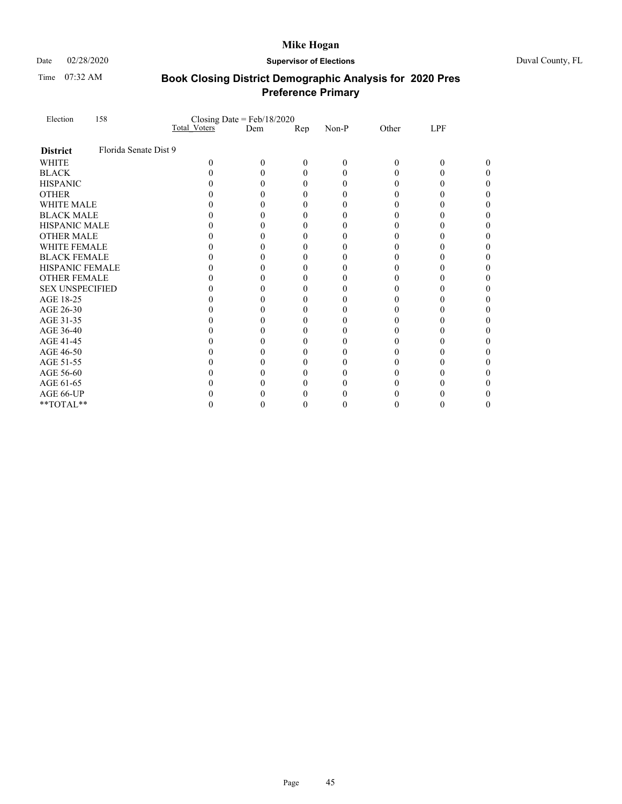Time 07:32 AM

### Date 02/28/2020 **Supervisor of Elections** Duval County, FL

| Election               | 158                   |              | Closing Date = $Feb/18/2020$ |                  |          |              |          |  |
|------------------------|-----------------------|--------------|------------------------------|------------------|----------|--------------|----------|--|
|                        |                       | Total Voters | Dem                          | Rep              | Non-P    | Other        | LPF      |  |
| <b>District</b>        | Florida Senate Dist 9 |              |                              |                  |          |              |          |  |
| <b>WHITE</b>           |                       | 0            | 0                            | 0                | $\theta$ | $\theta$     | 0        |  |
| <b>BLACK</b>           |                       |              | 0                            | $\theta$         | 0        | 0            | $\theta$ |  |
| <b>HISPANIC</b>        |                       |              |                              | 0                | $_{0}$   | $\mathbf{0}$ | 0        |  |
| <b>OTHER</b>           |                       |              |                              | 0                |          |              |          |  |
| WHITE MALE             |                       |              | 0                            | 0                | $\theta$ | $\mathbf{0}$ | 0        |  |
| <b>BLACK MALE</b>      |                       |              | 0                            | $\boldsymbol{0}$ | $\theta$ |              |          |  |
| HISPANIC MALE          |                       |              |                              | 0                |          |              |          |  |
| <b>OTHER MALE</b>      |                       |              | 0                            | 0                | $\theta$ | $\theta$     | 0        |  |
| <b>WHITE FEMALE</b>    |                       |              |                              | 0                | $\theta$ |              |          |  |
| <b>BLACK FEMALE</b>    |                       |              |                              | 0                |          |              |          |  |
| HISPANIC FEMALE        |                       |              | 0                            | 0                | $\theta$ | $\mathbf{0}$ | 0        |  |
| <b>OTHER FEMALE</b>    |                       |              | 0                            | 0                | $_{0}$   |              |          |  |
| <b>SEX UNSPECIFIED</b> |                       |              |                              | 0                |          |              |          |  |
| AGE 18-25              |                       |              | 0                            | 0                | $\theta$ | $\mathbf{0}$ | 0        |  |
| AGE 26-30              |                       |              | 0                            | 0                | $\theta$ |              |          |  |
| AGE 31-35              |                       |              | 0                            | 0                |          |              |          |  |
| AGE 36-40              |                       |              | 0                            | 0                | $\theta$ | 0            | 0        |  |
| AGE 41-45              |                       |              | 0                            | 0                | $_{0}$   |              |          |  |
| AGE 46-50              |                       |              | 0                            | 0                |          | 0            |          |  |
| AGE 51-55              |                       |              | 0                            | 0                | 0        |              | 0        |  |
| AGE 56-60              |                       |              | 0                            | 0                |          |              |          |  |
| AGE 61-65              |                       |              | 0                            | 0                |          |              |          |  |
| AGE 66-UP              |                       |              |                              |                  |          |              |          |  |
| **TOTAL**              |                       |              |                              | 0                |          | $\mathbf{0}$ |          |  |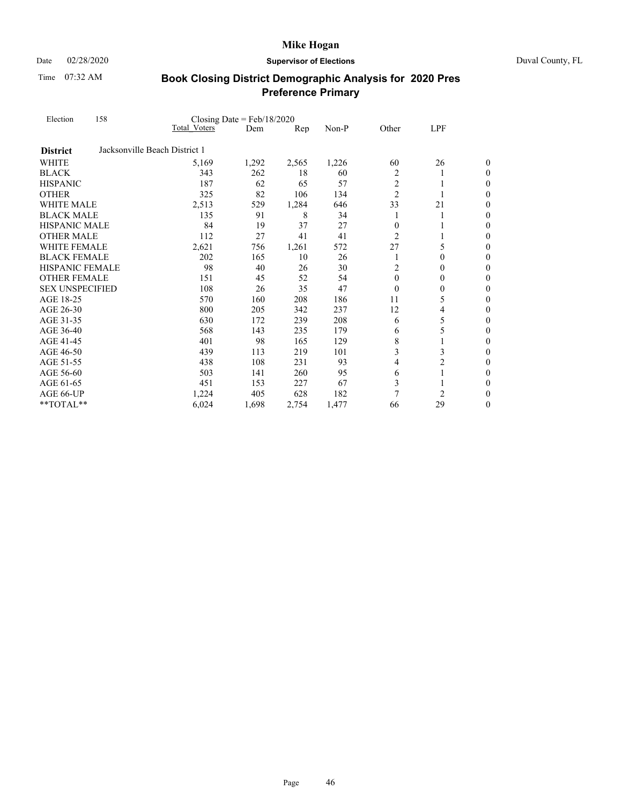Date 02/28/2020 **Supervisor of Elections** Duval County, FL

Time 07:32 AM

| Election<br><b>District</b><br><b>WHITE</b><br><b>BLACK</b><br><b>HISPANIC</b><br><b>OTHER</b><br><b>WHITE MALE</b><br><b>BLACK MALE</b><br><b>HISPANIC MALE</b><br><b>OTHER MALE</b><br>WHITE FEMALE<br><b>BLACK FEMALE</b><br><b>HISPANIC FEMALE</b><br><b>OTHER FEMALE</b><br><b>SEX UNSPECIFIED</b><br>AGE 18-25<br>AGE 26-30<br>AGE 31-35<br>AGE 36-40<br>AGE 41-45<br>AGE 46-50 | 158 | Closing Date = $Feb/18/2020$  |       |       |       |                |                |                  |
|---------------------------------------------------------------------------------------------------------------------------------------------------------------------------------------------------------------------------------------------------------------------------------------------------------------------------------------------------------------------------------------|-----|-------------------------------|-------|-------|-------|----------------|----------------|------------------|
|                                                                                                                                                                                                                                                                                                                                                                                       |     | Total Voters                  | Dem   | Rep   | Non-P | Other          | LPF            |                  |
|                                                                                                                                                                                                                                                                                                                                                                                       |     | Jacksonville Beach District 1 |       |       |       |                |                |                  |
|                                                                                                                                                                                                                                                                                                                                                                                       |     | 5,169                         | 1,292 | 2,565 | 1,226 | 60             | 26             | 0                |
|                                                                                                                                                                                                                                                                                                                                                                                       |     | 343                           | 262   | 18    | 60    | $\overline{2}$ | 1              | 0                |
|                                                                                                                                                                                                                                                                                                                                                                                       |     | 187                           | 62    | 65    | 57    | $\overline{2}$ | 1              | $\boldsymbol{0}$ |
|                                                                                                                                                                                                                                                                                                                                                                                       |     | 325                           | 82    | 106   | 134   | $\overline{2}$ |                | $\boldsymbol{0}$ |
|                                                                                                                                                                                                                                                                                                                                                                                       |     | 2,513                         | 529   | 1,284 | 646   | 33             | 21             | $\overline{0}$   |
|                                                                                                                                                                                                                                                                                                                                                                                       |     | 135                           | 91    | 8     | 34    |                | 1              | $\boldsymbol{0}$ |
|                                                                                                                                                                                                                                                                                                                                                                                       |     | 84                            | 19    | 37    | 27    | $\Omega$       |                | $\boldsymbol{0}$ |
|                                                                                                                                                                                                                                                                                                                                                                                       |     | 112                           | 27    | 41    | 41    | $\overline{2}$ |                | 0                |
|                                                                                                                                                                                                                                                                                                                                                                                       |     | 2,621                         | 756   | 1,261 | 572   | 27             | 5              | 0                |
|                                                                                                                                                                                                                                                                                                                                                                                       |     | 202                           | 165   | 10    | 26    | 1              | $\theta$       | $\boldsymbol{0}$ |
|                                                                                                                                                                                                                                                                                                                                                                                       |     | 98                            | 40    | 26    | 30    | 2              | $\theta$       | $\theta$         |
|                                                                                                                                                                                                                                                                                                                                                                                       |     | 151                           | 45    | 52    | 54    | $\theta$       | $\mathbf{0}$   | $\boldsymbol{0}$ |
|                                                                                                                                                                                                                                                                                                                                                                                       |     | 108                           | 26    | 35    | 47    | $\theta$       | 0              | $\boldsymbol{0}$ |
|                                                                                                                                                                                                                                                                                                                                                                                       |     | 570                           | 160   | 208   | 186   | 11             | 5              | 0                |
|                                                                                                                                                                                                                                                                                                                                                                                       |     | 800                           | 205   | 342   | 237   | 12             | 4              | $\boldsymbol{0}$ |
|                                                                                                                                                                                                                                                                                                                                                                                       |     | 630                           | 172   | 239   | 208   | 6              | 5              | $\boldsymbol{0}$ |
|                                                                                                                                                                                                                                                                                                                                                                                       |     | 568                           | 143   | 235   | 179   | 6              | 5              | $\overline{0}$   |
|                                                                                                                                                                                                                                                                                                                                                                                       |     | 401                           | 98    | 165   | 129   | 8              | 1              | $\boldsymbol{0}$ |
|                                                                                                                                                                                                                                                                                                                                                                                       |     | 439                           | 113   | 219   | 101   | 3              | 3              | $\boldsymbol{0}$ |
| AGE 51-55                                                                                                                                                                                                                                                                                                                                                                             |     | 438                           | 108   | 231   | 93    | 4              | $\overline{c}$ | $\theta$         |
| AGE 56-60                                                                                                                                                                                                                                                                                                                                                                             |     | 503                           | 141   | 260   | 95    | 6              | 1              | $\boldsymbol{0}$ |
| AGE 61-65                                                                                                                                                                                                                                                                                                                                                                             |     | 451                           | 153   | 227   | 67    | 3              |                | $\boldsymbol{0}$ |
| AGE 66-UP                                                                                                                                                                                                                                                                                                                                                                             |     | 1,224                         | 405   | 628   | 182   | 7              | 2              | 0                |
| **TOTAL**                                                                                                                                                                                                                                                                                                                                                                             |     | 6,024                         | 1,698 | 2,754 | 1,477 | 66             | 29             | 0                |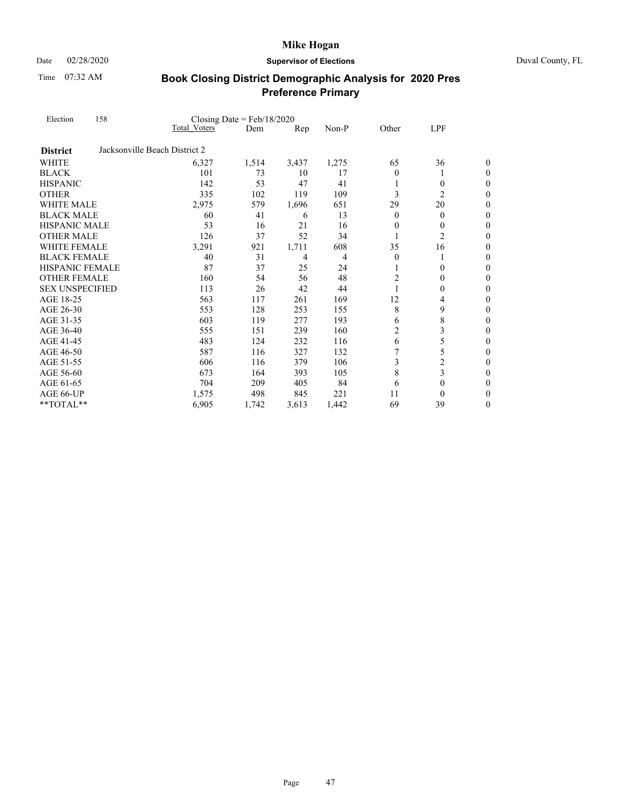Date 02/28/2020 **Supervisor of Elections** Duval County, FL

Time 07:32 AM

| Election               | 158 |                               | Closing Date = $Feb/18/2020$ |       |       |                |                |                  |
|------------------------|-----|-------------------------------|------------------------------|-------|-------|----------------|----------------|------------------|
|                        |     | <b>Total Voters</b>           | Dem                          | Rep   | Non-P | Other          | LPF            |                  |
| <b>District</b>        |     | Jacksonville Beach District 2 |                              |       |       |                |                |                  |
| WHITE                  |     | 6,327                         | 1,514                        | 3,437 | 1,275 | 65             | 36             | 0                |
| <b>BLACK</b>           |     | 101                           | 73                           | 10    | 17    | $\overline{0}$ | 1              | $\theta$         |
| <b>HISPANIC</b>        |     | 142                           | 53                           | 47    | 41    |                | 0              | $\boldsymbol{0}$ |
| <b>OTHER</b>           |     | 335                           | 102                          | 119   | 109   | 3              | $\overline{c}$ | $\boldsymbol{0}$ |
| <b>WHITE MALE</b>      |     | 2,975                         | 579                          | 1,696 | 651   | 29             | 20             | $\overline{0}$   |
| <b>BLACK MALE</b>      |     | 60                            | 41                           | 6     | 13    | 0              | $\theta$       | $\boldsymbol{0}$ |
| <b>HISPANIC MALE</b>   |     | 53                            | 16                           | 21    | 16    | $\theta$       | $\theta$       | $\boldsymbol{0}$ |
| <b>OTHER MALE</b>      |     | 126                           | 37                           | 52    | 34    | 1              | $\overline{c}$ | $\theta$         |
| WHITE FEMALE           |     | 3,291                         | 921                          | 1,711 | 608   | 35             | 16             | $\boldsymbol{0}$ |
| <b>BLACK FEMALE</b>    |     | 40                            | 31                           | 4     | 4     | $\theta$       | 1              | $\boldsymbol{0}$ |
| <b>HISPANIC FEMALE</b> |     | 87                            | 37                           | 25    | 24    |                | $\theta$       | $\theta$         |
| <b>OTHER FEMALE</b>    |     | 160                           | 54                           | 56    | 48    | $\overline{2}$ | $\mathbf{0}$   | $\boldsymbol{0}$ |
| <b>SEX UNSPECIFIED</b> |     | 113                           | 26                           | 42    | 44    |                | 0              | $\boldsymbol{0}$ |
| AGE 18-25              |     | 563                           | 117                          | 261   | 169   | 12             | 4              | $\overline{0}$   |
| AGE 26-30              |     | 553                           | 128                          | 253   | 155   | 8              | 9              | $\boldsymbol{0}$ |
| AGE 31-35              |     | 603                           | 119                          | 277   | 193   | 6              | 8              | $\boldsymbol{0}$ |
| AGE 36-40              |     | 555                           | 151                          | 239   | 160   | $\overline{c}$ | 3              | $\boldsymbol{0}$ |
| AGE 41-45              |     | 483                           | 124                          | 232   | 116   | 6              | 5              | $\boldsymbol{0}$ |
| AGE 46-50              |     | 587                           | 116                          | 327   | 132   |                | 5              | $\boldsymbol{0}$ |
| AGE 51-55              |     | 606                           | 116                          | 379   | 106   | 3              | $\overline{c}$ | $\overline{0}$   |
| AGE 56-60              |     | 673                           | 164                          | 393   | 105   | 8              | 3              | $\boldsymbol{0}$ |
| AGE 61-65              |     | 704                           | 209                          | 405   | 84    | 6              | $\theta$       | $\boldsymbol{0}$ |
| AGE 66-UP              |     | 1,575                         | 498                          | 845   | 221   | 11             | $\theta$       | 0                |
| **TOTAL**              |     | 6,905                         | 1,742                        | 3,613 | 1,442 | 69             | 39             | 0                |